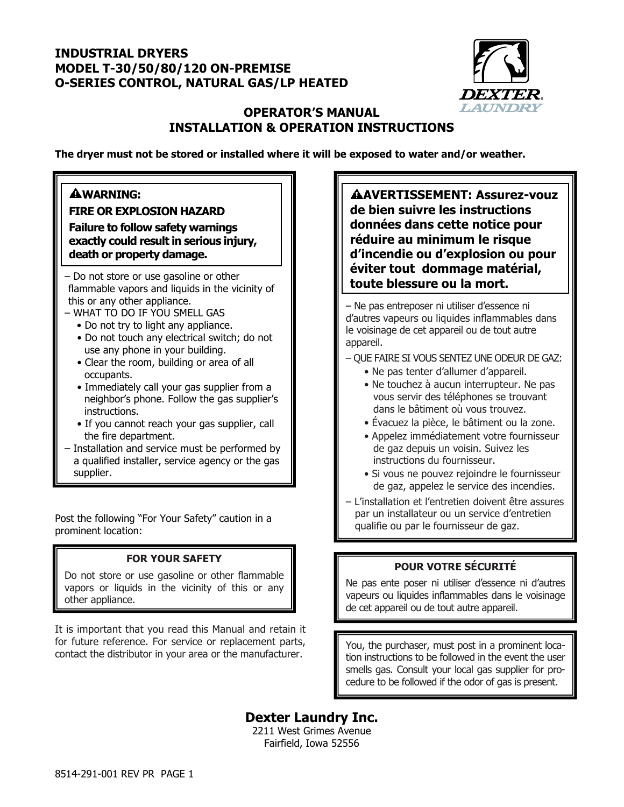### **INDUSTRIAL DRYERS MODEL T-30/50/80/120 ON-PREMISE O-SERIES CONTROL, NATURAL GAS/LP HEATED**



### **OPERATOR'S MANUAL INSTALLATION & OPERATION INSTRUCTIONS**

**The dryer must not be stored or installed where it will be exposed to water and/or weather.**

### **WARNING:**

**FIRE OR EXPLOSION HAZARD Failure to follow safety warnings exactly could result in serious injury, death or property damage.** 

- Do not store or use gasoline or other **the state of the state of the state of the state ou la mort.** this or any other appliance.

- WHAT TO DO IF YOU SMELL GAS
	- Do not try to light any appliance.
	- Do not touch any electrical switch; do not use any phone in your building.
	- Clear the room, building or area of all occupants.
	- Immediately call your gas supplier from a neighbor's phone. Follow the gas supplier's instructions.
	- If you cannot reach your gas supplier, call the fire department.
- Installation and service must be performed by a qualified installer, service agency or the gas supplier.

Post the following "For Your Safety" caution in a prominent location:

### **FOR YOUR SAFETY**

Do not store or use gasoline or other flammable vapors or liquids in the vicinity of this or any other appliance.

It is important that you read this Manual and retain it for future reference. For service or replacement parts, contact the distributor in your area or the manufacturer.

**AVERTISSEMENT: Assurez-vouz de bien suivre les instructions données dans cette notice pour réduire au minimum le risque d'incendie ou d'explosion ou pour éviter tout dommage matérial,** 

– Ne pas entreposer ni utiliser d'essence ni d'autres vapeurs ou liquides inflammables dans le voisinage de cet appareil ou de tout autre appareil.

– QUE FAIRE SI VOUS SENTEZ UNE ODEUR DE GAZ:

- Ne pas tenter d'allumer d'appareil.
- Ne touchez à aucun interrupteur. Ne pas vous servir des téléphones se trouvant dans le bâtiment où vous trouvez.
- Évacuez la pièce, le bâtiment ou la zone.
- Appelez immédiatement votre fournisseur de gaz depuis un voisin. Suivez les instructions du fournisseur.
- Si vous ne pouvez rejoindre le fournisseur de gaz, appelez le service des incendies.
- L'installation et l'entretien doivent être assures par un installateur ou un service d'entretien qualifie ou par le fournisseur de gaz.

### **POUR VOTRE SÉCURITÉ**

Ne pas ente poser ni utiliser d'essence ni d'autres vapeurs ou liquides inflammables dans le voisinage de cet appareil ou de tout autre appareil.

You, the purchaser, must post in a prominent location instructions to be followed in the event the user smells gas. Consult your local gas supplier for procedure to be followed if the odor of gas is present.

**Dexter Laundry Inc.** 

2211 West Grimes Avenue Fairfield, Iowa 52556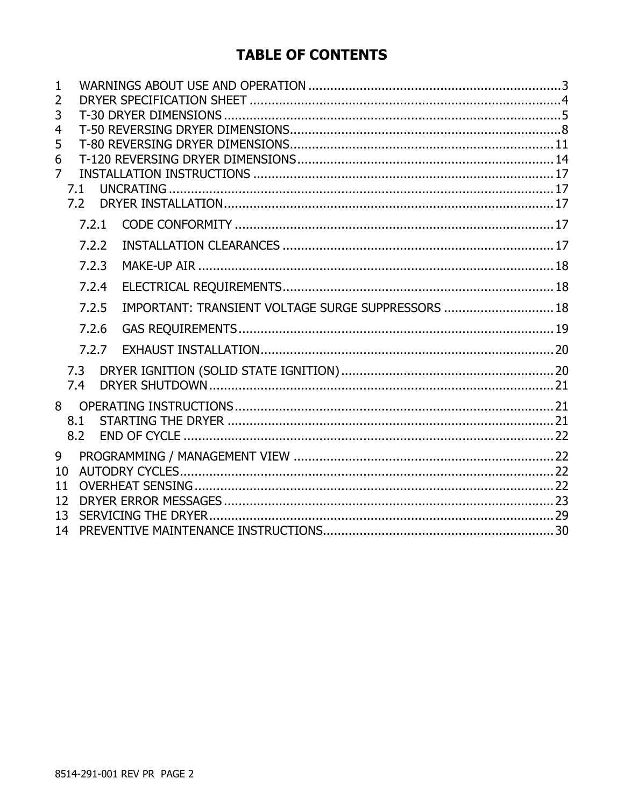## **TABLE OF CONTENTS**

| $\mathbf{1}$<br>2<br>3<br>4<br>5<br>6<br>$\overline{7}$ | 7.1<br>7.2 |                                                    |  |
|---------------------------------------------------------|------------|----------------------------------------------------|--|
|                                                         | 7.2.1      |                                                    |  |
|                                                         | 7.2.2      |                                                    |  |
|                                                         | 7.2.3      |                                                    |  |
|                                                         | 7.2.4      |                                                    |  |
|                                                         | 7.2.5      | IMPORTANT: TRANSIENT VOLTAGE SURGE SUPPRESSORS  18 |  |
|                                                         | 7.2.6      |                                                    |  |
|                                                         | 7.2.7      |                                                    |  |
|                                                         | 7.3<br>7.4 |                                                    |  |
| 8                                                       | 8.1<br>8.2 |                                                    |  |
| 9                                                       |            |                                                    |  |
| 10                                                      |            |                                                    |  |
| 11<br>12                                                |            |                                                    |  |
| 13                                                      |            |                                                    |  |
| 14                                                      |            |                                                    |  |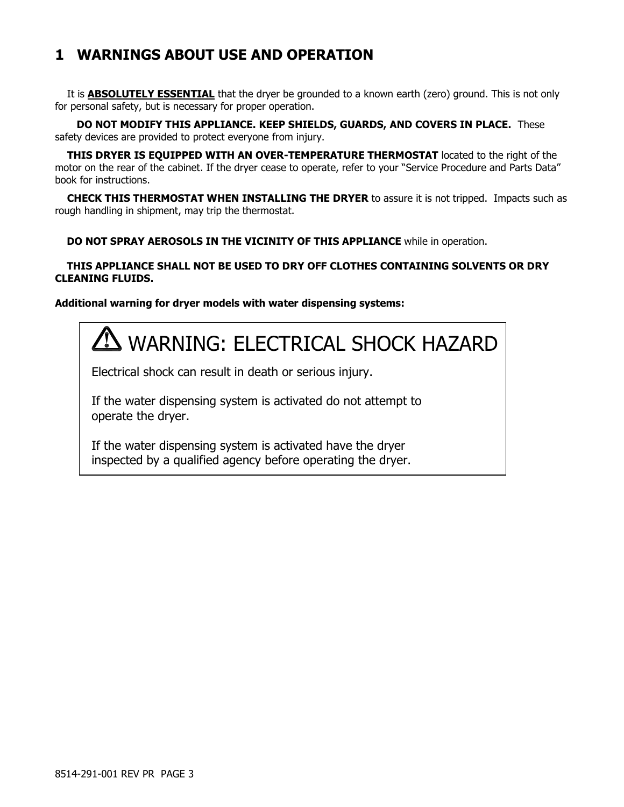## **1 WARNINGS ABOUT USE AND OPERATION**

It is **ABSOLUTELY ESSENTIAL** that the dryer be grounded to a known earth (zero) ground. This is not only for personal safety, but is necessary for proper operation.

 **DO NOT MODIFY THIS APPLIANCE. KEEP SHIELDS, GUARDS, AND COVERS IN PLACE.** These safety devices are provided to protect everyone from injury.

**THIS DRYER IS EQUIPPED WITH AN OVER-TEMPERATURE THERMOSTAT** located to the right of the motor on the rear of the cabinet. If the dryer cease to operate, refer to your "Service Procedure and Parts Data" book for instructions.

**CHECK THIS THERMOSTAT WHEN INSTALLING THE DRYER** to assure it is not tripped. Impacts such as rough handling in shipment, may trip the thermostat.

 **DO NOT SPRAY AEROSOLS IN THE VICINITY OF THIS APPLIANCE** while in operation.

#### **THIS APPLIANCE SHALL NOT BE USED TO DRY OFF CLOTHES CONTAINING SOLVENTS OR DRY CLEANING FLUIDS.**

### **Additional warning for dryer models with water dispensing systems:**



Electrical shock can result in death or serious injury.

If the water dispensing system is activated do not attempt to operate the dryer.

If the water dispensing system is activated have the dryer inspected by a qualified agency before operating the dryer.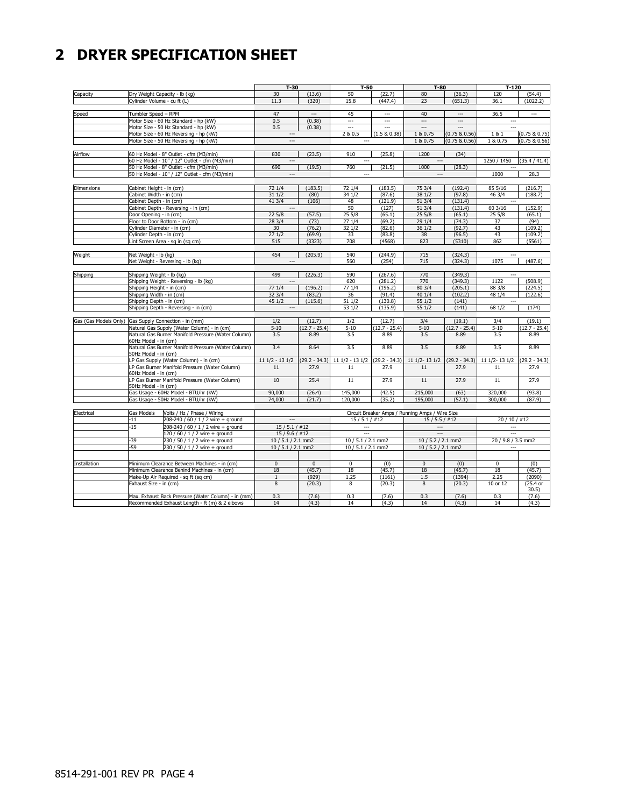## **2 DRYER SPECIFICATION SHEET**

|                                |                                                                                |                                                     | $T-30$                   |                          | $T-50$                   |                          | $T-80$                                          |                          | $T-120$                  |                          |
|--------------------------------|--------------------------------------------------------------------------------|-----------------------------------------------------|--------------------------|--------------------------|--------------------------|--------------------------|-------------------------------------------------|--------------------------|--------------------------|--------------------------|
| Capacity                       |                                                                                | Dry Weight Capacity - lb (kg)                       | 30                       | (13.6)                   | 50                       | (22.7)                   | 80                                              | (36.3)                   | 120                      | (54.4)                   |
|                                | Cylinder Volume - cu ft (L)                                                    |                                                     | 11.3                     | (320)                    | 15.8                     | (447.4)                  | 23                                              | (651.3)                  | 36.1                     | (1022.2)                 |
|                                |                                                                                |                                                     |                          |                          |                          |                          |                                                 |                          |                          |                          |
| Speed                          | Tumbler Speed - RPM                                                            |                                                     | 47                       | $\hspace{0.05cm} \ldots$ | 45                       | $\overline{\phantom{a}}$ | 40                                              | $\overline{\phantom{a}}$ | 36.5                     | $\overline{\phantom{a}}$ |
|                                |                                                                                | Motor Size - 60 Hz Standard - hp (kW)               | 0.5                      | (0.38)                   | $\sim$                   | $\overline{a}$           | $\overline{a}$                                  | $\overline{\phantom{a}}$ | $\sim$                   |                          |
|                                |                                                                                | Motor Size - 50 Hz Standard - hp (kW)               | 0.5                      | (0.38)                   | $\overline{a}$           | ---                      |                                                 |                          |                          |                          |
|                                |                                                                                | Motor Size - 60 Hz Reversing - hp (kW)              | $\hspace{0.05cm} \ldots$ |                          | 2 & 0.5                  | (1.5 & 0.38)             | 1 & 0.75                                        | (0.75 & 0.56)            | 181                      | (0.75 & 0.75)            |
|                                |                                                                                | Motor Size - 50 Hz Reversing - hp (kW)              | $\overline{a}$           |                          | $\sim$                   |                          | 1 & 0.75                                        | (0.75 & 0.56)            | 1 & 0.75                 | (0.75 & 0.56)            |
|                                |                                                                                |                                                     |                          |                          |                          |                          |                                                 |                          |                          |                          |
| Airflow                        |                                                                                | 60 Hz Model - 8" Outlet - cfm (M3/min)              | 830                      | (23.5)                   | 910                      | (25.8)                   | 1200                                            | (34)                     |                          |                          |
|                                |                                                                                | 60 Hz Model - 10" / 12" Outlet - cfm (M3/min)       | $\overline{a}$           |                          | $\sim$                   |                          |                                                 |                          | 1250 / 1450              | (35.4 / 41.4)            |
|                                |                                                                                | 50 Hz Model - 8" Outlet - cfm (M3/min)              | 690                      | (19.5)                   | 760                      | (21.5)                   | 1000                                            | (28.3)                   |                          |                          |
|                                |                                                                                | 50 Hz Model - 10" / 12" Outlet - cfm (M3/min)       | $\hspace{0.05cm} \ldots$ |                          | $\overline{\phantom{a}}$ |                          | ---                                             |                          | 1000                     | 28.3                     |
|                                |                                                                                |                                                     |                          |                          |                          |                          |                                                 |                          |                          |                          |
| <b>Dimensions</b>              | Cabinet Height - in (cm)                                                       |                                                     | 72 1/4                   | (183.5)                  | 72 1/4                   | (183.5)                  | 75 3/4                                          | (192.4)                  | 85 5/16                  | (216.7)                  |
|                                | Cabinet Width - in (cm)                                                        |                                                     | 31 1/2                   | (80)                     | 34 1/2                   | (87.6)                   | 38 1/2                                          | (97.8)                   | 46 3/4                   | (188.7)                  |
|                                | Cabinet Depth - in (cm)                                                        |                                                     | 41 3/4                   | (106)                    | 48                       | (121.9)                  | 51 3/4                                          | (131.4)                  |                          |                          |
|                                |                                                                                | Cabinet Depth - Reversing - in (cm)                 | $\hspace{0.05cm} \ldots$ |                          | 50                       | (127)                    | 51 3/4                                          | (131.4)                  | 60 3/16                  | (152.9)                  |
|                                | Door Opening - in (cm)                                                         |                                                     | 225/8                    | (57.5)                   | 25 5/8                   | (65.1)                   | 255/8                                           | (65.1)                   | 25 5/8                   | (65.1)                   |
|                                |                                                                                | Floor to Door Bottom - in (cm)                      | 28 3/4                   | (73)                     | 27 1/4                   | (69.2)                   | 29 1/4                                          | (74.3)                   | 37                       | (94)                     |
|                                | Cylinder Diameter - in (cm)                                                    |                                                     | 30                       | (76.2)                   | 32 1/2                   | (82.6)                   | 36 1/2                                          | (92.7)                   | 43                       | (109.2)                  |
|                                | Cylinder Depth - in (cm)                                                       |                                                     | 271/2                    | (69.9)                   | 33                       | (83.8)                   | 38                                              | (96.5)                   | 43                       | (109.2)                  |
|                                |                                                                                | Lint Screen Area - sq in (sq cm)                    | 515                      | (3323)                   | 708                      | (4568)                   | 823                                             | (5310)                   | 862                      | (5561)                   |
|                                |                                                                                |                                                     |                          |                          |                          |                          |                                                 |                          |                          |                          |
| Weight                         | Net Weight - lb (kg)                                                           |                                                     | 454                      | (205.9)                  | 540                      | (244.9)                  | 715                                             | (324.3)                  | $\sim$                   |                          |
|                                |                                                                                | Net Weight - Reversing - lb (kg)                    | $\overline{\phantom{a}}$ |                          | 560                      | (254)                    | 715                                             | (324.3)                  | 1075                     | (487.6)                  |
|                                |                                                                                |                                                     |                          |                          |                          |                          |                                                 |                          |                          |                          |
| Shipping                       | Shipping Weight - lb (kg)                                                      |                                                     | 499                      | (226.3)                  | 590                      | (267.6)                  | 770                                             | (349.3)                  | $\overline{a}$           |                          |
|                                |                                                                                | Shipping Weight - Reversing - lb (kg)               | $\overline{\phantom{a}}$ |                          | 620                      | (281.2)                  | 770                                             | (349.3)                  | 1122                     | (508.9)                  |
|                                | Shipping Height - in (cm)                                                      |                                                     | 77 1/4                   | (196.2)                  | 77 1/4                   | (196.2)                  | 80 3/4                                          | (205.1)                  | 88 3/8                   | (224.5)                  |
| Shipping Width - in (cm)       |                                                                                | 32 3/4                                              | (83.2)                   | 36                       | (91.4)                   | 40 1/4                   | (102.2)                                         | 48 1/4                   | (122.6)                  |                          |
|                                | Shipping Depth - in (cm)                                                       |                                                     | 451/2                    | (115.6)                  | 51 1/2                   | (130.8)                  | 55 1/2                                          | (141)                    | $\hspace{0.05cm} \cdots$ |                          |
|                                |                                                                                | Shipping Depth - Reversing - in (cm)                | $\hspace{0.05cm} \ldots$ |                          | 53 1/2                   | (135.9)                  | 55 1/2                                          | (141)                    | 68 1/2                   | (174)                    |
|                                |                                                                                |                                                     |                          |                          |                          |                          |                                                 |                          |                          |                          |
| Gas (Gas Models Only)          |                                                                                | Gas Supply Connection - in (mm)                     | 1/2                      | (12.7)                   | 1/2                      | (12.7)                   | 3/4                                             | (19.1)                   | 3/4                      | (19.1)                   |
|                                |                                                                                | Natural Gas Supply (Water Column) - in (cm)         | $5 - 10$                 | $(12.7 - 25.4)$          | $5 - 10$                 | $(12.7 - 25.4)$          | $5 - 10$                                        | $(12.7 - 25.4)$          | $5 - 10$                 | $(12.7 - 25.4)$          |
|                                |                                                                                | Natural Gas Burner Manifold Pressure (Water Column) | 3.5                      | 8.89                     | 3.5                      | 8.89                     | 3.5                                             | 8.89                     | 3.5                      | 8.89                     |
|                                | 60Hz Model - in (cm)                                                           |                                                     |                          |                          |                          |                          |                                                 |                          |                          |                          |
|                                |                                                                                | Natural Gas Burner Manifold Pressure (Water Column) | 3.4                      | 8.64                     | 3.5                      | 8.89                     | 3.5                                             | 8.89                     | 3.5                      | 8.89                     |
|                                | 50Hz Model - in (cm)                                                           |                                                     |                          |                          |                          |                          |                                                 |                          |                          |                          |
|                                |                                                                                | LP Gas Supply (Water Column) - in (cm)              | $111/2 - 131/2$          | $(29.2 - 34.3)$          | $111/2 - 131/2$          | $(29.2 - 34.3)$          | 11 1/2-13 1/2                                   | $(29.2 - 34.3)$          | 11 1/2-13 1/2            | $(29.2 - 34.3)$          |
|                                |                                                                                | LP Gas Burner Manifold Pressure (Water Column)      | 11                       | 27.9                     | 11                       | 27.9                     | 11                                              | 27.9                     | 11                       | 27.9                     |
|                                | 60Hz Model - in (cm)                                                           | LP Gas Burner Manifold Pressure (Water Column)      | 10                       | 25.4                     | $\overline{11}$          | 27.9                     | 11                                              | 27.9                     | $\overline{11}$          | 27.9                     |
|                                | 50Hz Model - in (cm)                                                           |                                                     |                          |                          |                          |                          |                                                 |                          |                          |                          |
|                                |                                                                                | Gas Usage - 60Hz Model - BTU/hr (kW)                | 90,000                   | (26.4)                   | 145,000                  | (42.5)                   | 215,000                                         | (63)                     | 320,000                  | (93.8)                   |
|                                |                                                                                | Gas Usage - 50Hz Model - BTU/hr (kW)                | 74,000                   | (21.7)                   | 120,000                  | (35.2)                   | 195,000                                         | (57.1)                   | 300,000                  | (87.9)                   |
|                                |                                                                                |                                                     |                          |                          |                          |                          |                                                 |                          |                          |                          |
| Electrical                     | Gas Models                                                                     | Volts / Hz / Phase / Wiring                         |                          |                          |                          |                          | Circuit Breaker Amps / Running Amps / Wire Size |                          |                          |                          |
|                                | $-11$                                                                          | 208-240 / 60 / 1 / 2 wire + ground                  | $\sim$                   |                          | $15/5.1/$ #12            |                          | $15/5.5/$ #12                                   |                          | $20/10/$ #12             |                          |
|                                | $-15$                                                                          | 208-240 / 60 / 1 / 2 wire + ground                  | $15/5.1/$ #12            |                          |                          |                          | $\hspace{0.05cm} \cdots$                        |                          |                          |                          |
| 120 / 60 / 1 / 2 wire + ground |                                                                                | 15/9.6/#12                                          |                          | $\overline{a}$           |                          | $\overline{a}$           |                                                 | $\overline{a}$           |                          |                          |
|                                | -39<br>230 / 50 / 1 / 2 wire + ground<br>-59<br>230 / 50 / 1 / 2 wire + ground |                                                     | 10 / 5.1 / 2.1 mm2       |                          | 10 / 5.1 / 2.1 mm2       |                          | 10 / 5.2 / 2.1 mm2                              |                          | 20 / 9.8 / 3.5 mm2       |                          |
|                                |                                                                                |                                                     | 10 / 5.1 / 2.1 mm2       |                          | 10 / 5.1 / 2.1 mm2       |                          | 10 / 5.2 / 2.1 mm2                              |                          | $\cdots$                 |                          |
|                                |                                                                                |                                                     |                          |                          |                          |                          |                                                 |                          |                          |                          |
|                                |                                                                                |                                                     |                          |                          |                          |                          |                                                 |                          |                          |                          |
| Installation                   | Minimum Clearance Between Machines - in (cm)                                   |                                                     | $\mathbf{0}$             | $\mathbf{0}$             | $\mathbf 0$              | (0)                      | $\mathbf{0}$                                    | (0)                      | 0                        | (0)                      |
|                                | Minimum Clearance Behind Machines - in (cm)                                    |                                                     | 18                       | (45.7)                   | 18                       | (45.7)                   | 18                                              | (45.7)                   | 18                       | (45.7)                   |
|                                |                                                                                | Make-Up Air Required - sq ft (sq cm)                | $\mathbf{1}$             | (929)                    | 1.25                     | (1161)                   | 1.5                                             | (1394)                   | 2.25                     | (2090)                   |
|                                | Exhaust Size - in (cm)                                                         |                                                     | $\overline{8}$           | (20.3)                   | 8                        | (20.3)                   | 8                                               | (20.3)                   | 10 or 12                 | (25.4 or                 |
|                                |                                                                                |                                                     |                          |                          |                          |                          |                                                 |                          |                          | 30.5)                    |
|                                |                                                                                | Max. Exhaust Back Pressure (Water Column) - in (mm) | 0.3                      | (7.6)                    | 0.3                      | (7.6)                    | 0.3                                             | (7.6)                    | 0.3                      | (7.6)                    |
|                                |                                                                                | Recommended Exhaust Length - ft (m) & 2 elbows      | 14                       | (4.3)                    | 14                       | (4.3)                    | 14                                              | (4.3)                    | 14                       | (4.3)                    |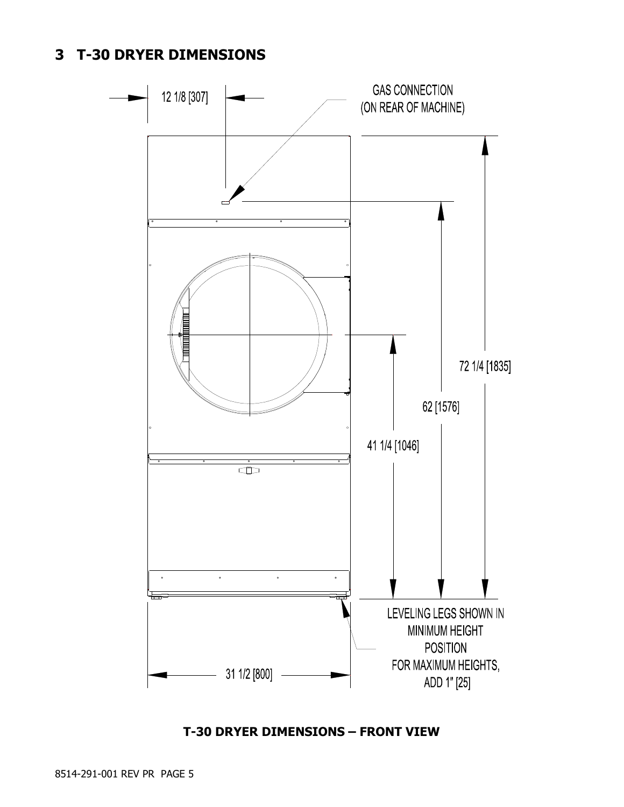## **3 T-30 DRYER DIMENSIONS**



### **T-30 DRYER DIMENSIONS – FRONT VIEW**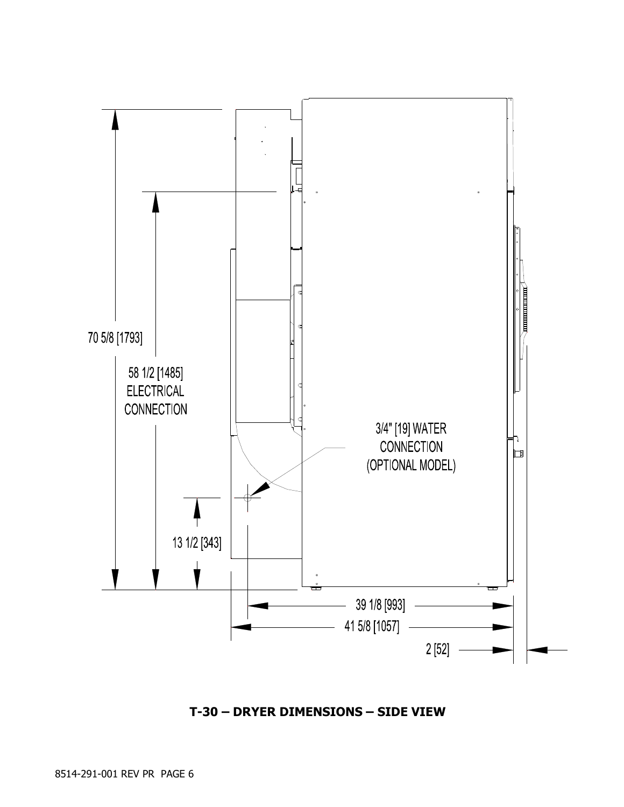

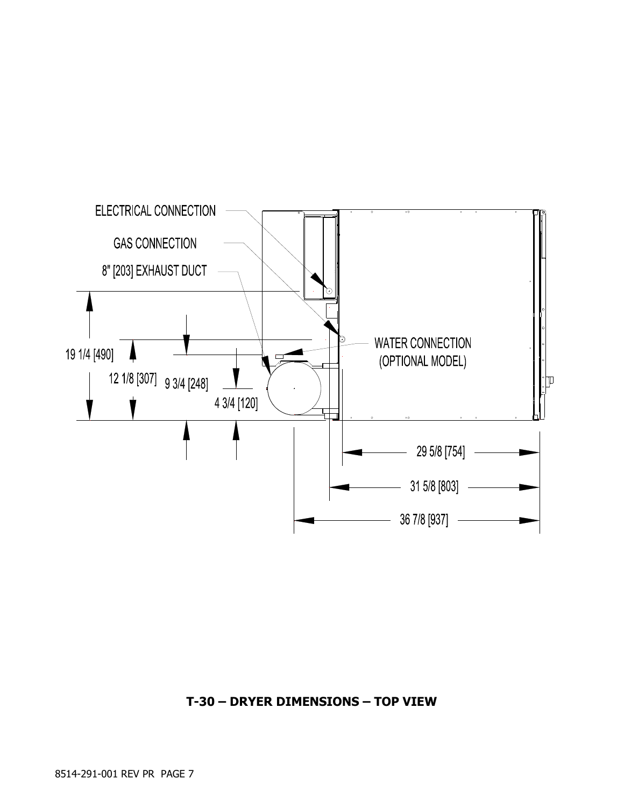

### **T-30 – DRYER DIMENSIONS – TOP VIEW**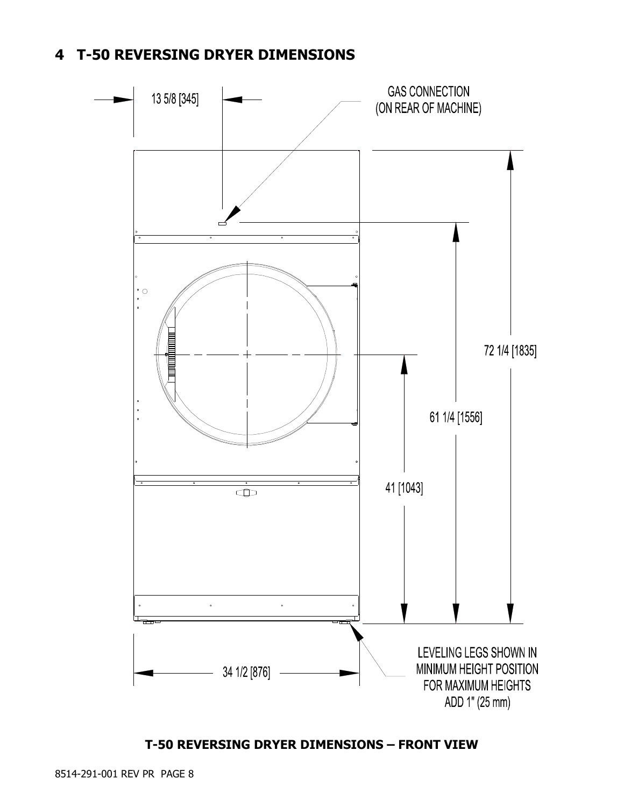## **4 T-50 REVERSING DRYER DIMENSIONS**



### **T-50 REVERSING DRYER DIMENSIONS – FRONT VIEW**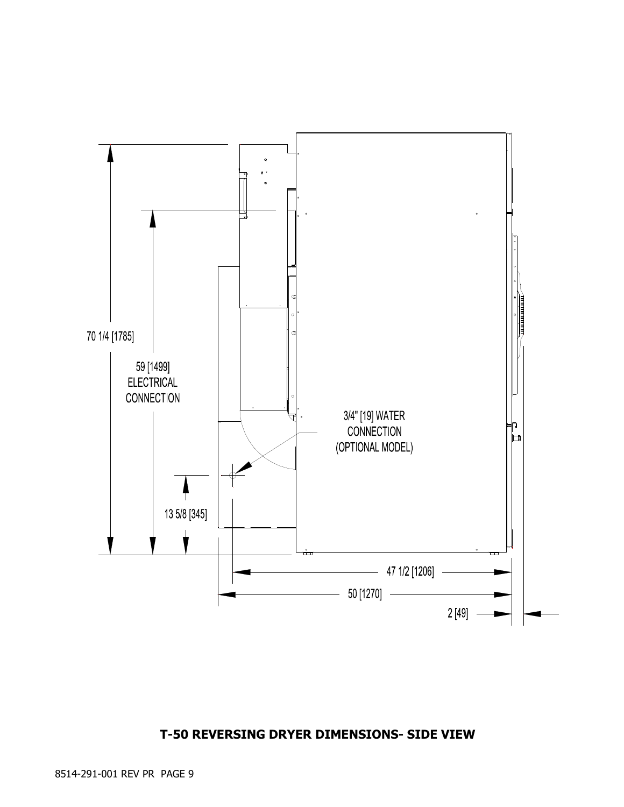### **T-50 REVERSING DRYER DIMENSIONS- SIDE VIEW**

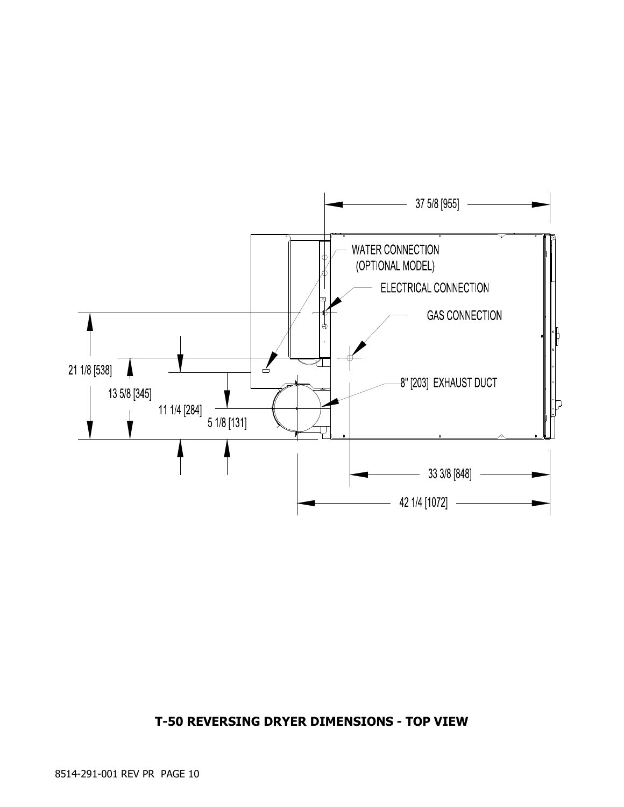

### **T-50 REVERSING DRYER DIMENSIONS - TOP VIEW**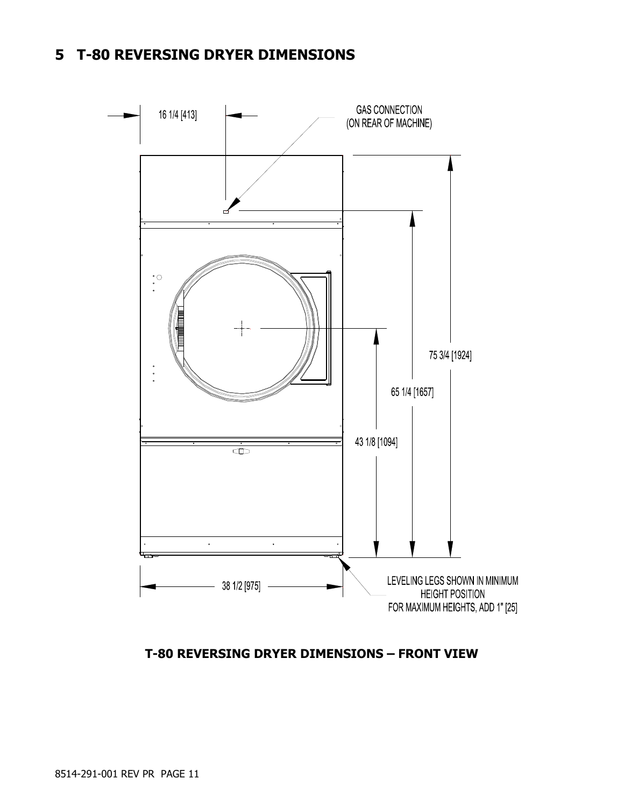## **5 T-80 REVERSING DRYER DIMENSIONS**



**T-80 REVERSING DRYER DIMENSIONS – FRONT VIEW**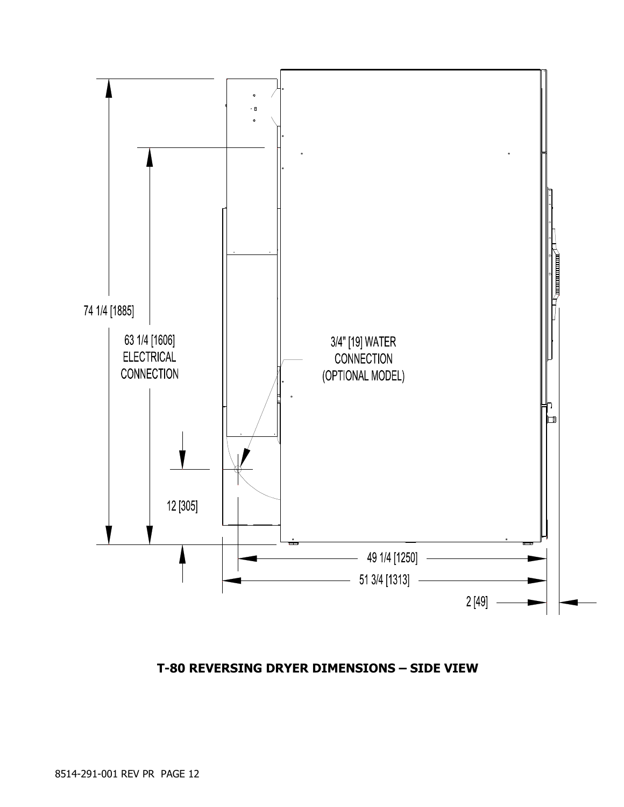

### **T-80 REVERSING DRYER DIMENSIONS – SIDE VIEW**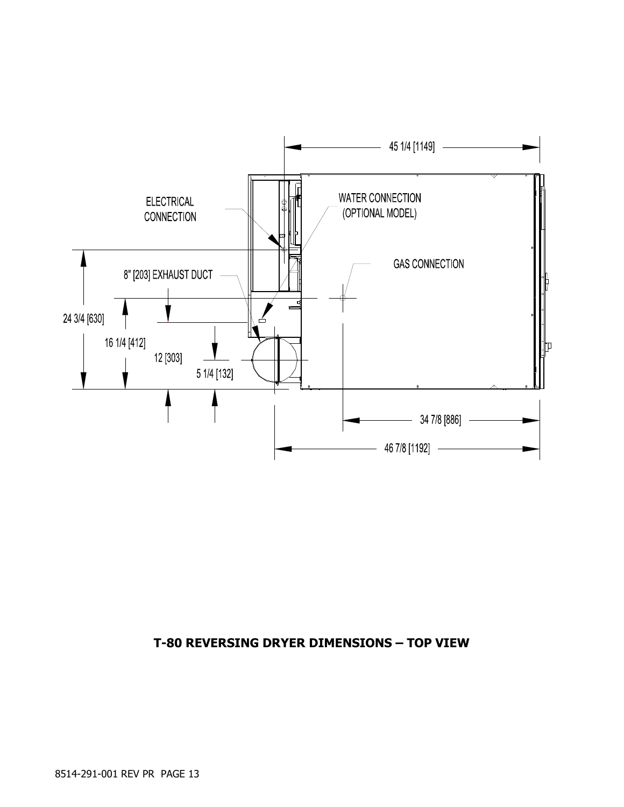

### **T-80 REVERSING DRYER DIMENSIONS – TOP VIEW**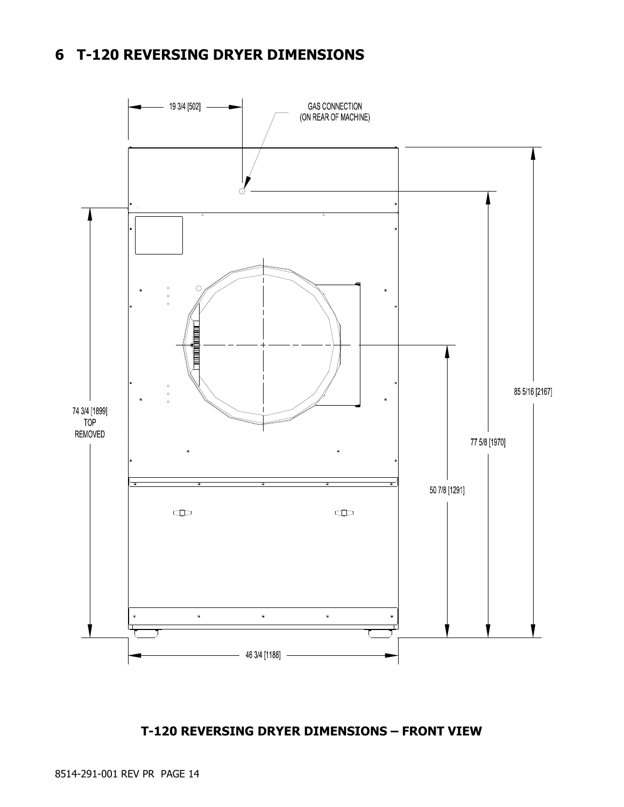## **6 T-120 REVERSING DRYER DIMENSIONS**



### **T-120 REVERSING DRYER DIMENSIONS – FRONT VIEW**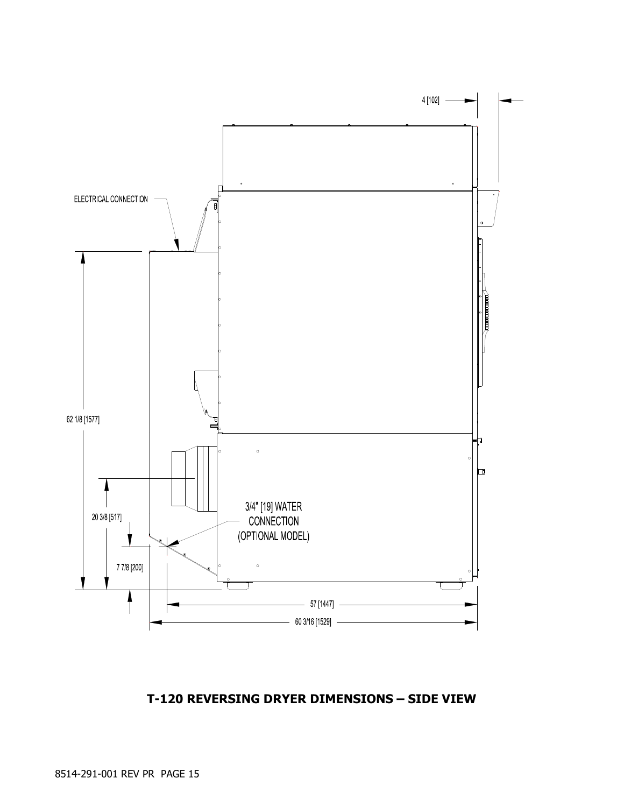

### **T-120 REVERSING DRYER DIMENSIONS – SIDE VIEW**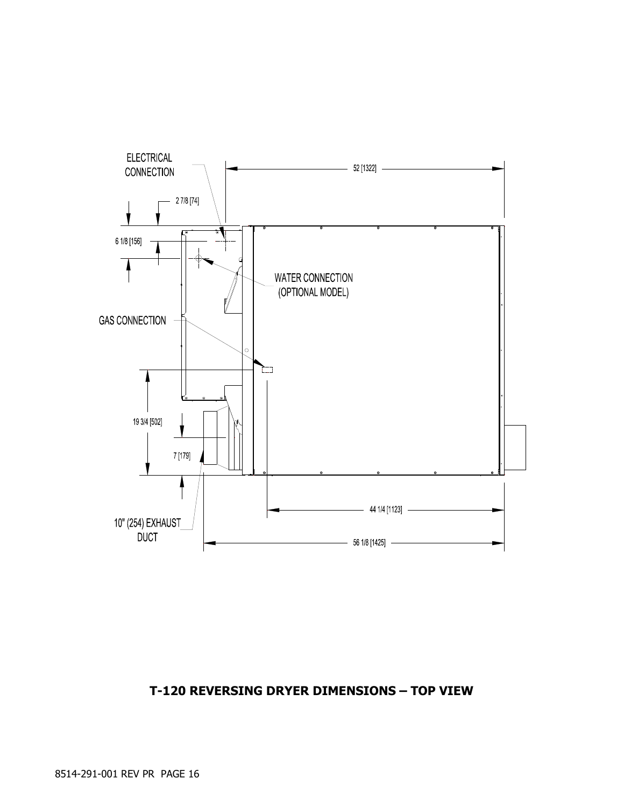## **T-120 REVERSING DRYER DIMENSIONS – TOP VIEW**

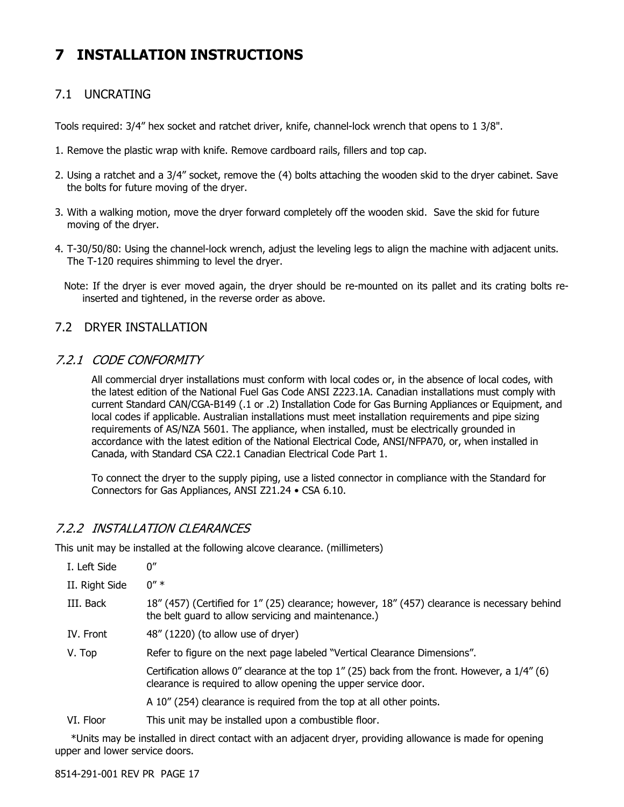## **7 INSTALLATION INSTRUCTIONS**

### 7.1 UNCRATING

Tools required: 3/4" hex socket and ratchet driver, knife, channel-lock wrench that opens to 1 3/8".

- 1. Remove the plastic wrap with knife. Remove cardboard rails, fillers and top cap.
- 2. Using a ratchet and a 3/4" socket, remove the (4) bolts attaching the wooden skid to the dryer cabinet. Save the bolts for future moving of the dryer.
- 3. With a walking motion, move the dryer forward completely off the wooden skid. Save the skid for future moving of the dryer.
- 4. T-30/50/80: Using the channel-lock wrench, adjust the leveling legs to align the machine with adjacent units. The T-120 requires shimming to level the dryer.
	- Note: If the dryer is ever moved again, the dryer should be re-mounted on its pallet and its crating bolts reinserted and tightened, in the reverse order as above.

### 7.2 DRYER INSTALLATION

### 7.2.1 CODE CONFORMITY

All commercial dryer installations must conform with local codes or, in the absence of local codes, with the latest edition of the National Fuel Gas Code ANSI Z223.1A. Canadian installations must comply with current Standard CAN/CGA-B149 (.1 or .2) Installation Code for Gas Burning Appliances or Equipment, and local codes if applicable. Australian installations must meet installation requirements and pipe sizing requirements of AS/NZA 5601. The appliance, when installed, must be electrically grounded in accordance with the latest edition of the National Electrical Code, ANSI/NFPA70, or, when installed in Canada, with Standard CSA C22.1 Canadian Electrical Code Part 1.

To connect the dryer to the supply piping, use a listed connector in compliance with the Standard for Connectors for Gas Appliances, ANSI Z21.24 • CSA 6.10.

### 7.2.2 INSTALLATION CLEARANCES

This unit may be installed at the following alcove clearance. (millimeters)

| I. Left Side     | 0''                                                                                                                                                                |
|------------------|--------------------------------------------------------------------------------------------------------------------------------------------------------------------|
| II. Right Side   | $0'' *$                                                                                                                                                            |
| III. Back        | 18" (457) (Certified for 1" (25) clearance; however, 18" (457) clearance is necessary behind<br>the belt quard to allow servicing and maintenance.)                |
| <b>IV.</b> Front | 48" (1220) (to allow use of dryer)                                                                                                                                 |
| V. Top           | Refer to figure on the next page labeled "Vertical Clearance Dimensions".                                                                                          |
|                  | Certification allows 0" clearance at the top 1" (25) back from the front. However, a $1/4$ " (6)<br>clearance is required to allow opening the upper service door. |
|                  | A 10" (254) clearance is required from the top at all other points.                                                                                                |
| VI. Floor        | This unit may be installed upon a combustible floor.                                                                                                               |
|                  |                                                                                                                                                                    |

 \*Units may be installed in direct contact with an adjacent dryer, providing allowance is made for opening upper and lower service doors.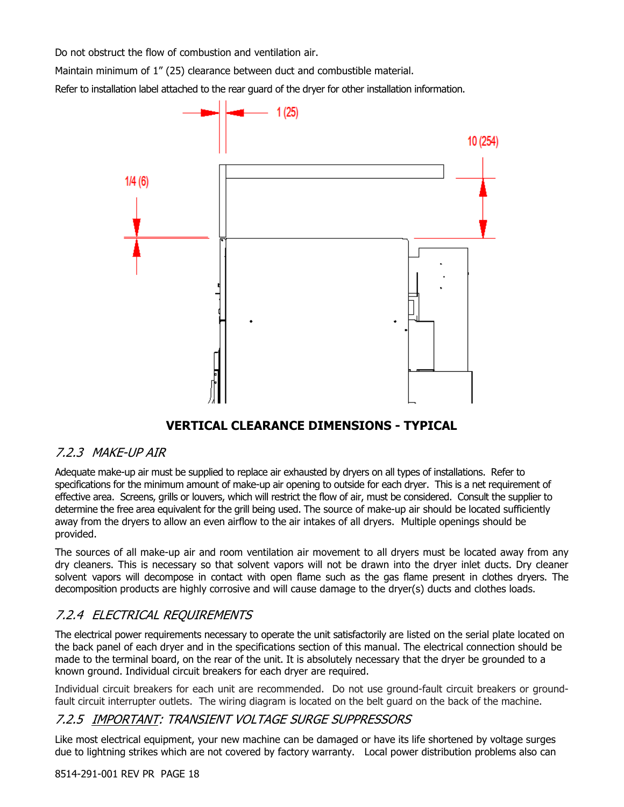Do not obstruct the flow of combustion and ventilation air.

Maintain minimum of 1" (25) clearance between duct and combustible material.

Refer to installation label attached to the rear guard of the dryer for other installation information.



### **VERTICAL CLEARANCE DIMENSIONS - TYPICAL**

### 7.2.3 MAKE-UP AIR

Adequate make-up air must be supplied to replace air exhausted by dryers on all types of installations. Refer to specifications for the minimum amount of make-up air opening to outside for each dryer. This is a net requirement of effective area. Screens, grills or louvers, which will restrict the flow of air, must be considered. Consult the supplier to determine the free area equivalent for the grill being used. The source of make-up air should be located sufficiently away from the dryers to allow an even airflow to the air intakes of all dryers. Multiple openings should be provided.

The sources of all make-up air and room ventilation air movement to all dryers must be located away from any dry cleaners. This is necessary so that solvent vapors will not be drawn into the dryer inlet ducts. Dry cleaner solvent vapors will decompose in contact with open flame such as the gas flame present in clothes dryers. The decomposition products are highly corrosive and will cause damage to the dryer(s) ducts and clothes loads.

### 7.2.4 ELECTRICAL REQUIREMENTS

The electrical power requirements necessary to operate the unit satisfactorily are listed on the serial plate located on the back panel of each dryer and in the specifications section of this manual. The electrical connection should be made to the terminal board, on the rear of the unit. It is absolutely necessary that the dryer be grounded to a known ground. Individual circuit breakers for each dryer are required.

Individual circuit breakers for each unit are recommended. Do not use ground-fault circuit breakers or groundfault circuit interrupter outlets. The wiring diagram is located on the belt guard on the back of the machine.

### 7.2.5 IMPORTANT: TRANSIENT VOLTAGE SURGE SUPPRESSORS

Like most electrical equipment, your new machine can be damaged or have its life shortened by voltage surges due to lightning strikes which are not covered by factory warranty. Local power distribution problems also can

#### 8514-291-001 REV PR PAGE 18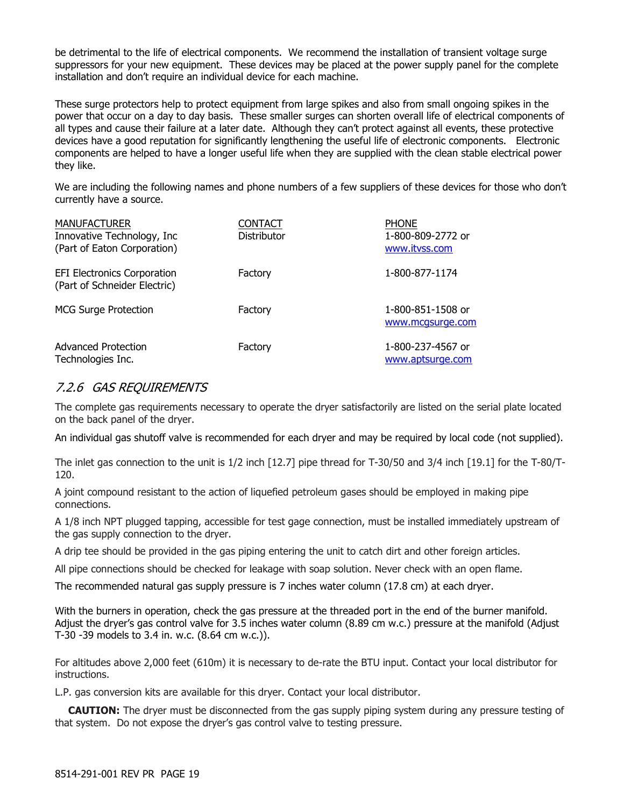be detrimental to the life of electrical components. We recommend the installation of transient voltage surge suppressors for your new equipment. These devices may be placed at the power supply panel for the complete installation and don't require an individual device for each machine.

These surge protectors help to protect equipment from large spikes and also from small ongoing spikes in the power that occur on a day to day basis. These smaller surges can shorten overall life of electrical components of all types and cause their failure at a later date. Although they can't protect against all events, these protective devices have a good reputation for significantly lengthening the useful life of electronic components. Electronic components are helped to have a longer useful life when they are supplied with the clean stable electrical power they like.

We are including the following names and phone numbers of a few suppliers of these devices for those who don't currently have a source.

| <b>MANUFACTURER</b><br>Innovative Technology, Inc<br>(Part of Eaton Corporation) | <b>CONTACT</b><br>Distributor | <b>PHONE</b><br>1-800-809-2772 or<br>www.itvss.com |
|----------------------------------------------------------------------------------|-------------------------------|----------------------------------------------------|
| <b>EFI Electronics Corporation</b><br>(Part of Schneider Electric)               | Factory                       | 1-800-877-1174                                     |
| <b>MCG Surge Protection</b>                                                      | Factory                       | 1-800-851-1508 or<br>www.mcgsurge.com              |
| Advanced Protection<br>Technologies Inc.                                         | Factory                       | 1-800-237-4567 or<br>www.aptsurge.com              |

### 7.2.6 GAS REQUIREMENTS

The complete gas requirements necessary to operate the dryer satisfactorily are listed on the serial plate located on the back panel of the dryer.

An individual gas shutoff valve is recommended for each dryer and may be required by local code (not supplied).

The inlet gas connection to the unit is 1/2 inch [12.7] pipe thread for T-30/50 and 3/4 inch [19.1] for the T-80/T-120.

A joint compound resistant to the action of liquefied petroleum gases should be employed in making pipe connections.

A 1/8 inch NPT plugged tapping, accessible for test gage connection, must be installed immediately upstream of the gas supply connection to the dryer.

A drip tee should be provided in the gas piping entering the unit to catch dirt and other foreign articles.

All pipe connections should be checked for leakage with soap solution. Never check with an open flame.

The recommended natural gas supply pressure is 7 inches water column (17.8 cm) at each dryer.

With the burners in operation, check the gas pressure at the threaded port in the end of the burner manifold. Adjust the dryer's gas control valve for 3.5 inches water column (8.89 cm w.c.) pressure at the manifold (Adjust T-30 -39 models to 3.4 in. w.c. (8.64 cm w.c.)).

For altitudes above 2,000 feet (610m) it is necessary to de-rate the BTU input. Contact your local distributor for instructions.

L.P. gas conversion kits are available for this dryer. Contact your local distributor.

**CAUTION:** The dryer must be disconnected from the gas supply piping system during any pressure testing of that system. Do not expose the dryer's gas control valve to testing pressure.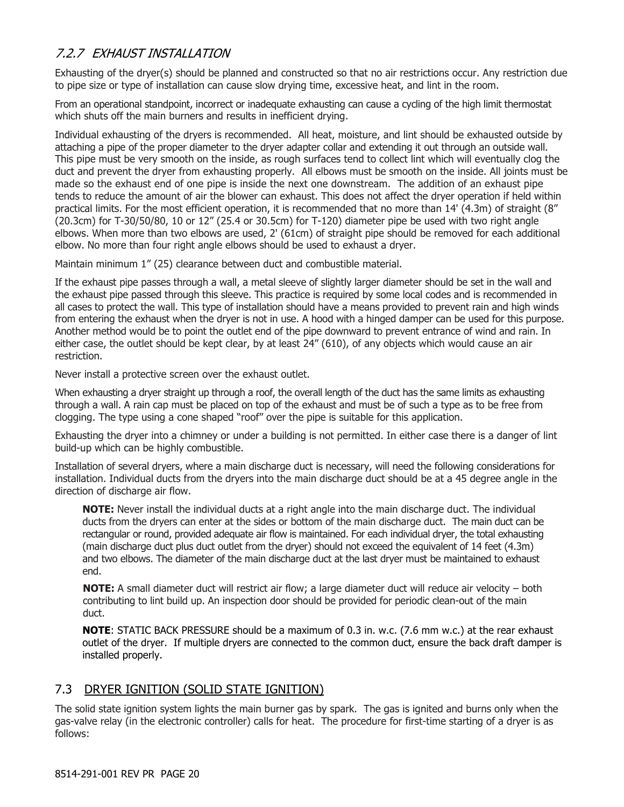### 7.2.7 EXHAUST INSTALLATION

Exhausting of the dryer(s) should be planned and constructed so that no air restrictions occur. Any restriction due to pipe size or type of installation can cause slow drying time, excessive heat, and lint in the room.

From an operational standpoint, incorrect or inadequate exhausting can cause a cycling of the high limit thermostat which shuts off the main burners and results in inefficient drying.

Individual exhausting of the dryers is recommended. All heat, moisture, and lint should be exhausted outside by attaching a pipe of the proper diameter to the dryer adapter collar and extending it out through an outside wall. This pipe must be very smooth on the inside, as rough surfaces tend to collect lint which will eventually clog the duct and prevent the dryer from exhausting properly. All elbows must be smooth on the inside. All joints must be made so the exhaust end of one pipe is inside the next one downstream. The addition of an exhaust pipe tends to reduce the amount of air the blower can exhaust. This does not affect the dryer operation if held within practical limits. For the most efficient operation, it is recommended that no more than 14' (4.3m) of straight (8" (20.3cm) for T-30/50/80, 10 or 12" (25.4 or 30.5cm) for T-120) diameter pipe be used with two right angle elbows. When more than two elbows are used, 2' (61cm) of straight pipe should be removed for each additional elbow. No more than four right angle elbows should be used to exhaust a dryer.

Maintain minimum 1" (25) clearance between duct and combustible material.

If the exhaust pipe passes through a wall, a metal sleeve of slightly larger diameter should be set in the wall and the exhaust pipe passed through this sleeve. This practice is required by some local codes and is recommended in all cases to protect the wall. This type of installation should have a means provided to prevent rain and high winds from entering the exhaust when the dryer is not in use. A hood with a hinged damper can be used for this purpose. Another method would be to point the outlet end of the pipe downward to prevent entrance of wind and rain. In either case, the outlet should be kept clear, by at least 24" (610), of any objects which would cause an air restriction.

Never install a protective screen over the exhaust outlet.

When exhausting a dryer straight up through a roof, the overall length of the duct has the same limits as exhausting through a wall. A rain cap must be placed on top of the exhaust and must be of such a type as to be free from clogging. The type using a cone shaped "roof" over the pipe is suitable for this application.

Exhausting the dryer into a chimney or under a building is not permitted. In either case there is a danger of lint build-up which can be highly combustible.

Installation of several dryers, where a main discharge duct is necessary, will need the following considerations for installation. Individual ducts from the dryers into the main discharge duct should be at a 45 degree angle in the direction of discharge air flow.

**NOTE:** Never install the individual ducts at a right angle into the main discharge duct. The individual ducts from the dryers can enter at the sides or bottom of the main discharge duct. The main duct can be rectangular or round, provided adequate air flow is maintained. For each individual dryer, the total exhausting (main discharge duct plus duct outlet from the dryer) should not exceed the equivalent of 14 feet (4.3m) and two elbows. The diameter of the main discharge duct at the last dryer must be maintained to exhaust end.

**NOTE:** A small diameter duct will restrict air flow; a large diameter duct will reduce air velocity – both contributing to lint build up. An inspection door should be provided for periodic clean-out of the main duct.

**NOTE**: STATIC BACK PRESSURE should be a maximum of 0.3 in. w.c. (7.6 mm w.c.) at the rear exhaust outlet of the dryer. If multiple dryers are connected to the common duct, ensure the back draft damper is installed properly.

### 7.3 DRYER IGNITION (SOLID STATE IGNITION)

The solid state ignition system lights the main burner gas by spark. The gas is ignited and burns only when the gas-valve relay (in the electronic controller) calls for heat. The procedure for first-time starting of a dryer is as follows: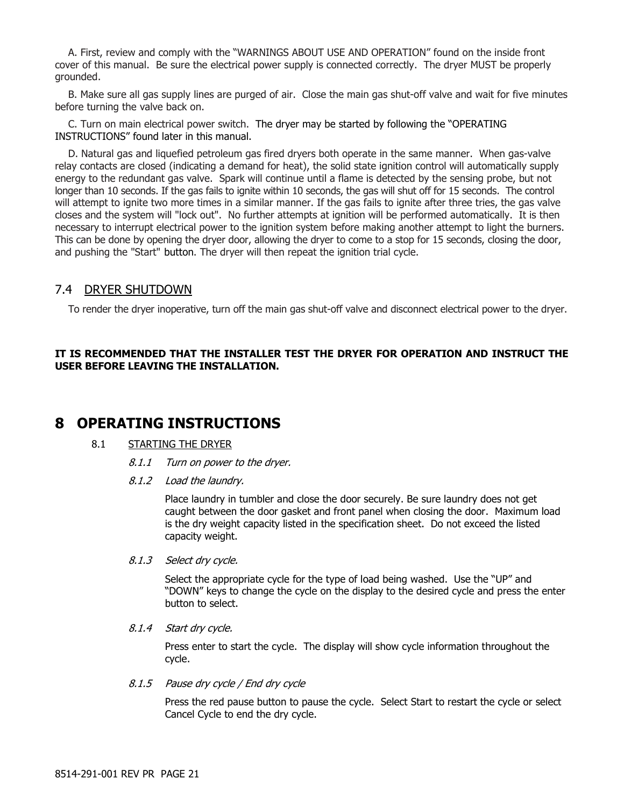A. First, review and comply with the "WARNINGS ABOUT USE AND OPERATION" found on the inside front cover of this manual. Be sure the electrical power supply is connected correctly. The dryer MUST be properly grounded.

B. Make sure all gas supply lines are purged of air. Close the main gas shut-off valve and wait for five minutes before turning the valve back on.

C. Turn on main electrical power switch. The dryer may be started by following the "OPERATING INSTRUCTIONS" found later in this manual.

D. Natural gas and liquefied petroleum gas fired dryers both operate in the same manner. When gas-valve relay contacts are closed (indicating a demand for heat), the solid state ignition control will automatically supply energy to the redundant gas valve. Spark will continue until a flame is detected by the sensing probe, but not longer than 10 seconds. If the gas fails to ignite within 10 seconds, the gas will shut off for 15 seconds. The control will attempt to ignite two more times in a similar manner. If the gas fails to ignite after three tries, the gas valve closes and the system will "lock out". No further attempts at ignition will be performed automatically. It is then necessary to interrupt electrical power to the ignition system before making another attempt to light the burners. This can be done by opening the dryer door, allowing the dryer to come to a stop for 15 seconds, closing the door, and pushing the "Start" button. The dryer will then repeat the ignition trial cycle.

### 7.4 DRYER SHUTDOWN

To render the dryer inoperative, turn off the main gas shut-off valve and disconnect electrical power to the dryer.

#### **IT IS RECOMMENDED THAT THE INSTALLER TEST THE DRYER FOR OPERATION AND INSTRUCT THE USER BEFORE LEAVING THE INSTALLATION.**

### **8 OPERATING INSTRUCTIONS**

### 8.1 STARTING THE DRYER

- 8.1.1 Turn on power to the dryer.
- 8.1.2 Load the laundry.

Place laundry in tumbler and close the door securely. Be sure laundry does not get caught between the door gasket and front panel when closing the door. Maximum load is the dry weight capacity listed in the specification sheet. Do not exceed the listed capacity weight.

### 8.1.3 Select dry cycle.

Select the appropriate cycle for the type of load being washed. Use the "UP" and "DOWN" keys to change the cycle on the display to the desired cycle and press the enter button to select.

#### 8.1.4 Start dry cycle.

Press enter to start the cycle. The display will show cycle information throughout the cycle.

#### 8.1.5 Pause dry cycle / End dry cycle

Press the red pause button to pause the cycle. Select Start to restart the cycle or select Cancel Cycle to end the dry cycle.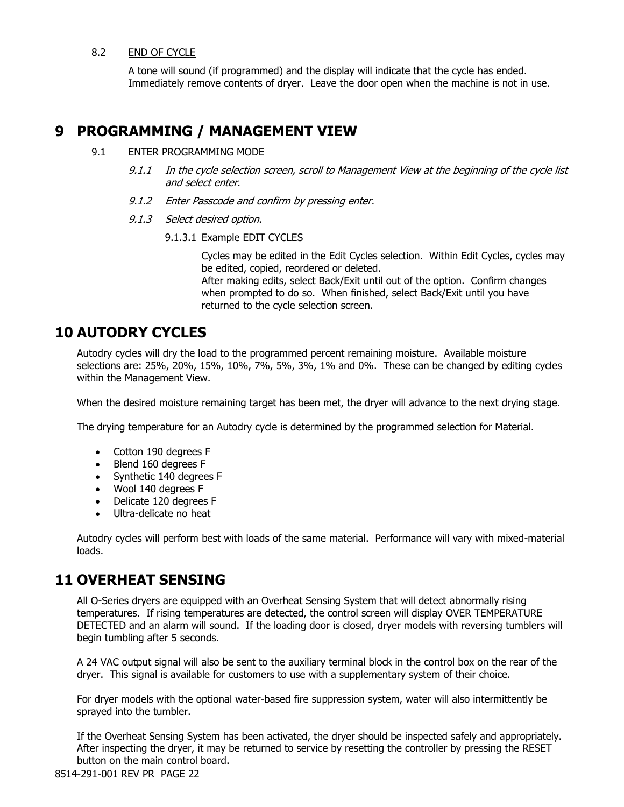#### 8.2 END OF CYCLE

A tone will sound (if programmed) and the display will indicate that the cycle has ended. Immediately remove contents of dryer. Leave the door open when the machine is not in use.

### **9 PROGRAMMING / MANAGEMENT VIEW**

#### 9.1 ENTER PROGRAMMING MODE

- 9.1.1 In the cycle selection screen, scroll to Management View at the beginning of the cycle list and select enter.
- 9.1.2 Enter Passcode and confirm by pressing enter.
- 9.1.3 Select desired option.
	- 9.1.3.1 Example EDIT CYCLES

Cycles may be edited in the Edit Cycles selection. Within Edit Cycles, cycles may be edited, copied, reordered or deleted. After making edits, select Back/Exit until out of the option. Confirm changes when prompted to do so. When finished, select Back/Exit until you have returned to the cycle selection screen.

### **10 AUTODRY CYCLES**

Autodry cycles will dry the load to the programmed percent remaining moisture. Available moisture selections are: 25%, 20%, 15%, 10%, 7%, 5%, 3%, 1% and 0%. These can be changed by editing cycles within the Management View.

When the desired moisture remaining target has been met, the dryer will advance to the next drying stage.

The drying temperature for an Autodry cycle is determined by the programmed selection for Material.

- Cotton 190 degrees F
- Blend 160 degrees F
- Synthetic 140 degrees F
- Wool 140 degrees F
- Delicate 120 degrees F
- Ultra-delicate no heat

Autodry cycles will perform best with loads of the same material. Performance will vary with mixed-material loads.

### **11 OVERHEAT SENSING**

All O-Series dryers are equipped with an Overheat Sensing System that will detect abnormally rising temperatures. If rising temperatures are detected, the control screen will display OVER TEMPERATURE DETECTED and an alarm will sound. If the loading door is closed, dryer models with reversing tumblers will begin tumbling after 5 seconds.

A 24 VAC output signal will also be sent to the auxiliary terminal block in the control box on the rear of the dryer. This signal is available for customers to use with a supplementary system of their choice.

For dryer models with the optional water-based fire suppression system, water will also intermittently be sprayed into the tumbler.

If the Overheat Sensing System has been activated, the dryer should be inspected safely and appropriately. After inspecting the dryer, it may be returned to service by resetting the controller by pressing the RESET button on the main control board.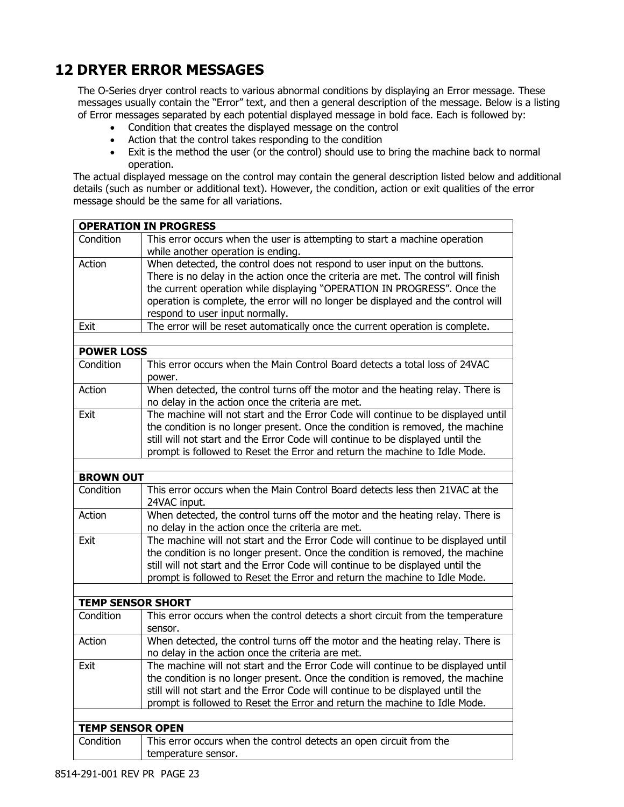## **12 DRYER ERROR MESSAGES**

The O-Series dryer control reacts to various abnormal conditions by displaying an Error message. These messages usually contain the "Error" text, and then a general description of the message. Below is a listing of Error messages separated by each potential displayed message in bold face. Each is followed by:

- Condition that creates the displayed message on the control
- Action that the control takes responding to the condition
- Exit is the method the user (or the control) should use to bring the machine back to normal operation.

The actual displayed message on the control may contain the general description listed below and additional details (such as number or additional text). However, the condition, action or exit qualities of the error message should be the same for all variations.

|                          | <b>OPERATION IN PROGRESS</b>                                                                                                                                                                                                                                                                                                                                        |  |  |  |  |  |  |
|--------------------------|---------------------------------------------------------------------------------------------------------------------------------------------------------------------------------------------------------------------------------------------------------------------------------------------------------------------------------------------------------------------|--|--|--|--|--|--|
| Condition                | This error occurs when the user is attempting to start a machine operation<br>while another operation is ending.                                                                                                                                                                                                                                                    |  |  |  |  |  |  |
| Action                   | When detected, the control does not respond to user input on the buttons.<br>There is no delay in the action once the criteria are met. The control will finish<br>the current operation while displaying "OPERATION IN PROGRESS". Once the<br>operation is complete, the error will no longer be displayed and the control will<br>respond to user input normally. |  |  |  |  |  |  |
| Exit                     | The error will be reset automatically once the current operation is complete.                                                                                                                                                                                                                                                                                       |  |  |  |  |  |  |
|                          |                                                                                                                                                                                                                                                                                                                                                                     |  |  |  |  |  |  |
| <b>POWER LOSS</b>        |                                                                                                                                                                                                                                                                                                                                                                     |  |  |  |  |  |  |
| Condition                | This error occurs when the Main Control Board detects a total loss of 24VAC<br>power.                                                                                                                                                                                                                                                                               |  |  |  |  |  |  |
| Action                   | When detected, the control turns off the motor and the heating relay. There is<br>no delay in the action once the criteria are met.                                                                                                                                                                                                                                 |  |  |  |  |  |  |
| Exit                     | The machine will not start and the Error Code will continue to be displayed until<br>the condition is no longer present. Once the condition is removed, the machine<br>still will not start and the Error Code will continue to be displayed until the<br>prompt is followed to Reset the Error and return the machine to Idle Mode.                                |  |  |  |  |  |  |
|                          |                                                                                                                                                                                                                                                                                                                                                                     |  |  |  |  |  |  |
| <b>BROWN OUT</b>         |                                                                                                                                                                                                                                                                                                                                                                     |  |  |  |  |  |  |
| Condition                | This error occurs when the Main Control Board detects less then 21VAC at the<br>24VAC input.                                                                                                                                                                                                                                                                        |  |  |  |  |  |  |
| Action                   | When detected, the control turns off the motor and the heating relay. There is<br>no delay in the action once the criteria are met.                                                                                                                                                                                                                                 |  |  |  |  |  |  |
| Exit                     | The machine will not start and the Error Code will continue to be displayed until<br>the condition is no longer present. Once the condition is removed, the machine<br>still will not start and the Error Code will continue to be displayed until the<br>prompt is followed to Reset the Error and return the machine to Idle Mode.                                |  |  |  |  |  |  |
|                          |                                                                                                                                                                                                                                                                                                                                                                     |  |  |  |  |  |  |
| <b>TEMP SENSOR SHORT</b> |                                                                                                                                                                                                                                                                                                                                                                     |  |  |  |  |  |  |
| Condition                | This error occurs when the control detects a short circuit from the temperature<br>sensor.                                                                                                                                                                                                                                                                          |  |  |  |  |  |  |
| Action                   | When detected, the control turns off the motor and the heating relay. There is<br>no delay in the action once the criteria are met.                                                                                                                                                                                                                                 |  |  |  |  |  |  |
| Exit                     | The machine will not start and the Error Code will continue to be displayed until<br>the condition is no longer present. Once the condition is removed, the machine<br>still will not start and the Error Code will continue to be displayed until the<br>prompt is followed to Reset the Error and return the machine to Idle Mode.                                |  |  |  |  |  |  |
|                          |                                                                                                                                                                                                                                                                                                                                                                     |  |  |  |  |  |  |
|                          | <b>TEMP SENSOR OPEN</b>                                                                                                                                                                                                                                                                                                                                             |  |  |  |  |  |  |
| Condition                | This error occurs when the control detects an open circuit from the<br>temperature sensor.                                                                                                                                                                                                                                                                          |  |  |  |  |  |  |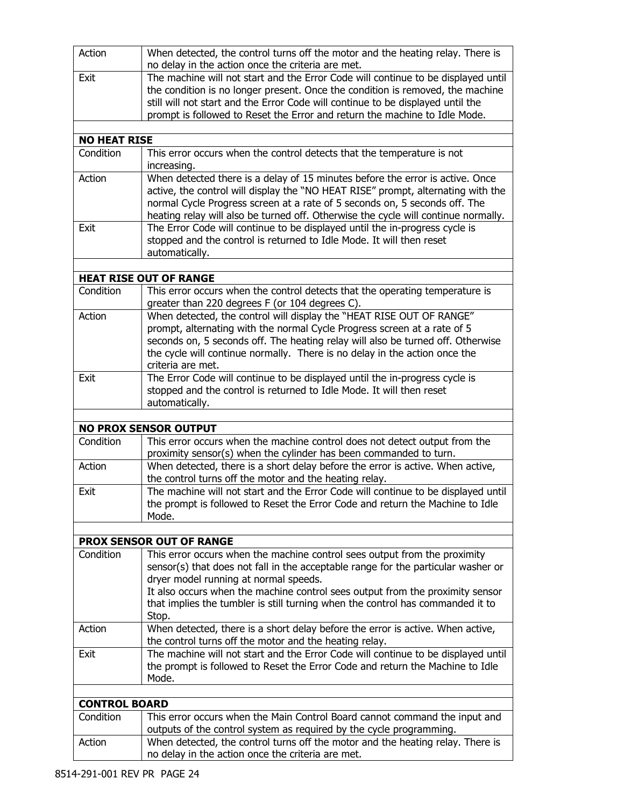| Action               | When detected, the control turns off the motor and the heating relay. There is<br>no delay in the action once the criteria are met.                              |
|----------------------|------------------------------------------------------------------------------------------------------------------------------------------------------------------|
| Exit                 | The machine will not start and the Error Code will continue to be displayed until                                                                                |
|                      | the condition is no longer present. Once the condition is removed, the machine                                                                                   |
|                      | still will not start and the Error Code will continue to be displayed until the                                                                                  |
|                      | prompt is followed to Reset the Error and return the machine to Idle Mode.                                                                                       |
| <b>NO HEAT RISE</b>  |                                                                                                                                                                  |
| Condition            | This error occurs when the control detects that the temperature is not                                                                                           |
|                      | increasing.                                                                                                                                                      |
| Action               | When detected there is a delay of 15 minutes before the error is active. Once                                                                                    |
|                      | active, the control will display the "NO HEAT RISE" prompt, alternating with the                                                                                 |
|                      | normal Cycle Progress screen at a rate of 5 seconds on, 5 seconds off. The<br>heating relay will also be turned off. Otherwise the cycle will continue normally. |
| Exit                 | The Error Code will continue to be displayed until the in-progress cycle is                                                                                      |
|                      | stopped and the control is returned to Idle Mode. It will then reset                                                                                             |
|                      | automatically.                                                                                                                                                   |
|                      |                                                                                                                                                                  |
|                      | <b>HEAT RISE OUT OF RANGE</b>                                                                                                                                    |
| Condition            | This error occurs when the control detects that the operating temperature is<br>greater than 220 degrees F (or 104 degrees C).                                   |
| Action               | When detected, the control will display the "HEAT RISE OUT OF RANGE"                                                                                             |
|                      | prompt, alternating with the normal Cycle Progress screen at a rate of 5                                                                                         |
|                      | seconds on, 5 seconds off. The heating relay will also be turned off. Otherwise                                                                                  |
|                      | the cycle will continue normally. There is no delay in the action once the<br>criteria are met.                                                                  |
| Exit                 | The Error Code will continue to be displayed until the in-progress cycle is                                                                                      |
|                      | stopped and the control is returned to Idle Mode. It will then reset                                                                                             |
|                      | automatically.                                                                                                                                                   |
|                      | <b>NO PROX SENSOR OUTPUT</b>                                                                                                                                     |
| Condition            | This error occurs when the machine control does not detect output from the                                                                                       |
|                      | proximity sensor(s) when the cylinder has been commanded to turn.                                                                                                |
| Action               | When detected, there is a short delay before the error is active. When active,                                                                                   |
| Exit                 | the control turns off the motor and the heating relay.<br>The machine will not start and the Error Code will continue to be displayed until                      |
|                      | the prompt is followed to Reset the Error Code and return the Machine to Idle                                                                                    |
|                      | Mode.                                                                                                                                                            |
|                      |                                                                                                                                                                  |
|                      | <b>PROX SENSOR OUT OF RANGE</b>                                                                                                                                  |
| Condition            | This error occurs when the machine control sees output from the proximity                                                                                        |
|                      | sensor(s) that does not fall in the acceptable range for the particular washer or<br>dryer model running at normal speeds.                                       |
|                      | It also occurs when the machine control sees output from the proximity sensor                                                                                    |
|                      | that implies the tumbler is still turning when the control has commanded it to                                                                                   |
|                      | Stop.                                                                                                                                                            |
| Action               | When detected, there is a short delay before the error is active. When active,                                                                                   |
|                      | the control turns off the motor and the heating relay.                                                                                                           |
| Exit                 | The machine will not start and the Error Code will continue to be displayed until                                                                                |
|                      | the prompt is followed to Reset the Error Code and return the Machine to Idle<br>Mode.                                                                           |
|                      |                                                                                                                                                                  |
| <b>CONTROL BOARD</b> |                                                                                                                                                                  |
| Condition            | This error occurs when the Main Control Board cannot command the input and                                                                                       |
|                      | outputs of the control system as required by the cycle programming.                                                                                              |
| Action               | When detected, the control turns off the motor and the heating relay. There is                                                                                   |
|                      | no delay in the action once the criteria are met.                                                                                                                |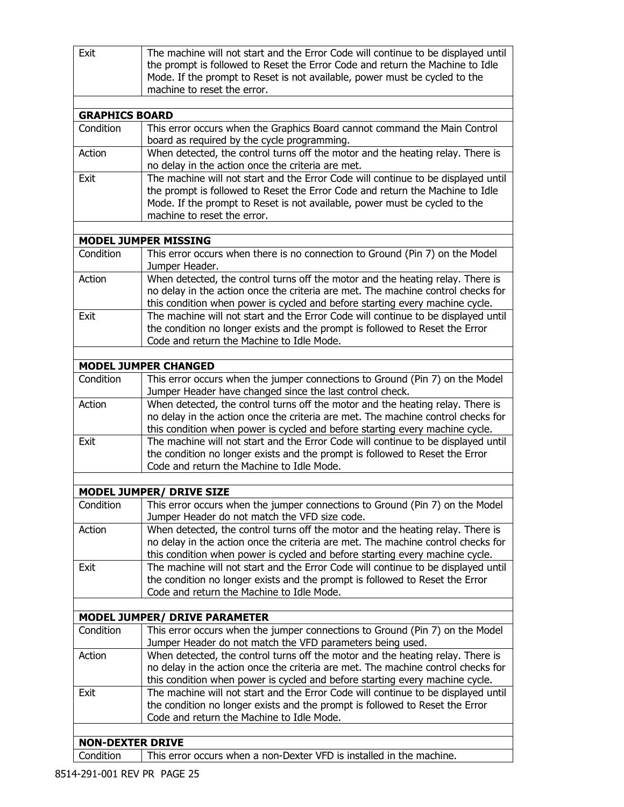| Exit                    | The machine will not start and the Error Code will continue to be displayed until                                                        |  |  |  |  |  |
|-------------------------|------------------------------------------------------------------------------------------------------------------------------------------|--|--|--|--|--|
|                         | the prompt is followed to Reset the Error Code and return the Machine to Idle                                                            |  |  |  |  |  |
|                         | Mode. If the prompt to Reset is not available, power must be cycled to the                                                               |  |  |  |  |  |
|                         | machine to reset the error.                                                                                                              |  |  |  |  |  |
| <b>GRAPHICS BOARD</b>   |                                                                                                                                          |  |  |  |  |  |
| Condition               | This error occurs when the Graphics Board cannot command the Main Control                                                                |  |  |  |  |  |
|                         | board as required by the cycle programming.                                                                                              |  |  |  |  |  |
| Action                  | When detected, the control turns off the motor and the heating relay. There is                                                           |  |  |  |  |  |
|                         | no delay in the action once the criteria are met.                                                                                        |  |  |  |  |  |
| Exit                    | The machine will not start and the Error Code will continue to be displayed until                                                        |  |  |  |  |  |
|                         | the prompt is followed to Reset the Error Code and return the Machine to Idle                                                            |  |  |  |  |  |
|                         | Mode. If the prompt to Reset is not available, power must be cycled to the                                                               |  |  |  |  |  |
|                         | machine to reset the error.                                                                                                              |  |  |  |  |  |
|                         |                                                                                                                                          |  |  |  |  |  |
| Condition               | <b>MODEL JUMPER MISSING</b>                                                                                                              |  |  |  |  |  |
|                         | This error occurs when there is no connection to Ground (Pin 7) on the Model<br>Jumper Header.                                           |  |  |  |  |  |
| Action                  | When detected, the control turns off the motor and the heating relay. There is                                                           |  |  |  |  |  |
|                         | no delay in the action once the criteria are met. The machine control checks for                                                         |  |  |  |  |  |
|                         | this condition when power is cycled and before starting every machine cycle.                                                             |  |  |  |  |  |
| Exit                    | The machine will not start and the Error Code will continue to be displayed until                                                        |  |  |  |  |  |
|                         | the condition no longer exists and the prompt is followed to Reset the Error                                                             |  |  |  |  |  |
|                         | Code and return the Machine to Idle Mode.                                                                                                |  |  |  |  |  |
|                         |                                                                                                                                          |  |  |  |  |  |
| Condition               | <b>MODEL JUMPER CHANGED</b>                                                                                                              |  |  |  |  |  |
|                         | This error occurs when the jumper connections to Ground (Pin 7) on the Model<br>Jumper Header have changed since the last control check. |  |  |  |  |  |
| Action                  | When detected, the control turns off the motor and the heating relay. There is                                                           |  |  |  |  |  |
|                         | no delay in the action once the criteria are met. The machine control checks for                                                         |  |  |  |  |  |
|                         | this condition when power is cycled and before starting every machine cycle.                                                             |  |  |  |  |  |
| Exit                    | The machine will not start and the Error Code will continue to be displayed until                                                        |  |  |  |  |  |
|                         | the condition no longer exists and the prompt is followed to Reset the Error                                                             |  |  |  |  |  |
|                         | Code and return the Machine to Idle Mode.                                                                                                |  |  |  |  |  |
|                         |                                                                                                                                          |  |  |  |  |  |
|                         | <b>MODEL JUMPER/ DRIVE SIZE</b><br>This error occurs when the jumper connections to Ground (Pin 7) on the Model                          |  |  |  |  |  |
| Condition               | Jumper Header do not match the VFD size code.                                                                                            |  |  |  |  |  |
| Action                  | When detected, the control turns off the motor and the heating relay. There is                                                           |  |  |  |  |  |
|                         | no delay in the action once the criteria are met. The machine control checks for                                                         |  |  |  |  |  |
|                         | this condition when power is cycled and before starting every machine cycle.                                                             |  |  |  |  |  |
| Exit                    | The machine will not start and the Error Code will continue to be displayed until                                                        |  |  |  |  |  |
|                         | the condition no longer exists and the prompt is followed to Reset the Error<br>Code and return the Machine to Idle Mode.                |  |  |  |  |  |
|                         |                                                                                                                                          |  |  |  |  |  |
|                         | <b>MODEL JUMPER/ DRIVE PARAMETER</b>                                                                                                     |  |  |  |  |  |
| Condition               | This error occurs when the jumper connections to Ground (Pin 7) on the Model                                                             |  |  |  |  |  |
|                         | Jumper Header do not match the VFD parameters being used.                                                                                |  |  |  |  |  |
| Action                  | When detected, the control turns off the motor and the heating relay. There is                                                           |  |  |  |  |  |
|                         | no delay in the action once the criteria are met. The machine control checks for                                                         |  |  |  |  |  |
|                         | this condition when power is cycled and before starting every machine cycle.                                                             |  |  |  |  |  |
| Exit                    | The machine will not start and the Error Code will continue to be displayed until                                                        |  |  |  |  |  |
|                         | the condition no longer exists and the prompt is followed to Reset the Error                                                             |  |  |  |  |  |
|                         | Code and return the Machine to Idle Mode.                                                                                                |  |  |  |  |  |
| <b>NON-DEXTER DRIVE</b> |                                                                                                                                          |  |  |  |  |  |
| Condition               | This error occurs when a non-Dexter VFD is installed in the machine.                                                                     |  |  |  |  |  |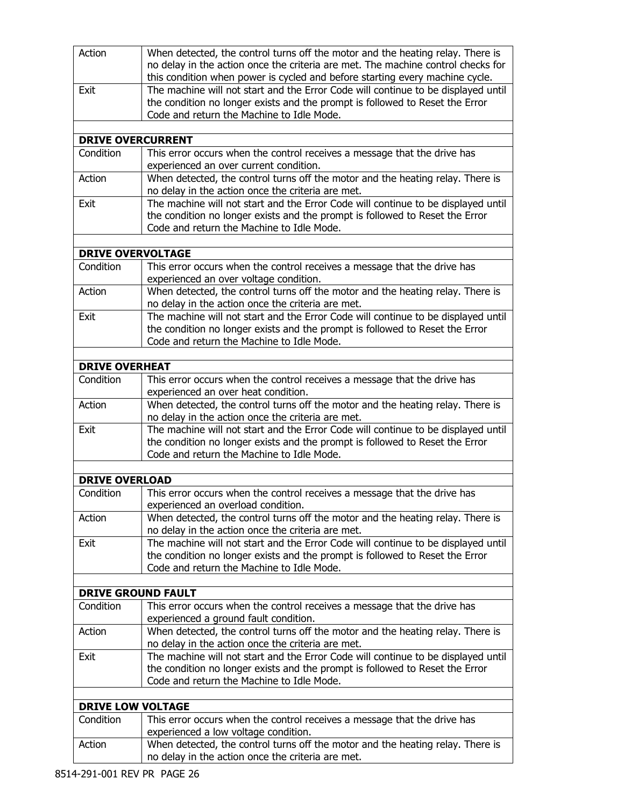| Action                    | When detected, the control turns off the motor and the heating relay. There is                                                      |
|---------------------------|-------------------------------------------------------------------------------------------------------------------------------------|
|                           | no delay in the action once the criteria are met. The machine control checks for                                                    |
|                           | this condition when power is cycled and before starting every machine cycle.                                                        |
| Exit                      | The machine will not start and the Error Code will continue to be displayed until                                                   |
|                           | the condition no longer exists and the prompt is followed to Reset the Error                                                        |
|                           | Code and return the Machine to Idle Mode.                                                                                           |
|                           |                                                                                                                                     |
| <b>DRIVE OVERCURRENT</b>  |                                                                                                                                     |
| Condition                 | This error occurs when the control receives a message that the drive has                                                            |
|                           | experienced an over current condition.                                                                                              |
| Action                    | When detected, the control turns off the motor and the heating relay. There is                                                      |
|                           | no delay in the action once the criteria are met.                                                                                   |
| Exit                      | The machine will not start and the Error Code will continue to be displayed until                                                   |
|                           | the condition no longer exists and the prompt is followed to Reset the Error                                                        |
|                           | Code and return the Machine to Idle Mode.                                                                                           |
|                           |                                                                                                                                     |
| <b>DRIVE OVERVOLTAGE</b>  |                                                                                                                                     |
| Condition                 | This error occurs when the control receives a message that the drive has                                                            |
|                           | experienced an over voltage condition.                                                                                              |
| Action                    | When detected, the control turns off the motor and the heating relay. There is                                                      |
|                           | no delay in the action once the criteria are met.                                                                                   |
| Exit                      | The machine will not start and the Error Code will continue to be displayed until                                                   |
|                           | the condition no longer exists and the prompt is followed to Reset the Error                                                        |
|                           | Code and return the Machine to Idle Mode.                                                                                           |
|                           |                                                                                                                                     |
| <b>DRIVE OVERHEAT</b>     |                                                                                                                                     |
| Condition                 | This error occurs when the control receives a message that the drive has                                                            |
|                           | experienced an over heat condition.                                                                                                 |
| Action                    | When detected, the control turns off the motor and the heating relay. There is                                                      |
|                           | no delay in the action once the criteria are met.                                                                                   |
| Exit                      | The machine will not start and the Error Code will continue to be displayed until                                                   |
|                           | the condition no longer exists and the prompt is followed to Reset the Error                                                        |
|                           | Code and return the Machine to Idle Mode.                                                                                           |
| <b>DRIVE OVERLOAD</b>     |                                                                                                                                     |
|                           |                                                                                                                                     |
| Condition                 | This error occurs when the control receives a message that the drive has                                                            |
|                           | experienced an overload condition.                                                                                                  |
| Action                    | When detected, the control turns off the motor and the heating relay. There is<br>no delay in the action once the criteria are met. |
| Exit                      | The machine will not start and the Error Code will continue to be displayed until                                                   |
|                           | the condition no longer exists and the prompt is followed to Reset the Error                                                        |
|                           | Code and return the Machine to Idle Mode.                                                                                           |
|                           |                                                                                                                                     |
| <b>DRIVE GROUND FAULT</b> |                                                                                                                                     |
| Condition                 | This error occurs when the control receives a message that the drive has                                                            |
|                           | experienced a ground fault condition.                                                                                               |
| Action                    | When detected, the control turns off the motor and the heating relay. There is                                                      |
|                           | no delay in the action once the criteria are met.                                                                                   |
| Exit                      | The machine will not start and the Error Code will continue to be displayed until                                                   |
|                           | the condition no longer exists and the prompt is followed to Reset the Error                                                        |
|                           | Code and return the Machine to Idle Mode.                                                                                           |
|                           |                                                                                                                                     |
| <b>DRIVE LOW VOLTAGE</b>  |                                                                                                                                     |
| Condition                 | This error occurs when the control receives a message that the drive has                                                            |
|                           | experienced a low voltage condition.                                                                                                |
| Action                    | When detected, the control turns off the motor and the heating relay. There is                                                      |
|                           | no delay in the action once the criteria are met.                                                                                   |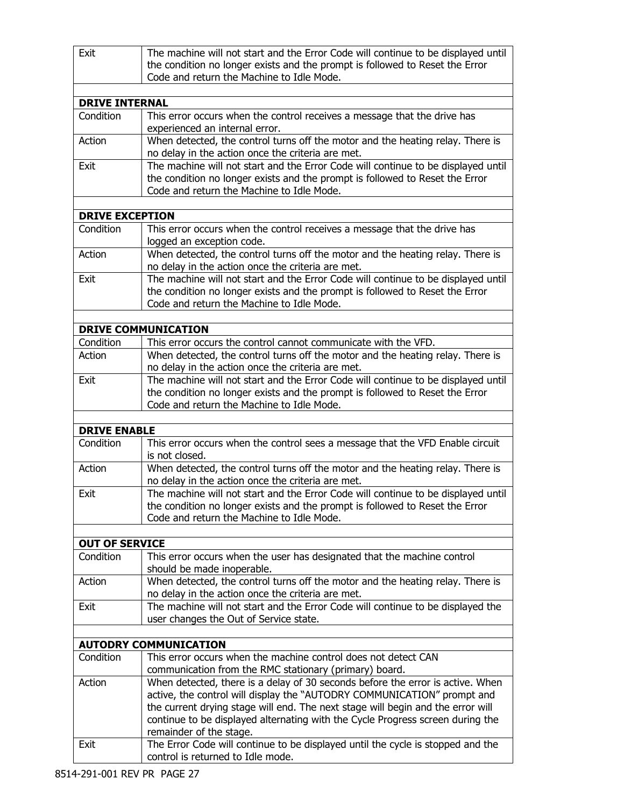| Exit                             | The machine will not start and the Error Code will continue to be displayed until                                                                                                                              |  |  |  |  |
|----------------------------------|----------------------------------------------------------------------------------------------------------------------------------------------------------------------------------------------------------------|--|--|--|--|
|                                  | the condition no longer exists and the prompt is followed to Reset the Error<br>Code and return the Machine to Idle Mode.                                                                                      |  |  |  |  |
|                                  |                                                                                                                                                                                                                |  |  |  |  |
| <b>DRIVE INTERNAL</b>            |                                                                                                                                                                                                                |  |  |  |  |
| Condition                        | This error occurs when the control receives a message that the drive has<br>experienced an internal error.                                                                                                     |  |  |  |  |
| Action                           | When detected, the control turns off the motor and the heating relay. There is<br>no delay in the action once the criteria are met.                                                                            |  |  |  |  |
| Exit                             | The machine will not start and the Error Code will continue to be displayed until<br>the condition no longer exists and the prompt is followed to Reset the Error<br>Code and return the Machine to Idle Mode. |  |  |  |  |
| <b>DRIVE EXCEPTION</b>           |                                                                                                                                                                                                                |  |  |  |  |
| Condition                        | This error occurs when the control receives a message that the drive has<br>logged an exception code.                                                                                                          |  |  |  |  |
| Action                           | When detected, the control turns off the motor and the heating relay. There is<br>no delay in the action once the criteria are met.                                                                            |  |  |  |  |
| Exit                             | The machine will not start and the Error Code will continue to be displayed until<br>the condition no longer exists and the prompt is followed to Reset the Error<br>Code and return the Machine to Idle Mode. |  |  |  |  |
|                                  |                                                                                                                                                                                                                |  |  |  |  |
|                                  | <b>DRIVE COMMUNICATION</b>                                                                                                                                                                                     |  |  |  |  |
| Condition                        | This error occurs the control cannot communicate with the VFD.                                                                                                                                                 |  |  |  |  |
| Action                           | When detected, the control turns off the motor and the heating relay. There is<br>no delay in the action once the criteria are met.                                                                            |  |  |  |  |
| Exit                             | The machine will not start and the Error Code will continue to be displayed until<br>the condition no longer exists and the prompt is followed to Reset the Error<br>Code and return the Machine to Idle Mode. |  |  |  |  |
|                                  |                                                                                                                                                                                                                |  |  |  |  |
| <b>DRIVE ENABLE</b><br>Condition |                                                                                                                                                                                                                |  |  |  |  |
|                                  | This error occurs when the control sees a message that the VFD Enable circuit<br>is not closed.                                                                                                                |  |  |  |  |
| Action                           | When detected, the control turns off the motor and the heating relay. There is<br>no delay in the action once the criteria are met.                                                                            |  |  |  |  |
| Exit                             | The machine will not start and the Error Code will continue to be displayed until<br>the condition no longer exists and the prompt is followed to Reset the Error<br>Code and return the Machine to Idle Mode. |  |  |  |  |
| <b>OUT OF SERVICE</b>            |                                                                                                                                                                                                                |  |  |  |  |
| Condition                        | This error occurs when the user has designated that the machine control<br>should be made inoperable.                                                                                                          |  |  |  |  |
| Action                           | When detected, the control turns off the motor and the heating relay. There is<br>no delay in the action once the criteria are met.                                                                            |  |  |  |  |
| Exit                             | The machine will not start and the Error Code will continue to be displayed the<br>user changes the Out of Service state.                                                                                      |  |  |  |  |
|                                  |                                                                                                                                                                                                                |  |  |  |  |
|                                  | <b>AUTODRY COMMUNICATION</b>                                                                                                                                                                                   |  |  |  |  |
| Condition                        | This error occurs when the machine control does not detect CAN                                                                                                                                                 |  |  |  |  |
|                                  | communication from the RMC stationary (primary) board.                                                                                                                                                         |  |  |  |  |
| Action                           | When detected, there is a delay of 30 seconds before the error is active. When                                                                                                                                 |  |  |  |  |
|                                  | active, the control will display the "AUTODRY COMMUNICATION" prompt and                                                                                                                                        |  |  |  |  |
|                                  | the current drying stage will end. The next stage will begin and the error will<br>continue to be displayed alternating with the Cycle Progress screen during the                                              |  |  |  |  |
|                                  | remainder of the stage.                                                                                                                                                                                        |  |  |  |  |
| Exit                             | The Error Code will continue to be displayed until the cycle is stopped and the                                                                                                                                |  |  |  |  |
|                                  | control is returned to Idle mode.                                                                                                                                                                              |  |  |  |  |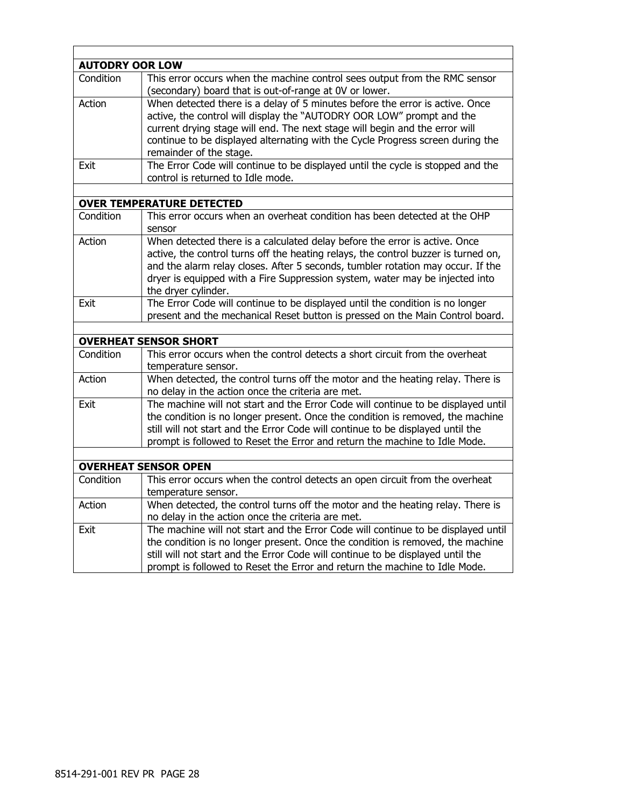| <b>AUTODRY OOR LOW</b> |                                                                                                                                                                                                                                                                                                                                                            |
|------------------------|------------------------------------------------------------------------------------------------------------------------------------------------------------------------------------------------------------------------------------------------------------------------------------------------------------------------------------------------------------|
| Condition              | This error occurs when the machine control sees output from the RMC sensor<br>(secondary) board that is out-of-range at OV or lower.                                                                                                                                                                                                                       |
| Action                 | When detected there is a delay of 5 minutes before the error is active. Once<br>active, the control will display the "AUTODRY OOR LOW" prompt and the<br>current drying stage will end. The next stage will begin and the error will<br>continue to be displayed alternating with the Cycle Progress screen during the<br>remainder of the stage.          |
| Exit                   | The Error Code will continue to be displayed until the cycle is stopped and the<br>control is returned to Idle mode.                                                                                                                                                                                                                                       |
|                        |                                                                                                                                                                                                                                                                                                                                                            |
|                        | <b>OVER TEMPERATURE DETECTED</b>                                                                                                                                                                                                                                                                                                                           |
| Condition              | This error occurs when an overheat condition has been detected at the OHP<br>sensor                                                                                                                                                                                                                                                                        |
| Action                 | When detected there is a calculated delay before the error is active. Once<br>active, the control turns off the heating relays, the control buzzer is turned on,<br>and the alarm relay closes. After 5 seconds, tumbler rotation may occur. If the<br>dryer is equipped with a Fire Suppression system, water may be injected into<br>the dryer cylinder. |
| Exit                   | The Error Code will continue to be displayed until the condition is no longer<br>present and the mechanical Reset button is pressed on the Main Control board.                                                                                                                                                                                             |
|                        |                                                                                                                                                                                                                                                                                                                                                            |
|                        | <b>OVERHEAT SENSOR SHORT</b>                                                                                                                                                                                                                                                                                                                               |
| Condition              | This error occurs when the control detects a short circuit from the overheat<br>temperature sensor.                                                                                                                                                                                                                                                        |
| Action                 | When detected, the control turns off the motor and the heating relay. There is<br>no delay in the action once the criteria are met.                                                                                                                                                                                                                        |
| Exit                   | The machine will not start and the Error Code will continue to be displayed until<br>the condition is no longer present. Once the condition is removed, the machine<br>still will not start and the Error Code will continue to be displayed until the<br>prompt is followed to Reset the Error and return the machine to Idle Mode.                       |
|                        | <b>OVERHEAT SENSOR OPEN</b>                                                                                                                                                                                                                                                                                                                                |
| Condition              |                                                                                                                                                                                                                                                                                                                                                            |
|                        | This error occurs when the control detects an open circuit from the overheat<br>temperature sensor.                                                                                                                                                                                                                                                        |
| Action                 | When detected, the control turns off the motor and the heating relay. There is<br>no delay in the action once the criteria are met.                                                                                                                                                                                                                        |
| Exit                   | The machine will not start and the Error Code will continue to be displayed until<br>the condition is no longer present. Once the condition is removed, the machine<br>still will not start and the Error Code will continue to be displayed until the<br>prompt is followed to Reset the Error and return the machine to Idle Mode.                       |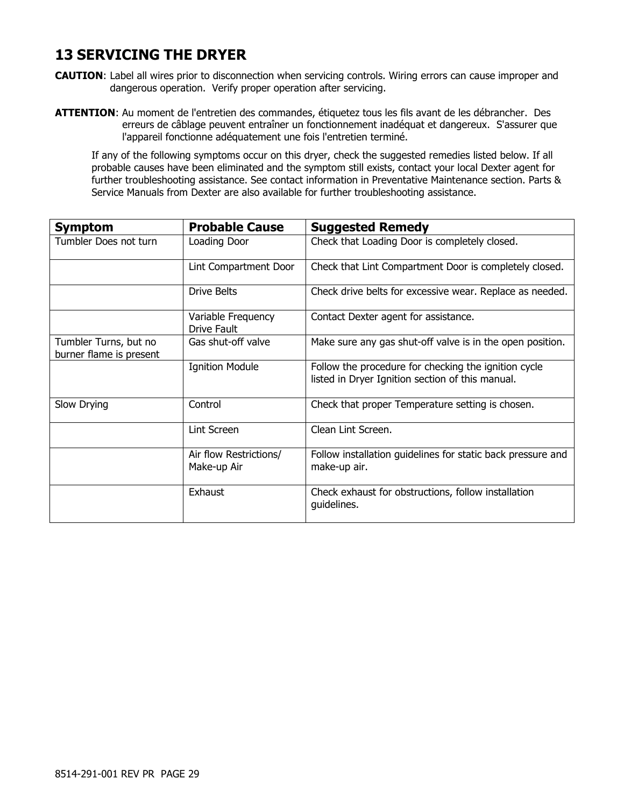## **13 SERVICING THE DRYER**

- **CAUTION**: Label all wires prior to disconnection when servicing controls. Wiring errors can cause improper and dangerous operation. Verify proper operation after servicing.
- **ATTENTION**: Au moment de l'entretien des commandes, étiquetez tous les fils avant de les débrancher. Des erreurs de câblage peuvent entraîner un fonctionnement inadéquat et dangereux. S'assurer que l'appareil fonctionne adéquatement une fois l'entretien terminé.

If any of the following symptoms occur on this dryer, check the suggested remedies listed below. If all probable causes have been eliminated and the symptom still exists, contact your local Dexter agent for further troubleshooting assistance. See contact information in Preventative Maintenance section. Parts & Service Manuals from Dexter are also available for further troubleshooting assistance.

| <b>Symptom</b>                                   | <b>Probable Cause</b>                    | <b>Suggested Remedy</b>                                                                                  |  |  |
|--------------------------------------------------|------------------------------------------|----------------------------------------------------------------------------------------------------------|--|--|
| Tumbler Does not turn                            | Loading Door                             | Check that Loading Door is completely closed.                                                            |  |  |
|                                                  | Lint Compartment Door                    | Check that Lint Compartment Door is completely closed.                                                   |  |  |
|                                                  | Drive Belts                              | Check drive belts for excessive wear. Replace as needed.                                                 |  |  |
|                                                  | Variable Frequency<br><b>Drive Fault</b> | Contact Dexter agent for assistance.                                                                     |  |  |
| Tumbler Turns, but no<br>burner flame is present | Gas shut-off valve                       | Make sure any gas shut-off valve is in the open position.                                                |  |  |
|                                                  | <b>Ignition Module</b>                   | Follow the procedure for checking the ignition cycle<br>listed in Dryer Ignition section of this manual. |  |  |
| Slow Drying                                      | Control                                  | Check that proper Temperature setting is chosen.                                                         |  |  |
|                                                  | Lint Screen                              | Clean Lint Screen.                                                                                       |  |  |
|                                                  | Air flow Restrictions/<br>Make-up Air    | Follow installation guidelines for static back pressure and<br>make-up air.                              |  |  |
|                                                  | Exhaust                                  | Check exhaust for obstructions, follow installation<br>guidelines.                                       |  |  |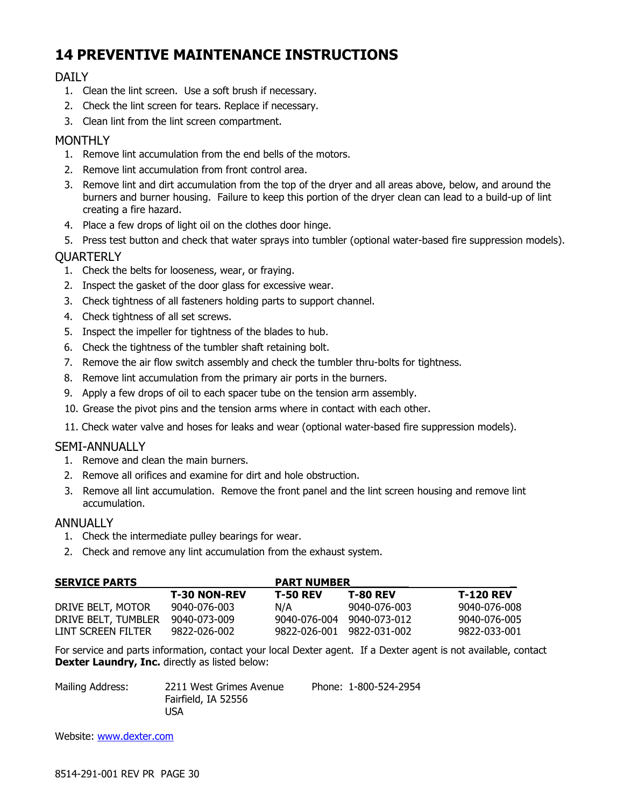## **14 PREVENTIVE MAINTENANCE INSTRUCTIONS**

### DAILY

- 1. Clean the lint screen. Use a soft brush if necessary.
- 2. Check the lint screen for tears. Replace if necessary.
- 3. Clean lint from the lint screen compartment.

### **MONTHLY**

- 1. Remove lint accumulation from the end bells of the motors.
- 2. Remove lint accumulation from front control area.
- 3. Remove lint and dirt accumulation from the top of the dryer and all areas above, below, and around the burners and burner housing. Failure to keep this portion of the dryer clean can lead to a build-up of lint creating a fire hazard.
- 4. Place a few drops of light oil on the clothes door hinge.
- 5. Press test button and check that water sprays into tumbler (optional water-based fire suppression models).

### **QUARTERLY**

- 1. Check the belts for looseness, wear, or fraying.
- 2. Inspect the gasket of the door glass for excessive wear.
- 3. Check tightness of all fasteners holding parts to support channel.
- 4. Check tightness of all set screws.
- 5. Inspect the impeller for tightness of the blades to hub.
- 6. Check the tightness of the tumbler shaft retaining bolt.
- 7. Remove the air flow switch assembly and check the tumbler thru-bolts for tightness.
- 8. Remove lint accumulation from the primary air ports in the burners.
- 9. Apply a few drops of oil to each spacer tube on the tension arm assembly.
- 10. Grease the pivot pins and the tension arms where in contact with each other.
- 11. Check water valve and hoses for leaks and wear (optional water-based fire suppression models).

### SEMI-ANNUALLY

- 1. Remove and clean the main burners.
- 2. Remove all orifices and examine for dirt and hole obstruction.
- 3. Remove all lint accumulation. Remove the front panel and the lint screen housing and remove lint accumulation.

### ANNUALLY

- 1. Check the intermediate pulley bearings for wear.
- 2. Check and remove any lint accumulation from the exhaust system.

| <b>SERVICE PARTS</b> |                     | <b>PART NUMBER</b> |                 |                  |  |
|----------------------|---------------------|--------------------|-----------------|------------------|--|
|                      | <b>T-30 NON-REV</b> | <b>T-50 REV</b>    | <b>T-80 REV</b> | <b>T-120 REV</b> |  |
| DRIVE BELT, MOTOR    | 9040-076-003        | N/A                | 9040-076-003    | 9040-076-008     |  |
| DRIVE BELT, TUMBLER  | 9040-073-009        | 9040-076-004       | 9040-073-012    | 9040-076-005     |  |
| LINT SCREEN FILTER   | 9822-026-002        | 9822-026-001       | 9822-031-002    | 9822-033-001     |  |

For service and parts information, contact your local Dexter agent. If a Dexter agent is not available, contact **Dexter Laundry, Inc.** directly as listed below:

| Mailing Address: | 2211 West Grimes Avenue | Phone: 1-800-524-2954 |
|------------------|-------------------------|-----------------------|
|                  | Fairfield, IA 52556     |                       |
|                  | USA                     |                       |

Website: www.dexter.com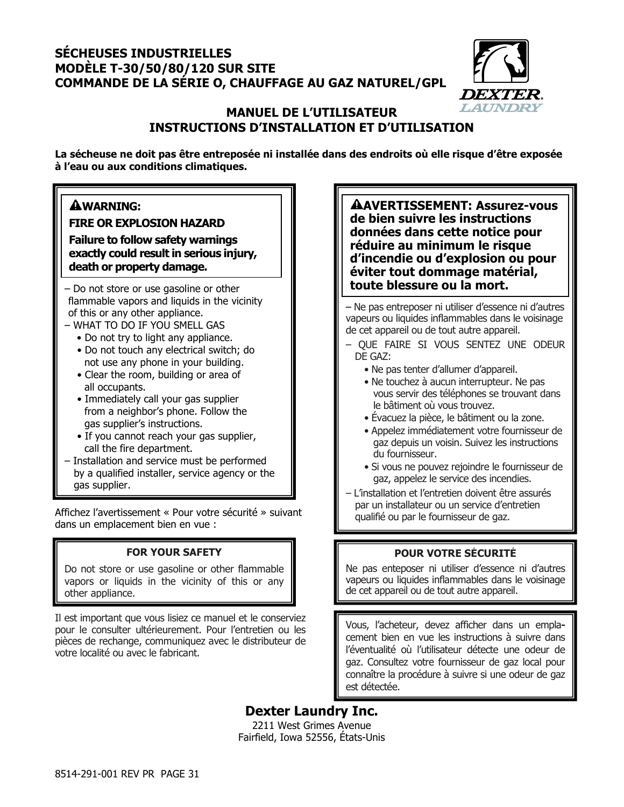### **SÉCHEUSES INDUSTRIELLES MODÈLE T-30/50/80/120 SUR SITE COMMANDE DE LA SÉRIE O, CHAUFFAGE AU GAZ NATUREL/GPL**



### **MANUEL DE L'UTILISATEUR INSTRUCTIONS D'INSTALLATION ET D'UTILISATION**

**La sécheuse ne doit pas être entreposée ni installée dans des endroits où elle risque d'être exposée à l'eau ou aux conditions climatiques.**

## **WARNING:**

**FIRE OR EXPLOSION HAZARD** 

**Failure to follow safety warnings exactly could result in serious injury, death or property damage.**

- flammable vapors and liquids in the vicinity of this or any other appliance.
- WHAT TO DO IF YOU SMELL GAS
	- Do not try to light any appliance.
	- Do not touch any electrical switch; do not use any phone in your building.
	- Clear the room, building or area of all occupants.
	- Immediately call your gas supplier from a neighbor's phone. Follow the gas supplier's instructions.
	- If you cannot reach your gas supplier, call the fire department.
- Installation and service must be performed by a qualified installer, service agency or the gas supplier.

Affichez l'avertissement « Pour votre sécurité » suivant dans un emplacement bien en vue :

### **FOR YOUR SAFETY**

Do not store or use gasoline or other flammable vapors or liquids in the vicinity of this or any other appliance.

Il est important que vous lisiez ce manuel et le conserviez pour le consulter ultérieurement. Pour l'entretien ou les pièces de rechange, communiquez avec le distributeur de votre localité ou avec le fabricant.

**AVERTISSEMENT: Assurez-vous de bien suivre les instructions données dans cette notice pour réduire au minimum le risque d'incendie ou d'explosion ou pour éviter tout dommage matérial,**   $-$  Do not store or use gasoline or other **the sum in the set of the late blessure ou la mort.** 

> – Ne pas entreposer ni utiliser d'essence ni d'autres vapeurs ou liquides inflammables dans le voisinage de cet appareil ou de tout autre appareil.

- QUE FAIRE SI VOUS SENTEZ UNE ODEUR DE GAZ:
	- Ne pas tenter d'allumer d'appareil.
	- Ne touchez à aucun interrupteur. Ne pas vous servir des téléphones se trouvant dans le bâtiment où vous trouvez.
	- Évacuez la pièce, le bâtiment ou la zone.
	- Appelez immédiatement votre fournisseur de gaz depuis un voisin. Suivez les instructions du fournisseur.
	- Si vous ne pouvez rejoindre le fournisseur de gaz, appelez le service des incendies.
- L'installation et l'entretien doivent être assurés par un installateur ou un service d'entretien qualifié ou par le fournisseur de gaz.

### **POUR VOTRE SÉCURITÉ**

Ne pas enteposer ni utiliser d'essence ni d'autres vapeurs ou liquides inflammables dans le voisinage de cet appareil ou de tout autre appareil.

Vous, l'acheteur, devez afficher dans un emplacement bien en vue les instructions à suivre dans l'éventualité où l'utilisateur détecte une odeur de gaz. Consultez votre fournisseur de gaz local pour connaître la procédure à suivre si une odeur de gaz est détectée.

**Dexter Laundry Inc.**  2211 West Grimes Avenue Fairfield, Iowa 52556, États-Unis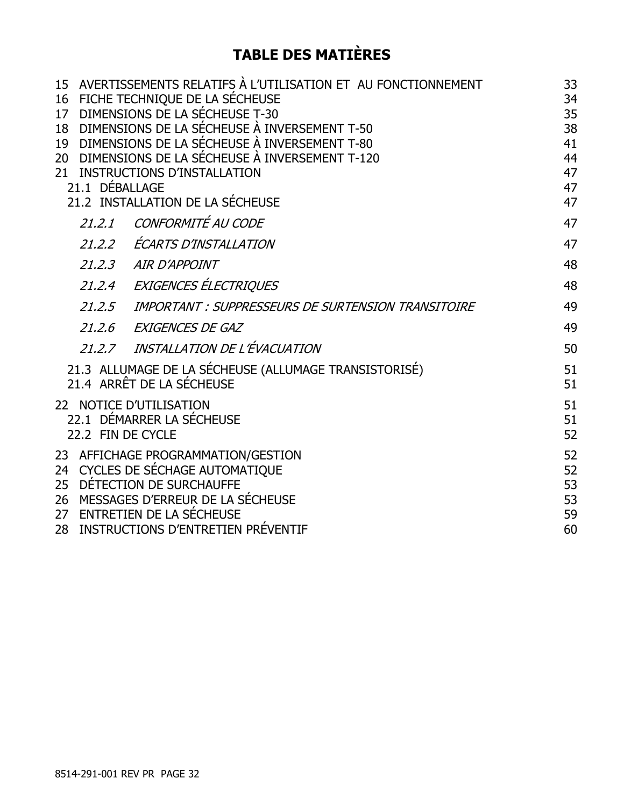## **TABLE DES MATIÈRES**

| 17 <sup>2</sup><br>18<br>19<br>$20-1$<br>21.1 DÉBALLAGE | 15 AVERTISSEMENTS RELATIFS À L'UTILISATION ET AU FONCTIONNEMENT<br>16 FICHE TECHNIQUE DE LA SÉCHEUSE<br>DIMENSIONS DE LA SÉCHEUSE T-30<br>DIMENSIONS DE LA SÉCHEUSE À INVERSEMENT T-50<br>DIMENSIONS DE LA SÉCHEUSE À INVERSEMENT T-80<br>DIMENSIONS DE LA SÉCHEUSE À INVERSEMENT T-120<br>21 INSTRUCTIONS D'INSTALLATION<br>21.2 INSTALLATION DE LA SÉCHEUSE | 33<br>34<br>35<br>38<br>41<br>44<br>47<br>47<br>47 |
|---------------------------------------------------------|---------------------------------------------------------------------------------------------------------------------------------------------------------------------------------------------------------------------------------------------------------------------------------------------------------------------------------------------------------------|----------------------------------------------------|
| 21.2.1                                                  | CONFORMITÉ AU CODE                                                                                                                                                                                                                                                                                                                                            | 47                                                 |
| 21.2.2                                                  | ÉCARTS D'INSTALLATION                                                                                                                                                                                                                                                                                                                                         | 47                                                 |
| 21, 2, 3                                                | <b>AIR D'APPOINT</b>                                                                                                                                                                                                                                                                                                                                          | 48                                                 |
| 21.2.4                                                  | EXIGENCES ÉLECTRIQUES                                                                                                                                                                                                                                                                                                                                         | 48                                                 |
| 21.2.5                                                  | IMPORTANT : SUPPRESSEURS DE SURTENSION TRANSITOIRE                                                                                                                                                                                                                                                                                                            | 49                                                 |
| 21.2.6                                                  | EXIGENCES DE GAZ                                                                                                                                                                                                                                                                                                                                              | 49                                                 |
|                                                         | 21.2.7 INSTALLATION DE L'ÉVACUATION                                                                                                                                                                                                                                                                                                                           | 50                                                 |
|                                                         | 21.3 ALLUMAGE DE LA SÉCHEUSE (ALLUMAGE TRANSISTORISÉ)<br>21.4 ARRÊT DE LA SÉCHEUSE                                                                                                                                                                                                                                                                            | 51<br>51                                           |
|                                                         | 22 NOTICE D'UTILISATION<br>22.1 DÉMARRER LA SÉCHEUSE<br>22.2 FIN DE CYCLE                                                                                                                                                                                                                                                                                     | 51<br>51<br>52                                     |
| 25 <sub>2</sub><br>27 <sub>2</sub><br>28                | 23 AFFICHAGE PROGRAMMATION/GESTION<br>24 CYCLES DE SÉCHAGE AUTOMATIQUE<br>DÉTECTION DE SURCHAUFFE<br>26 MESSAGES D'ERREUR DE LA SÉCHEUSE<br>ENTRETIEN DE LA SÉCHEUSE<br>INSTRUCTIONS D'ENTRETIEN PRÉVENTIF                                                                                                                                                    | 52<br>52<br>53<br>53<br>59<br>60                   |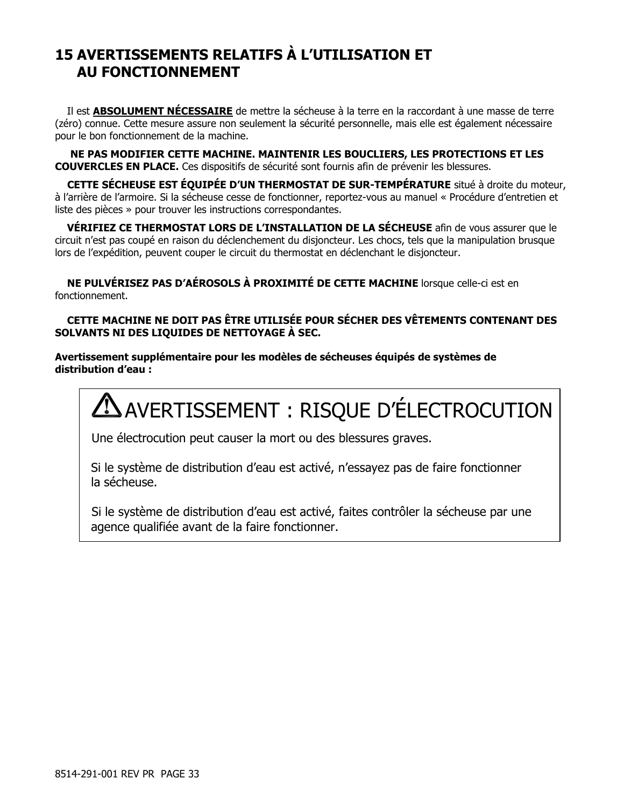## **15 AVERTISSEMENTS RELATIFS À L'UTILISATION ET AU FONCTIONNEMENT**

Il est **ABSOLUMENT NÉCESSAIRE** de mettre la sécheuse à la terre en la raccordant à une masse de terre (zéro) connue. Cette mesure assure non seulement la sécurité personnelle, mais elle est également nécessaire pour le bon fonctionnement de la machine.

**NE PAS MODIFIER CETTE MACHINE. MAINTENIR LES BOUCLIERS, LES PROTECTIONS ET LES COUVERCLES EN PLACE.** Ces dispositifs de sécurité sont fournis afin de prévenir les blessures.

**CETTE SÉCHEUSE EST ÉQUIPÉE D'UN THERMOSTAT DE SUR-TEMPÉRATURE** situé à droite du moteur, à l'arrière de l'armoire. Si la sécheuse cesse de fonctionner, reportez-vous au manuel « Procédure d'entretien et liste des pièces » pour trouver les instructions correspondantes.

**VÉRIFIEZ CE THERMOSTAT LORS DE L'INSTALLATION DE LA SÉCHEUSE** afin de vous assurer que le circuit n'est pas coupé en raison du déclenchement du disjoncteur. Les chocs, tels que la manipulation brusque lors de l'expédition, peuvent couper le circuit du thermostat en déclenchant le disjoncteur.

**NE PULVÉRISEZ PAS D'AÉROSOLS À PROXIMITÉ DE CETTE MACHINE** lorsque celle-ci est en fonctionnement.

#### **CETTE MACHINE NE DOIT PAS ÊTRE UTILISÉE POUR SÉCHER DES VÊTEMENTS CONTENANT DES SOLVANTS NI DES LIQUIDES DE NETTOYAGE À SEC.**

**Avertissement supplémentaire pour les modèles de sécheuses équipés de systèmes de distribution d'eau :** 

# AVERTISSEMENT : RISQUE D'ÉLECTROCUTION

Une électrocution peut causer la mort ou des blessures graves.

Si le système de distribution d'eau est activé, n'essayez pas de faire fonctionner la sécheuse.

Si le système de distribution d'eau est activé, faites contrôler la sécheuse par une agence qualifiée avant de la faire fonctionner.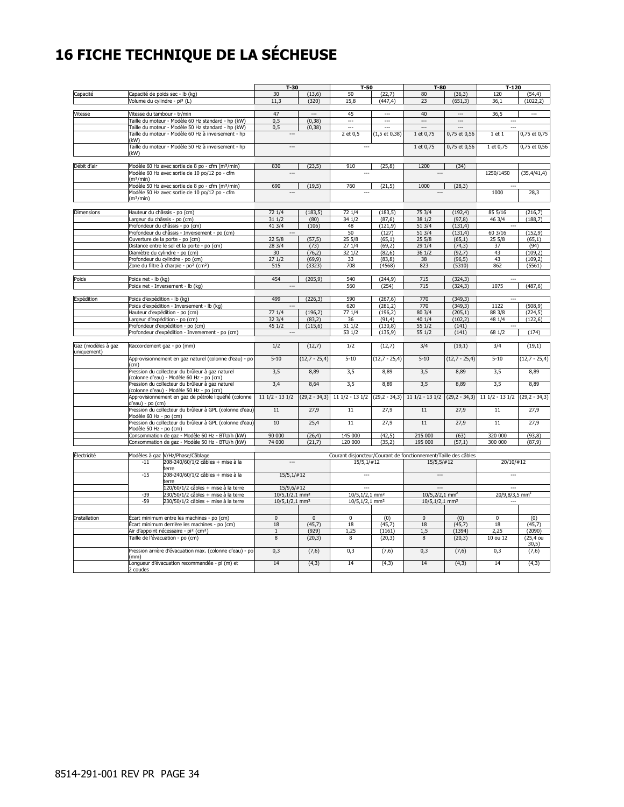# **16 FICHE TECHNIQUE DE LA SÉCHEUSE**

|                    |                                          |                                                                                                          | $T-30$                                   |                 | $T-50$                                                          |                            | $T-80$                       |                      | $T-120$                    |                   |
|--------------------|------------------------------------------|----------------------------------------------------------------------------------------------------------|------------------------------------------|-----------------|-----------------------------------------------------------------|----------------------------|------------------------------|----------------------|----------------------------|-------------------|
| Capacité           |                                          | Capacité de poids sec - lb (kg)                                                                          | 30                                       | (13, 6)         | 50                                                              | (22,7)                     | 80                           | (36, 3)              | 120                        | (54, 4)           |
|                    | Volume du cylindre - pi <sup>3</sup> (L) |                                                                                                          | 11.3                                     | (320)           | 15.8                                                            | (447.4)                    | 23                           | (651, 3)             | 36.1                       | (1022.2)          |
|                    |                                          |                                                                                                          |                                          |                 |                                                                 |                            |                              |                      |                            |                   |
| Vitesse            | Vitesse du tambour - tr/min              |                                                                                                          | 47                                       | ---             | 45                                                              | ---                        | 40                           | ---                  | 36,5                       | ---               |
|                    |                                          | Taille du moteur - Modèle 60 Hz standard - hp (kW)                                                       | 0,5                                      | (0, 38)         | ---<br>Ξ.                                                       | <br>                       | Ξ.                           | ---                  | Щ,                         |                   |
|                    |                                          | Taille du moteur - Modèle 50 Hz standard - hp (kW)<br>Taille du moteur - Modèle 60 Hz à inversement - hp | 0,5                                      | (0, 38)         | 2 et 0,5                                                        | $(1, 5 \text{ et } 0, 38)$ | 1 et 0,75                    | 0,75 et 0,56         | 1 et 1                     | 0,75 et 0,75      |
|                    | (kW)                                     |                                                                                                          |                                          |                 |                                                                 |                            |                              |                      |                            |                   |
|                    |                                          | Taille du moteur - Modèle 50 Hz à inversement - hp                                                       | $\overline{a}$                           |                 | ---                                                             |                            | 1 et 0,75                    | 0,75 et 0,56         | 1 et 0,75                  | 0,75 et 0,56      |
|                    | (kW)                                     |                                                                                                          |                                          |                 |                                                                 |                            |                              |                      |                            |                   |
|                    |                                          |                                                                                                          |                                          |                 |                                                                 |                            |                              |                      |                            |                   |
| Débit d'air        |                                          | Modèle 60 Hz avec sortie de 8 po - cfm (m <sup>3</sup> /min)                                             | 830                                      | (23.5)          | 910                                                             | (25.8)                     | 1200                         | (34)                 |                            |                   |
|                    | (m <sup>3</sup> /min)                    | Modèle 60 Hz avec sortie de 10 po/12 po - cfm                                                            |                                          |                 |                                                                 |                            |                              |                      | 1250/1450                  | (35, 4/41, 4)     |
|                    |                                          | Modèle 50 Hz avec sortie de 8 po - cfm (m <sup>3</sup> /min)                                             | 690                                      | (19,5)          | 760                                                             | (21, 5)                    | 1000                         | (28, 3)              |                            |                   |
|                    |                                          | Modèle 50 Hz avec sortie de 10 po/12 po - cfm                                                            |                                          |                 |                                                                 |                            |                              |                      | 1000                       | 28,3              |
|                    | (m <sup>3</sup> /min)                    |                                                                                                          |                                          |                 |                                                                 |                            |                              |                      |                            |                   |
|                    |                                          |                                                                                                          |                                          |                 |                                                                 |                            |                              |                      |                            |                   |
| Dimensions         | Hauteur du châssis - po (cm)             |                                                                                                          | 72 1/4                                   | (183, 5)        | 72 1/4                                                          | (183, 5)                   | 75 3/4                       | (192, 4)             | 85 5/16                    | (216, 7)          |
|                    | Largeur du châssis - po (cm)             | Profondeur du châssis - po (cm)                                                                          | 31 1/2<br>41 3/4                         | (80)<br>(106)   | 34 1/2<br>48                                                    | (87, 6)<br>(121, 9)        | 38 1/2<br>513/4              | (97, 8)<br>(131, 4)  | 46 3/4                     | (188, 7)          |
|                    |                                          | Profondeur du châssis - Inversement - po (cm)                                                            | ---                                      |                 | 50                                                              | (127)                      | 513/4                        | (131, 4)             | 603/16                     | (152, 9)          |
|                    |                                          | Ouverture de la porte - po (cm)                                                                          | 22 <sub>5/8</sub>                        | (57, 5)         | 255/8                                                           | (65,1)                     | 255/8                        | (65,1)               | 255/8                      | (65,1)            |
|                    |                                          | Distance entre le sol et la porte - po (cm)                                                              | 28 3/4                                   | (73)            | 27 1/4                                                          | (69, 2)                    | 29 1/4                       | (74, 3)              | 37                         | (94)              |
|                    |                                          | Diamètre du cylindre - po (cm)                                                                           | 30                                       | (76, 2)         | 32 1/2                                                          | (82, 6)                    | 36 1/2                       | (92,7)               | 43                         | (109, 2)          |
|                    |                                          | Profondeur du cylindre - po (cm)                                                                         | 271/2                                    | (69, 9)         | 33                                                              | (83,8)                     | 38                           | (96, 5)              | 43                         | (109, 2)          |
|                    |                                          | Zone du filtre à charpie - po <sup>2</sup> (cm <sup>2</sup> )                                            | 515                                      | (3323)          | 708                                                             | (4568)                     | 823                          | (5310)               | 862                        | (5561)            |
|                    |                                          |                                                                                                          | 454                                      |                 | 540                                                             |                            | 715                          |                      | $\overline{\phantom{a}}$   |                   |
| Poids              | Poids net - Ib (kg)                      | Poids net - Inversement - lb (kg)                                                                        | $---$                                    | (205, 9)        | 560                                                             | (244, 9)<br>(254)          | 715                          | (324, 3)<br>(324, 3) | 1075                       | (487, 6)          |
|                    |                                          |                                                                                                          |                                          |                 |                                                                 |                            |                              |                      |                            |                   |
| Expédition         | Poids d'expédition - lb (kg)             |                                                                                                          | 499                                      | (226, 3)        | 590                                                             | (267, 6)                   | 770                          | (349, 3)             | $\overline{a}$             |                   |
|                    |                                          | Poids d'expédition - Inversement - lb (kg)                                                               | $\overline{a}$                           |                 | 620                                                             | (281.2)                    | 770                          | (349.3)              | 1122                       | (508.9)           |
|                    |                                          | Hauteur d'expédition - po (cm)                                                                           | 77 1/4                                   | (196, 2)        | 77 1/4                                                          | (196.2)                    | 80 3/4                       | (205.1)              | 88 3/8                     | (224.5)           |
|                    |                                          | Largeur d'expédition - po (cm)                                                                           | 32 3/4                                   | (83,2)          | 36                                                              | (91, 4)                    | 40 1/4                       | (102, 2)             | 48 1/4                     | (122.6)           |
|                    |                                          | Profondeur d'expédition - po (cm)<br>Profondeur d'expédition - Inversement - po (cm)                     | 45 1/2<br>$\sim$                         | (115, 6)        | 51 1/2<br>53 1/2                                                | (130, 8)<br>(135, 9)       | 55 1/2<br>55 1/2             | (141)<br>(141)       | 68 1/2                     | (174)             |
|                    |                                          |                                                                                                          |                                          |                 |                                                                 |                            |                              |                      |                            |                   |
| Gaz (modèles à gaz |                                          | Raccordement gaz - po (mm)                                                                               | 1/2                                      | (12,7)          | 1/2                                                             | (12,7)                     | 3/4                          | (19,1)               | 3/4                        | (19,1)            |
| uniquement)        |                                          |                                                                                                          |                                          |                 |                                                                 |                            |                              |                      |                            |                   |
|                    |                                          | Approvisionnement en gaz naturel (colonne d'eau) - po                                                    | $5 - 10$                                 | $(12,7 - 25,4)$ | $5 - 10$                                                        | $(12,7 - 25,4)$            | $5 - 10$                     | $(12,7 - 25,4)$      | $5 - 10$                   | $(12,7 - 25,4)$   |
|                    | (cm)                                     | Pression du collecteur du brûleur à gaz naturel                                                          | 3,5                                      | 8,89            | 3,5                                                             | 8,89                       | 3,5                          | 8,89                 | 3,5                        | 8,89              |
|                    |                                          | (colonne d'eau) - Modèle 60 Hz - po (cm)                                                                 |                                          |                 |                                                                 |                            |                              |                      |                            |                   |
|                    |                                          | Pression du collecteur du brûleur à gaz naturel                                                          | 3,4                                      | 8,64            | 3,5                                                             | 8,89                       | 3,5                          | 8,89                 | 3,5                        | 8,89              |
|                    |                                          | (colonne d'eau) - Modèle 50 Hz - po (cm)                                                                 |                                          |                 |                                                                 |                            |                              |                      |                            |                   |
|                    |                                          | Approvisionnement en gaz de pétrole liquéfié (colonne                                                    | $111/2 - 131/2$                          |                 | $(29,2 - 34,3)$ 11 1/2 - 13 1/2 $(29,2 - 34,3)$ 11 1/2 - 13 1/2 |                            |                              | $(29, 2 - 34, 3)$    | $111/2 - 131/2$            | $(29, 2 - 34, 3)$ |
|                    | d'eau) - po (cm)                         | Pression du collecteur du brûleur à GPL (colonne d'eau)                                                  | 11                                       | 27,9            | 11                                                              | 27,9                       | 11                           | 27,9                 | 11                         | 27,9              |
|                    | Modèle 60 Hz - po (cm)                   |                                                                                                          |                                          |                 |                                                                 |                            |                              |                      |                            |                   |
|                    |                                          | Pression du collecteur du brûleur à GPL (colonne d'eau)                                                  | 10                                       | 25,4            | 11                                                              | 27,9                       | $\overline{11}$              | 27,9                 | 11                         | 27,9              |
|                    | Modèle 50 Hz - po (cm)                   |                                                                                                          |                                          |                 |                                                                 |                            |                              |                      |                            |                   |
|                    |                                          | Consommation de gaz - Modèle 60 Hz - BTU/h (kW)                                                          | 90 000                                   | (26, 4)         | 145 000                                                         | (42, 5)                    | 215 000                      | (63)                 | 320 000                    | (93, 8)           |
|                    |                                          | Consommation de gaz - Modèle 50 Hz - BTU/h (kW)                                                          | 74 000                                   | (21,7)          | 120 000                                                         | (35,2)                     | 195 000                      | (57,1)               | 300 000                    | (87, 9)           |
| Électricité        |                                          | Modèles à gaz V/Hz/Phase/Câblage                                                                         |                                          |                 | Courant disjoncteur/Courant de fonctionnement/Taille des câbles |                            |                              |                      |                            |                   |
|                    | $-11$                                    | 208-240/60/1/2 câbles + mise à la                                                                        |                                          |                 | $15/5, 1/\#12$                                                  |                            | 15/5, 5/#12                  |                      | $20/10/\#12$               |                   |
|                    |                                          | terre                                                                                                    |                                          |                 |                                                                 |                            |                              |                      |                            |                   |
|                    | $-15$                                    | 208-240/60/1/2 câbles + mise à la                                                                        | $15/5, 1/\#12$                           |                 | $\sim$                                                          |                            | $\overline{\phantom{a}}$     |                      | $\overline{a}$             |                   |
|                    |                                          | terre<br>120/60/1/2 câbles + mise à la terre                                                             |                                          |                 |                                                                 |                            |                              |                      |                            |                   |
|                    | $-39$                                    | 230/50/1/2 câbles + mise à la terre                                                                      | 15/9,6/#12<br>10/5,1/2,1 mm <sup>2</sup> |                 | 10/5,1/2,1 mm <sup>2</sup>                                      |                            | $10/5,2/2,1$ mm <sup>2</sup> |                      | 20/9,8/3,5 mm <sup>2</sup> |                   |
|                    | $-59$                                    | 230/50/1/2 câbles + mise à la terre                                                                      | $10/5, 1/2, 1$ mm <sup>2</sup>           |                 | 10/5,1/2,1 mm <sup>2</sup>                                      |                            | 10/5,1/2,1 mm <sup>2</sup>   |                      |                            |                   |
|                    |                                          |                                                                                                          |                                          |                 |                                                                 |                            |                              |                      |                            |                   |
| Installation       |                                          | Écart minimum entre les machines - po (cm)                                                               | $\overline{0}$                           | $\overline{0}$  | $\overline{0}$                                                  | (0)                        | $\overline{0}$               | (0)                  | $\overline{0}$             | (0)               |
|                    |                                          | Écart minimum derrière les machines - po (cm)                                                            | 18                                       | (45,7)          | 18                                                              | (45,7)                     | 18                           | (45,7)               | 18                         | (45,7)            |
|                    |                                          | Air d'appoint nécessaire - pi <sup>2</sup> (cm <sup>2</sup> )                                            | $\mathbf{1}$                             | (929)           | 1,25                                                            | (1161)                     | 1,5                          | (1394)               | 2,25                       | (2090)            |
|                    |                                          | Taille de l'évacuation - po (cm)                                                                         | $\overline{8}$                           | (20,3)          | 8                                                               | (20,3)                     | 8                            | (20,3)               | 10 ou 12                   | $(25, 4$ ou       |
|                    |                                          |                                                                                                          |                                          |                 |                                                                 |                            |                              |                      |                            | 30,5)             |
|                    | (mm)                                     | Pression arrière d'évacuation max. (colonne d'eau) - po                                                  | 0,3                                      | (7, 6)          | 0,3                                                             | (7, 6)                     | 0,3                          | (7, 6)               | 0,3                        | (7, 6)            |
|                    |                                          | Longueur d'évacuation recommandée - pi (m) et                                                            | 14                                       | (4,3)           | 14                                                              | (4,3)                      | 14                           | (4,3)                | 14                         | (4,3)             |
|                    | 2 coudes                                 |                                                                                                          |                                          |                 |                                                                 |                            |                              |                      |                            |                   |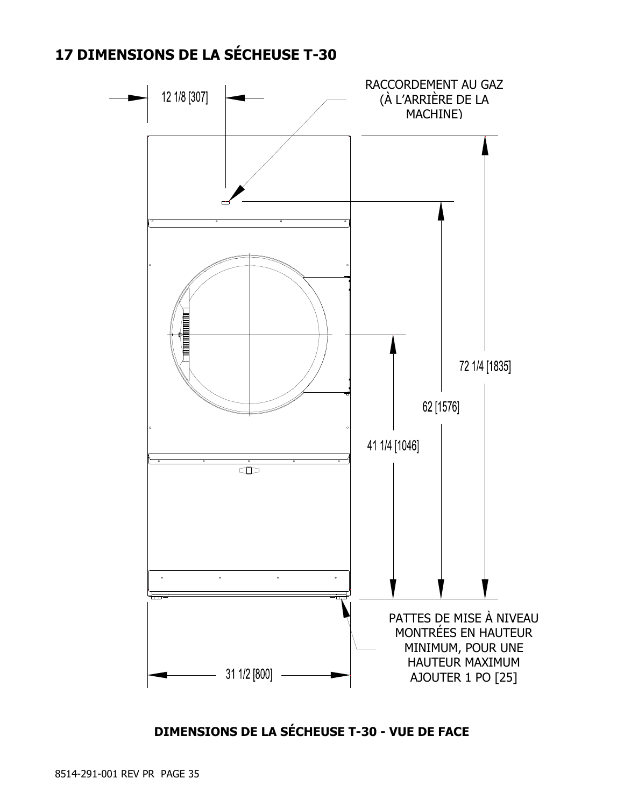## **17 DIMENSIONS DE LA SÉCHEUSE T-30**



**DIMENSIONS DE LA SÉCHEUSE T-30 - VUE DE FACE**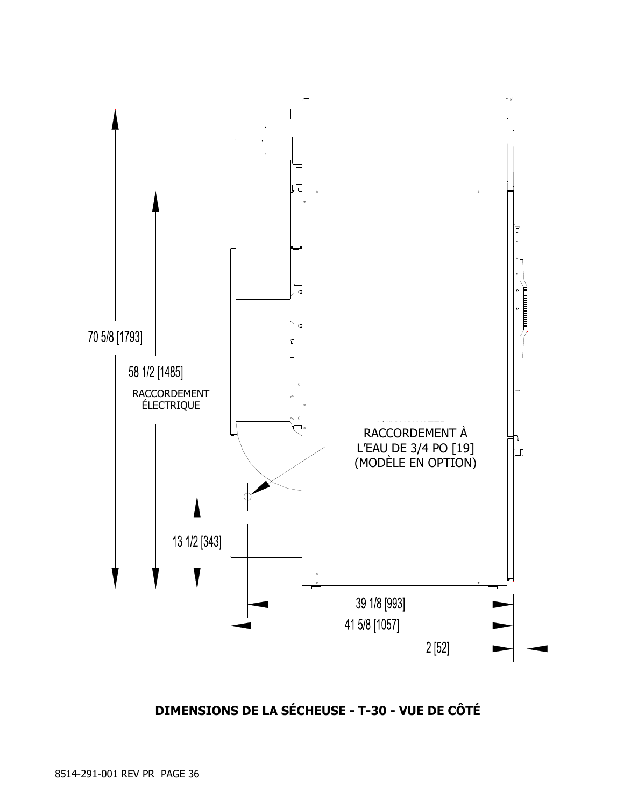

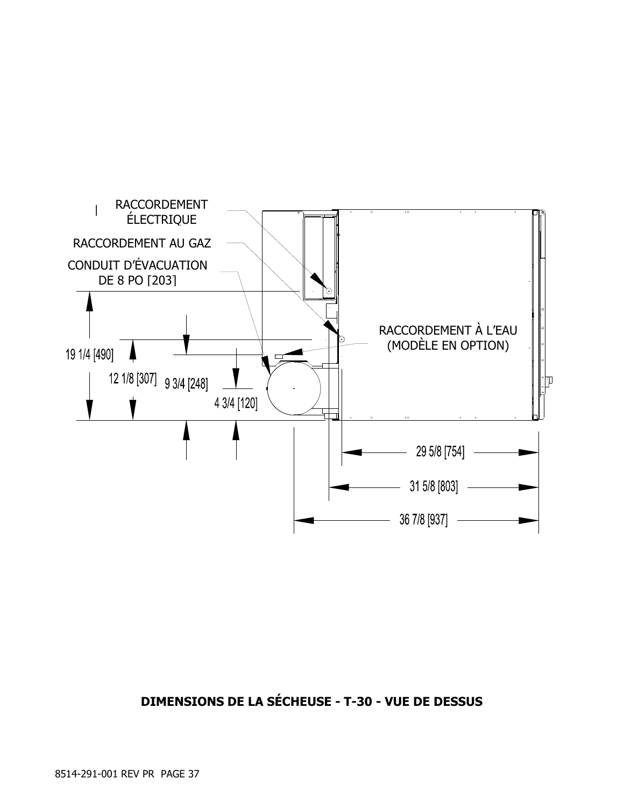

### **DIMENSIONS DE LA SÉCHEUSE - T-30 - VUE DE DESSUS**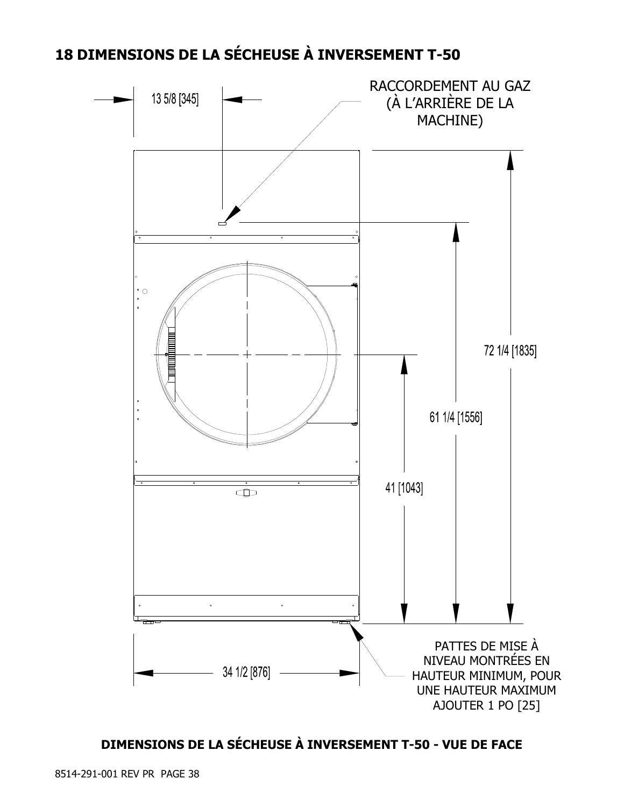## **18 DIMENSIONS DE LA SÉCHEUSE À INVERSEMENT T-50**



## **DIMENSIONS DE LA SÉCHEUSE À INVERSEMENT T-50 - VUE DE FACE**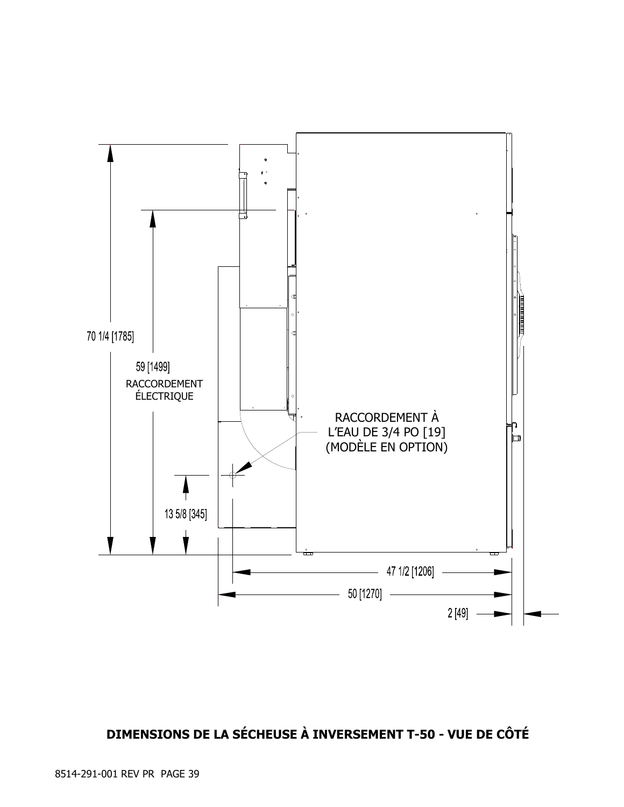

## **DIMENSIONS DE LA SÉCHEUSE À INVERSEMENT T-50 - VUE DE CÔTÉ**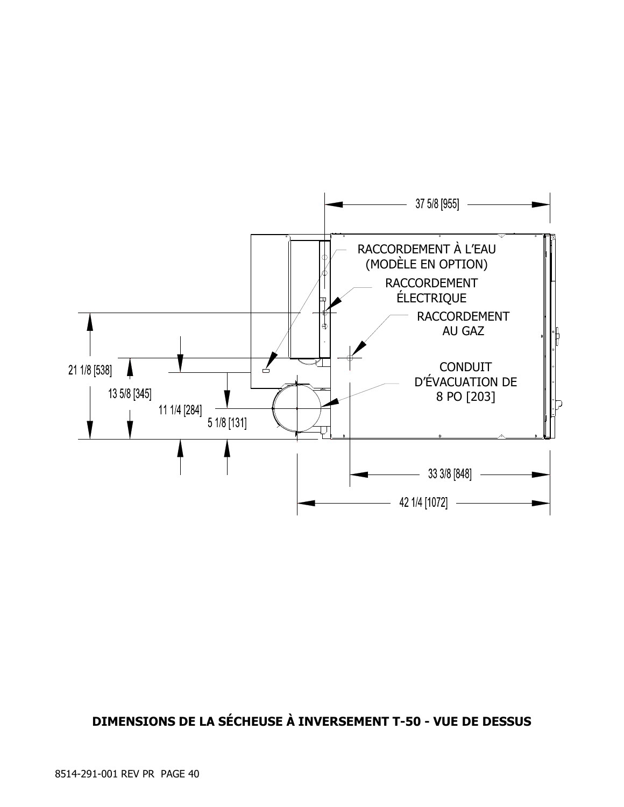

### **DIMENSIONS DE LA SÉCHEUSE À INVERSEMENT T-50 - VUE DE DESSUS**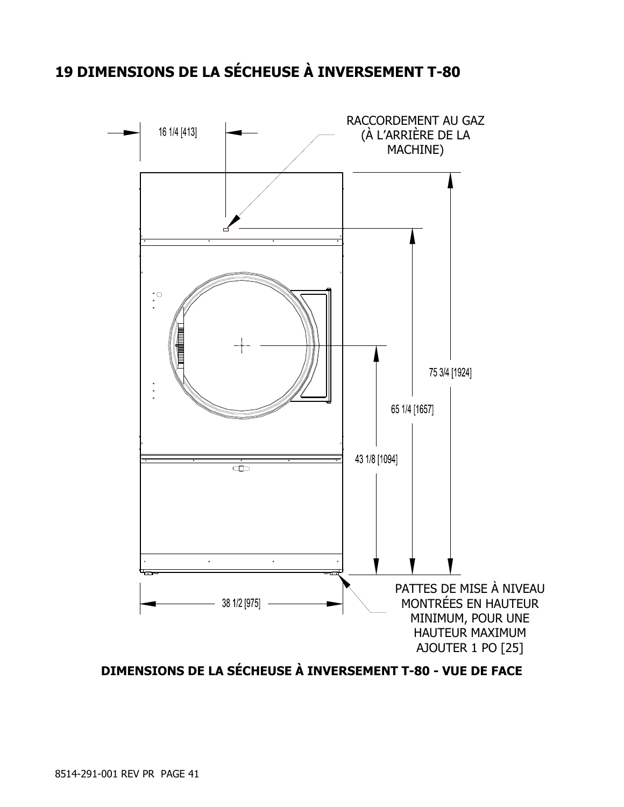## **19 DIMENSIONS DE LA SÉCHEUSE À INVERSEMENT T-80**



**DIMENSIONS DE LA SÉCHEUSE À INVERSEMENT T-80 - VUE DE FACE**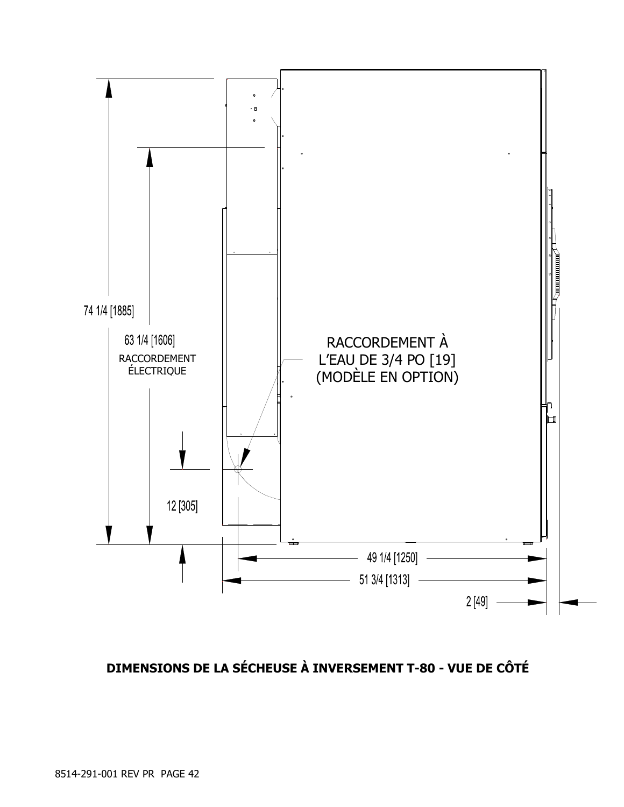

## **DIMENSIONS DE LA SÉCHEUSE À INVERSEMENT T-80 - VUE DE CÔTÉ**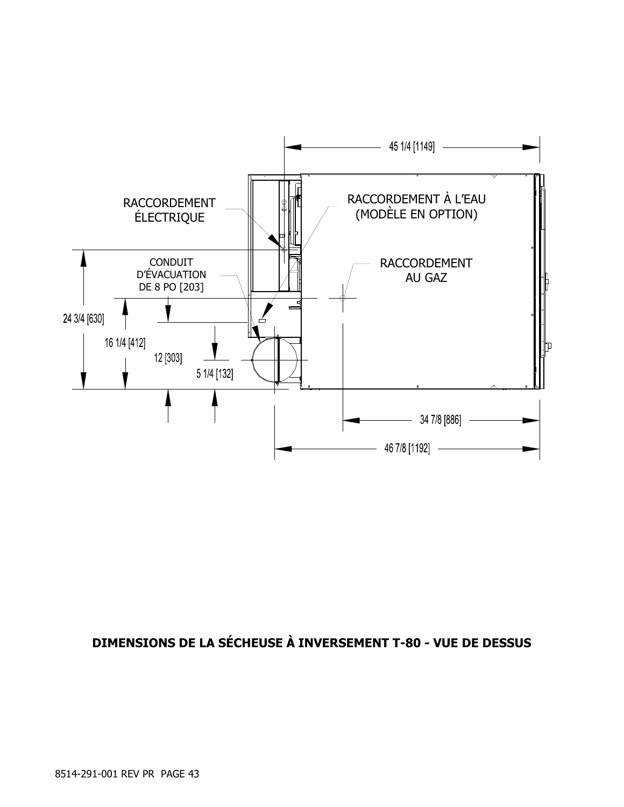

## **DIMENSIONS DE LA SÉCHEUSE À INVERSEMENT T-80 - VUE DE DESSUS**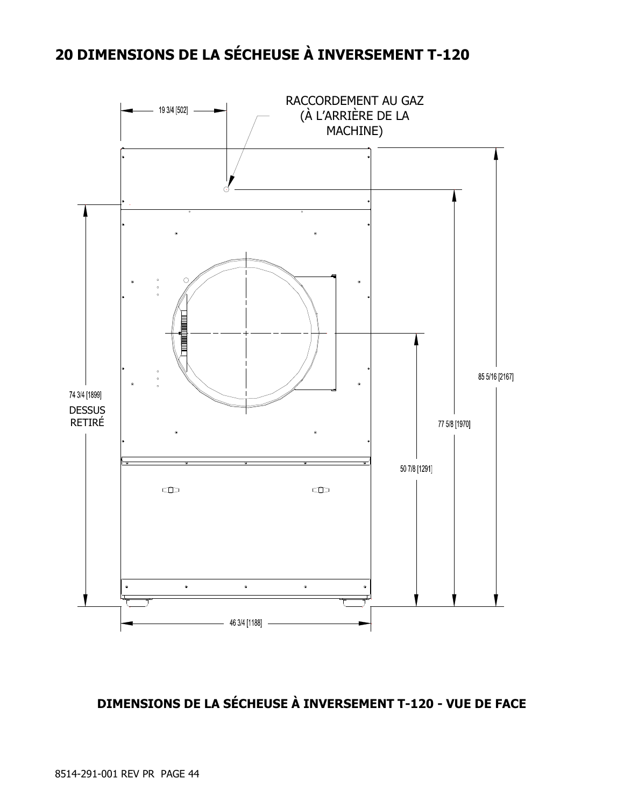## **20 DIMENSIONS DE LA SÉCHEUSE À INVERSEMENT T-120**



### **DIMENSIONS DE LA SÉCHEUSE À INVERSEMENT T-120 - VUE DE FACE**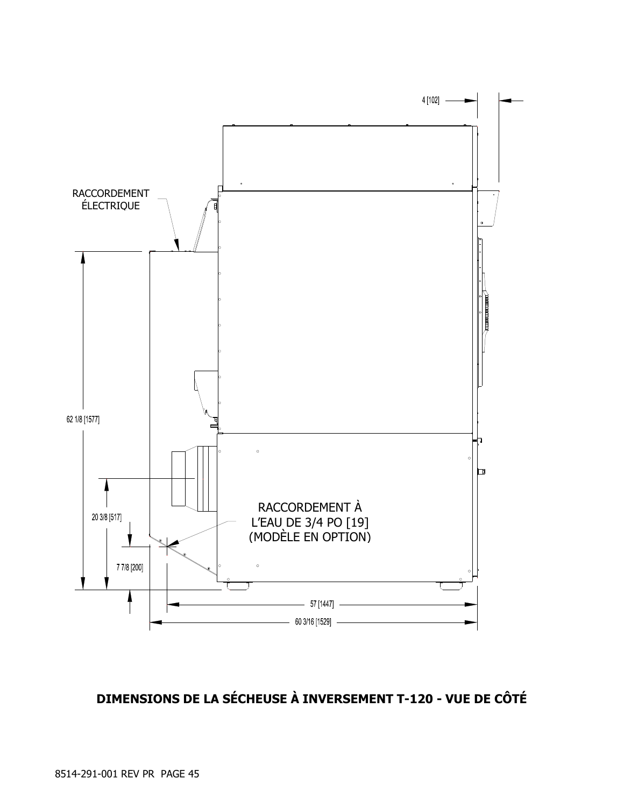

## **DIMENSIONS DE LA SÉCHEUSE À INVERSEMENT T-120 - VUE DE CÔTÉ**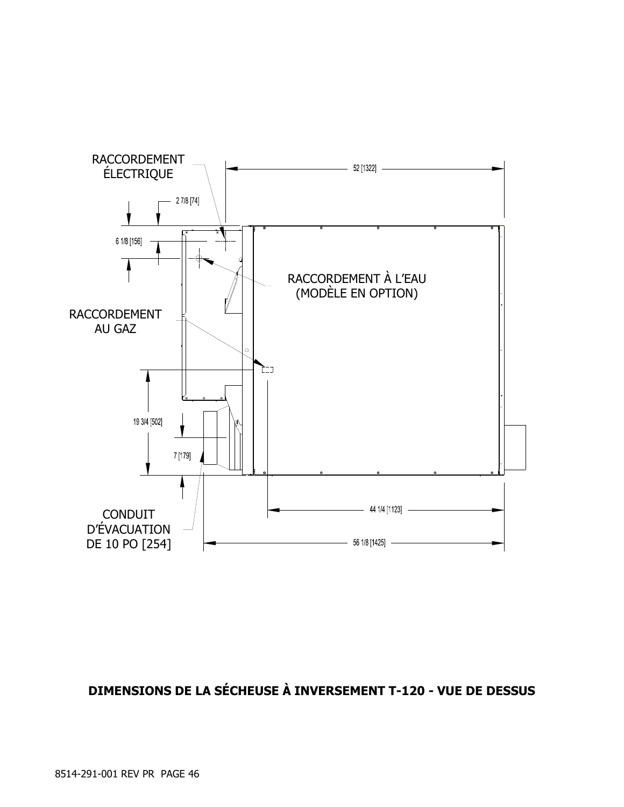

## **DIMENSIONS DE LA SÉCHEUSE À INVERSEMENT T-120 - VUE DE DESSUS**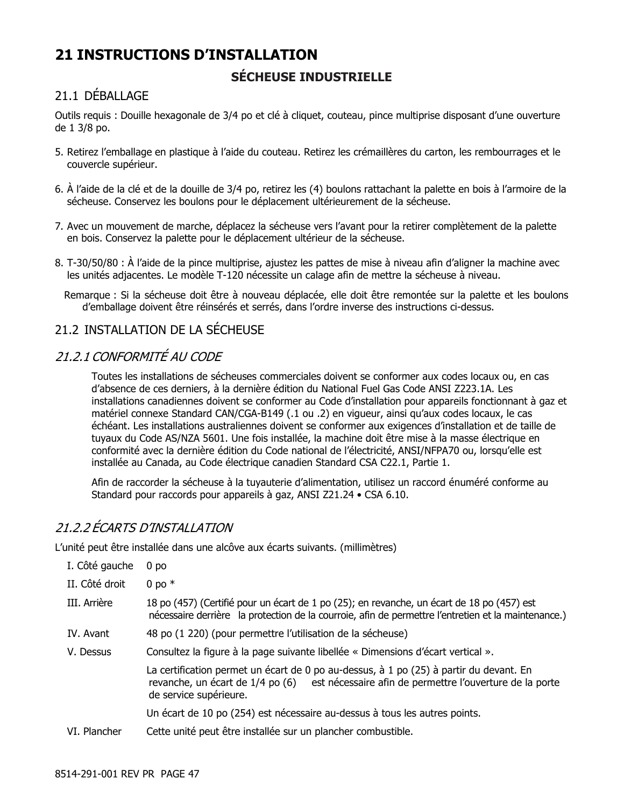## **21 INSTRUCTIONS D'INSTALLATION SÉCHEUSE INDUSTRIELLE**

### 21.1 DÉBALLAGE

Outils requis : Douille hexagonale de 3/4 po et clé à cliquet, couteau, pince multiprise disposant d'une ouverture de 1 3/8 po.

- 5. Retirez l'emballage en plastique à l'aide du couteau. Retirez les crémaillères du carton, les rembourrages et le couvercle supérieur.
- 6. À l'aide de la clé et de la douille de 3/4 po, retirez les (4) boulons rattachant la palette en bois à l'armoire de la sécheuse. Conservez les boulons pour le déplacement ultérieurement de la sécheuse.
- 7. Avec un mouvement de marche, déplacez la sécheuse vers l'avant pour la retirer complètement de la palette en bois. Conservez la palette pour le déplacement ultérieur de la sécheuse.
- 8. T-30/50/80 : À l'aide de la pince multiprise, ajustez les pattes de mise à niveau afin d'aligner la machine avec les unités adjacentes. Le modèle T-120 nécessite un calage afin de mettre la sécheuse à niveau.
	- Remarque : Si la sécheuse doit être à nouveau déplacée, elle doit être remontée sur la palette et les boulons d'emballage doivent être réinsérés et serrés, dans l'ordre inverse des instructions ci-dessus.

### 21.2 INSTALLATION DE LA SÉCHEUSE

### 21.2.1 CONFORMITÉ AU CODE

Toutes les installations de sécheuses commerciales doivent se conformer aux codes locaux ou, en cas d'absence de ces derniers, à la dernière édition du National Fuel Gas Code ANSI Z223.1A. Les installations canadiennes doivent se conformer au Code d'installation pour appareils fonctionnant à gaz et matériel connexe Standard CAN/CGA-B149 (.1 ou .2) en vigueur, ainsi qu'aux codes locaux, le cas échéant. Les installations australiennes doivent se conformer aux exigences d'installation et de taille de tuyaux du Code AS/NZA 5601. Une fois installée, la machine doit être mise à la masse électrique en conformité avec la dernière édition du Code national de l'électricité, ANSI/NFPA70 ou, lorsqu'elle est installée au Canada, au Code électrique canadien Standard CSA C22.1, Partie 1.

Afin de raccorder la sécheuse à la tuyauterie d'alimentation, utilisez un raccord énuméré conforme au Standard pour raccords pour appareils à gaz, ANSI Z21.24 • CSA 6.10.

### 21.2.2 ÉCARTS D'INSTALLATION

L'unité peut être installée dans une alcôve aux écarts suivants. (millimètres)

| I. Côté gauche | 0 <sub>po</sub>                                                                                                                                                                                               |
|----------------|---------------------------------------------------------------------------------------------------------------------------------------------------------------------------------------------------------------|
| II. Côté droit | 0 po $*$                                                                                                                                                                                                      |
| III. Arrière   | 18 po (457) (Certifié pour un écart de 1 po (25); en revanche, un écart de 18 po (457) est<br>nécessaire derrière la protection de la courroie, afin de permettre l'entretien et la maintenance.)             |
| IV. Avant      | 48 po (1 220) (pour permettre l'utilisation de la sécheuse)                                                                                                                                                   |
| V. Dessus      | Consultez la figure à la page suivante libellée « Dimensions d'écart vertical ».                                                                                                                              |
|                | La certification permet un écart de 0 po au-dessus, à 1 po (25) à partir du devant. En<br>revanche, un écart de 1/4 po (6) est nécessaire afin de permettre l'ouverture de la porte<br>de service supérieure. |
|                | Un écart de 10 po (254) est nécessaire au-dessus à tous les autres points.                                                                                                                                    |
| VI. Plancher   | Cette unité peut être installée sur un plancher combustible.                                                                                                                                                  |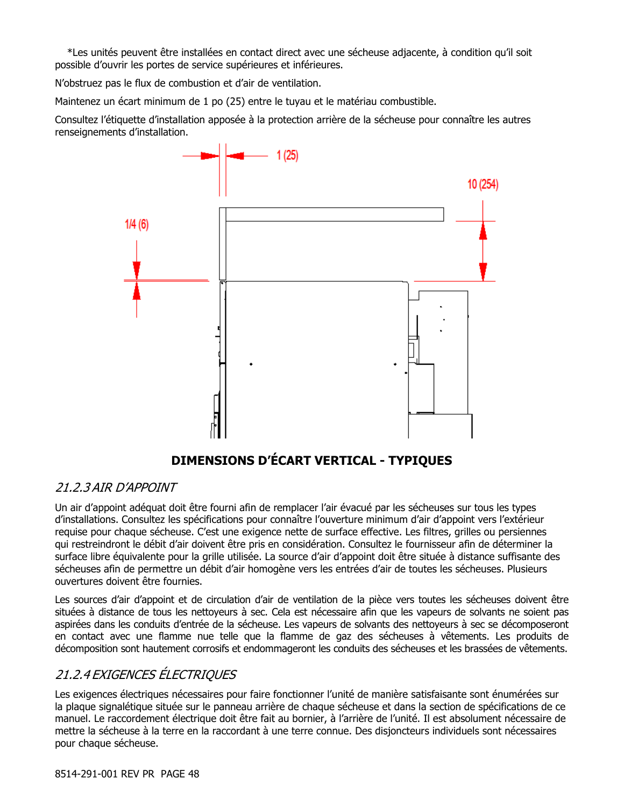\*Les unités peuvent être installées en contact direct avec une sécheuse adjacente, à condition qu'il soit possible d'ouvrir les portes de service supérieures et inférieures.

N'obstruez pas le flux de combustion et d'air de ventilation.

Maintenez un écart minimum de 1 po (25) entre le tuyau et le matériau combustible.

Consultez l'étiquette d'installation apposée à la protection arrière de la sécheuse pour connaître les autres renseignements d'installation.



## **DIMENSIONS D'ÉCART VERTICAL - TYPIQUES**

### 21.2.3 AIR D'APPOINT

Un air d'appoint adéquat doit être fourni afin de remplacer l'air évacué par les sécheuses sur tous les types d'installations. Consultez les spécifications pour connaître l'ouverture minimum d'air d'appoint vers l'extérieur requise pour chaque sécheuse. C'est une exigence nette de surface effective. Les filtres, grilles ou persiennes qui restreindront le débit d'air doivent être pris en considération. Consultez le fournisseur afin de déterminer la surface libre équivalente pour la grille utilisée. La source d'air d'appoint doit être située à distance suffisante des sécheuses afin de permettre un débit d'air homogène vers les entrées d'air de toutes les sécheuses. Plusieurs ouvertures doivent être fournies.

Les sources d'air d'appoint et de circulation d'air de ventilation de la pièce vers toutes les sécheuses doivent être situées à distance de tous les nettoyeurs à sec. Cela est nécessaire afin que les vapeurs de solvants ne soient pas aspirées dans les conduits d'entrée de la sécheuse. Les vapeurs de solvants des nettoyeurs à sec se décomposeront en contact avec une flamme nue telle que la flamme de gaz des sécheuses à vêtements. Les produits de décomposition sont hautement corrosifs et endommageront les conduits des sécheuses et les brassées de vêtements.

### 21.2.4 EXIGENCES ÉLECTRIQUES

Les exigences électriques nécessaires pour faire fonctionner l'unité de manière satisfaisante sont énumérées sur la plaque signalétique située sur le panneau arrière de chaque sécheuse et dans la section de spécifications de ce manuel. Le raccordement électrique doit être fait au bornier, à l'arrière de l'unité. Il est absolument nécessaire de mettre la sécheuse à la terre en la raccordant à une terre connue. Des disjoncteurs individuels sont nécessaires pour chaque sécheuse.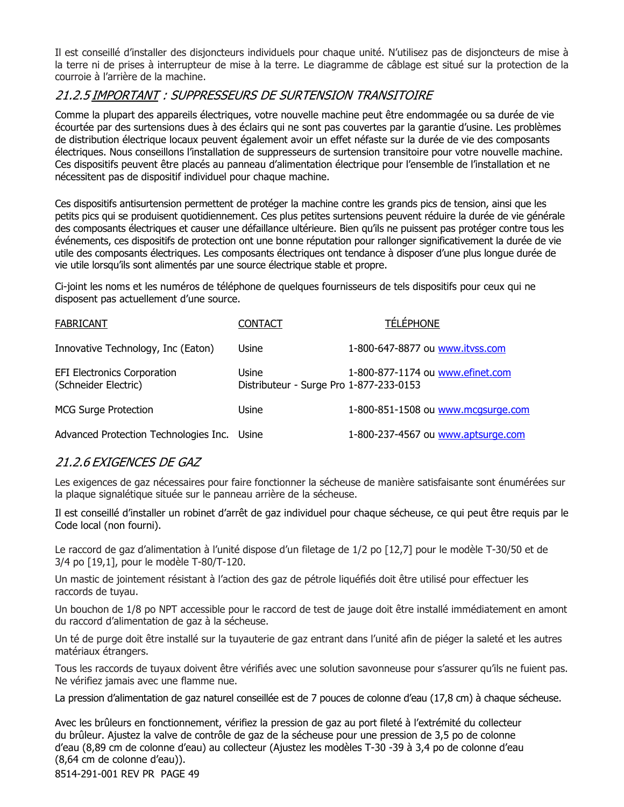Il est conseillé d'installer des disjoncteurs individuels pour chaque unité. N'utilisez pas de disjoncteurs de mise à la terre ni de prises à interrupteur de mise à la terre. Le diagramme de câblage est situé sur la protection de la courroie à l'arrière de la machine.

### 21.2.5 IMPORTANT : SUPPRESSEURS DE SURTENSION TRANSITOIRE

Comme la plupart des appareils électriques, votre nouvelle machine peut être endommagée ou sa durée de vie écourtée par des surtensions dues à des éclairs qui ne sont pas couvertes par la garantie d'usine. Les problèmes de distribution électrique locaux peuvent également avoir un effet néfaste sur la durée de vie des composants électriques. Nous conseillons l'installation de suppresseurs de surtension transitoire pour votre nouvelle machine. Ces dispositifs peuvent être placés au panneau d'alimentation électrique pour l'ensemble de l'installation et ne nécessitent pas de dispositif individuel pour chaque machine.

Ces dispositifs antisurtension permettent de protéger la machine contre les grands pics de tension, ainsi que les petits pics qui se produisent quotidiennement. Ces plus petites surtensions peuvent réduire la durée de vie générale des composants électriques et causer une défaillance ultérieure. Bien qu'ils ne puissent pas protéger contre tous les événements, ces dispositifs de protection ont une bonne réputation pour rallonger significativement la durée de vie utile des composants électriques. Les composants électriques ont tendance à disposer d'une plus longue durée de vie utile lorsqu'ils sont alimentés par une source électrique stable et propre.

Ci-joint les noms et les numéros de téléphone de quelques fournisseurs de tels dispositifs pour ceux qui ne disposent pas actuellement d'une source.

| <b>FABRICANT</b>                                           | <b>CONTACT</b>                                   | <b>TÉLÉPHONE</b>                   |
|------------------------------------------------------------|--------------------------------------------------|------------------------------------|
| Innovative Technology, Inc (Eaton)                         | Usine                                            | 1-800-647-8877 ou www.itvss.com    |
| <b>EFI Electronics Corporation</b><br>(Schneider Electric) | Usine<br>Distributeur - Surge Pro 1-877-233-0153 | 1-800-877-1174 ou www.efinet.com   |
| <b>MCG Surge Protection</b>                                | Usine                                            | 1-800-851-1508 ou www.mcgsurge.com |
| Advanced Protection Technologies Inc. Usine                |                                                  | 1-800-237-4567 ou www.aptsurge.com |

### 21.2.6 EXIGENCES DE GAZ

Les exigences de gaz nécessaires pour faire fonctionner la sécheuse de manière satisfaisante sont énumérées sur la plaque signalétique située sur le panneau arrière de la sécheuse.

Il est conseillé d'installer un robinet d'arrêt de gaz individuel pour chaque sécheuse, ce qui peut être requis par le Code local (non fourni).

Le raccord de gaz d'alimentation à l'unité dispose d'un filetage de 1/2 po [12,7] pour le modèle T-30/50 et de 3/4 po [19,1], pour le modèle T-80/T-120.

Un mastic de jointement résistant à l'action des gaz de pétrole liquéfiés doit être utilisé pour effectuer les raccords de tuyau.

Un bouchon de 1/8 po NPT accessible pour le raccord de test de jauge doit être installé immédiatement en amont du raccord d'alimentation de gaz à la sécheuse.

Un té de purge doit être installé sur la tuyauterie de gaz entrant dans l'unité afin de piéger la saleté et les autres matériaux étrangers.

Tous les raccords de tuyaux doivent être vérifiés avec une solution savonneuse pour s'assurer qu'ils ne fuient pas. Ne vérifiez jamais avec une flamme nue.

La pression d'alimentation de gaz naturel conseillée est de 7 pouces de colonne d'eau (17,8 cm) à chaque sécheuse.

8514-291-001 REV PR PAGE 49 Avec les brûleurs en fonctionnement, vérifiez la pression de gaz au port fileté à l'extrémité du collecteur du brûleur. Ajustez la valve de contrôle de gaz de la sécheuse pour une pression de 3,5 po de colonne d'eau (8,89 cm de colonne d'eau) au collecteur (Ajustez les modèles T-30 -39 à 3,4 po de colonne d'eau (8,64 cm de colonne d'eau)).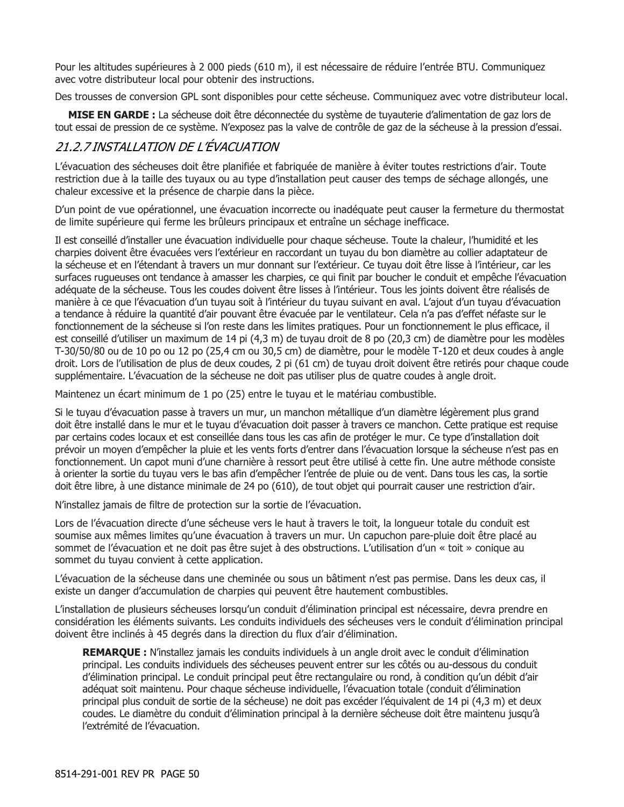Pour les altitudes supérieures à 2 000 pieds (610 m), il est nécessaire de réduire l'entrée BTU. Communiquez avec votre distributeur local pour obtenir des instructions.

Des trousses de conversion GPL sont disponibles pour cette sécheuse. Communiquez avec votre distributeur local.

**MISE EN GARDE :** La sécheuse doit être déconnectée du système de tuyauterie d'alimentation de gaz lors de tout essai de pression de ce système. N'exposez pas la valve de contrôle de gaz de la sécheuse à la pression d'essai.

### 21.2.7 INSTALLATION DE L'ÉVACUATION

L'évacuation des sécheuses doit être planifiée et fabriquée de manière à éviter toutes restrictions d'air. Toute restriction due à la taille des tuyaux ou au type d'installation peut causer des temps de séchage allongés, une chaleur excessive et la présence de charpie dans la pièce.

D'un point de vue opérationnel, une évacuation incorrecte ou inadéquate peut causer la fermeture du thermostat de limite supérieure qui ferme les brûleurs principaux et entraîne un séchage inefficace.

Il est conseillé d'installer une évacuation individuelle pour chaque sécheuse. Toute la chaleur, l'humidité et les charpies doivent être évacuées vers l'extérieur en raccordant un tuyau du bon diamètre au collier adaptateur de la sécheuse et en l'étendant à travers un mur donnant sur l'extérieur. Ce tuyau doit être lisse à l'intérieur, car les surfaces rugueuses ont tendance à amasser les charpies, ce qui finit par boucher le conduit et empêche l'évacuation adéquate de la sécheuse. Tous les coudes doivent être lisses à l'intérieur. Tous les joints doivent être réalisés de manière à ce que l'évacuation d'un tuyau soit à l'intérieur du tuyau suivant en aval. L'ajout d'un tuyau d'évacuation a tendance à réduire la quantité d'air pouvant être évacuée par le ventilateur. Cela n'a pas d'effet néfaste sur le fonctionnement de la sécheuse si l'on reste dans les limites pratiques. Pour un fonctionnement le plus efficace, il est conseillé d'utiliser un maximum de 14 pi (4,3 m) de tuyau droit de 8 po (20,3 cm) de diamètre pour les modèles T-30/50/80 ou de 10 po ou 12 po (25,4 cm ou 30,5 cm) de diamètre, pour le modèle T-120 et deux coudes à angle droit. Lors de l'utilisation de plus de deux coudes, 2 pi (61 cm) de tuyau droit doivent être retirés pour chaque coude supplémentaire. L'évacuation de la sécheuse ne doit pas utiliser plus de quatre coudes à angle droit.

Maintenez un écart minimum de 1 po (25) entre le tuyau et le matériau combustible.

Si le tuyau d'évacuation passe à travers un mur, un manchon métallique d'un diamètre légèrement plus grand doit être installé dans le mur et le tuyau d'évacuation doit passer à travers ce manchon. Cette pratique est requise par certains codes locaux et est conseillée dans tous les cas afin de protéger le mur. Ce type d'installation doit prévoir un moyen d'empêcher la pluie et les vents forts d'entrer dans l'évacuation lorsque la sécheuse n'est pas en fonctionnement. Un capot muni d'une charnière à ressort peut être utilisé à cette fin. Une autre méthode consiste à orienter la sortie du tuyau vers le bas afin d'empêcher l'entrée de pluie ou de vent. Dans tous les cas, la sortie doit être libre, à une distance minimale de 24 po (610), de tout objet qui pourrait causer une restriction d'air.

N'installez jamais de filtre de protection sur la sortie de l'évacuation.

Lors de l'évacuation directe d'une sécheuse vers le haut à travers le toit, la longueur totale du conduit est soumise aux mêmes limites qu'une évacuation à travers un mur. Un capuchon pare-pluie doit être placé au sommet de l'évacuation et ne doit pas être sujet à des obstructions. L'utilisation d'un « toit » conique au sommet du tuyau convient à cette application.

L'évacuation de la sécheuse dans une cheminée ou sous un bâtiment n'est pas permise. Dans les deux cas, il existe un danger d'accumulation de charpies qui peuvent être hautement combustibles.

L'installation de plusieurs sécheuses lorsqu'un conduit d'élimination principal est nécessaire, devra prendre en considération les éléments suivants. Les conduits individuels des sécheuses vers le conduit d'élimination principal doivent être inclinés à 45 degrés dans la direction du flux d'air d'élimination.

**REMARQUE :** N'installez jamais les conduits individuels à un angle droit avec le conduit d'élimination principal. Les conduits individuels des sécheuses peuvent entrer sur les côtés ou au-dessous du conduit d'élimination principal. Le conduit principal peut être rectangulaire ou rond, à condition qu'un débit d'air adéquat soit maintenu. Pour chaque sécheuse individuelle, l'évacuation totale (conduit d'élimination principal plus conduit de sortie de la sécheuse) ne doit pas excéder l'équivalent de 14 pi (4,3 m) et deux coudes. Le diamètre du conduit d'élimination principal à la dernière sécheuse doit être maintenu jusqu'à l'extrémité de l'évacuation.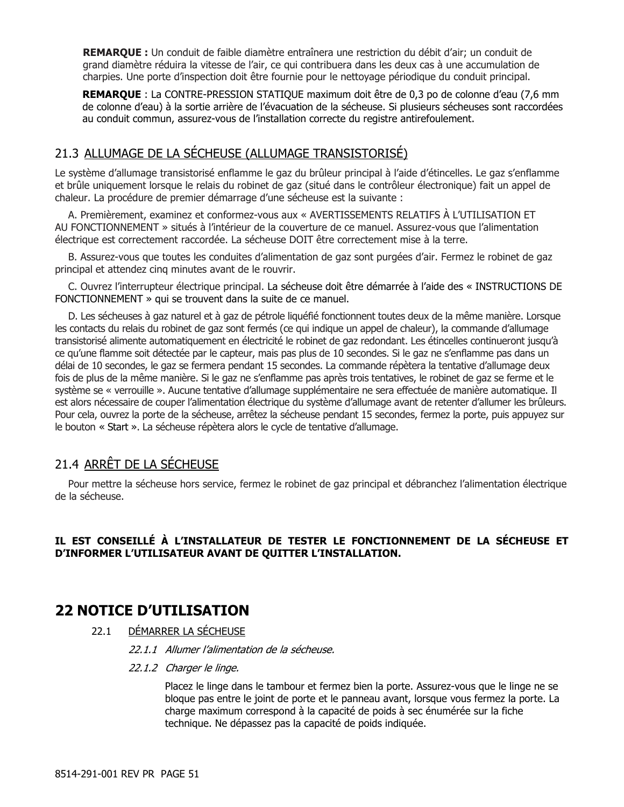**REMARQUE :** Un conduit de faible diamètre entraînera une restriction du débit d'air; un conduit de grand diamètre réduira la vitesse de l'air, ce qui contribuera dans les deux cas à une accumulation de charpies. Une porte d'inspection doit être fournie pour le nettoyage périodique du conduit principal.

**REMARQUE** : La CONTRE-PRESSION STATIQUE maximum doit être de 0,3 po de colonne d'eau (7,6 mm de colonne d'eau) à la sortie arrière de l'évacuation de la sécheuse. Si plusieurs sécheuses sont raccordées au conduit commun, assurez-vous de l'installation correcte du registre antirefoulement.

### 21.3 ALLUMAGE DE LA SÉCHEUSE (ALLUMAGE TRANSISTORISÉ)

Le système d'allumage transistorisé enflamme le gaz du brûleur principal à l'aide d'étincelles. Le gaz s'enflamme et brûle uniquement lorsque le relais du robinet de gaz (situé dans le contrôleur électronique) fait un appel de chaleur. La procédure de premier démarrage d'une sécheuse est la suivante :

A. Premièrement, examinez et conformez-vous aux « AVERTISSEMENTS RELATIFS À L'UTILISATION ET AU FONCTIONNEMENT » situés à l'intérieur de la couverture de ce manuel. Assurez-vous que l'alimentation électrique est correctement raccordée. La sécheuse DOIT être correctement mise à la terre.

B. Assurez-vous que toutes les conduites d'alimentation de gaz sont purgées d'air. Fermez le robinet de gaz principal et attendez cinq minutes avant de le rouvrir.

C. Ouvrez l'interrupteur électrique principal. La sécheuse doit être démarrée à l'aide des « INSTRUCTIONS DE FONCTIONNEMENT » qui se trouvent dans la suite de ce manuel.

D. Les sécheuses à gaz naturel et à gaz de pétrole liquéfié fonctionnent toutes deux de la même manière. Lorsque les contacts du relais du robinet de gaz sont fermés (ce qui indique un appel de chaleur), la commande d'allumage transistorisé alimente automatiquement en électricité le robinet de gaz redondant. Les étincelles continueront jusqu'à ce qu'une flamme soit détectée par le capteur, mais pas plus de 10 secondes. Si le gaz ne s'enflamme pas dans un délai de 10 secondes, le gaz se fermera pendant 15 secondes. La commande répètera la tentative d'allumage deux fois de plus de la même manière. Si le gaz ne s'enflamme pas après trois tentatives, le robinet de gaz se ferme et le système se « verrouille ». Aucune tentative d'allumage supplémentaire ne sera effectuée de manière automatique. Il est alors nécessaire de couper l'alimentation électrique du système d'allumage avant de retenter d'allumer les brûleurs. Pour cela, ouvrez la porte de la sécheuse, arrêtez la sécheuse pendant 15 secondes, fermez la porte, puis appuyez sur le bouton « Start ». La sécheuse répètera alors le cycle de tentative d'allumage.

### 21.4 ARRÊT DE LA SÉCHEUSE

Pour mettre la sécheuse hors service, fermez le robinet de gaz principal et débranchez l'alimentation électrique de la sécheuse.

### **IL EST CONSEILLÉ À L'INSTALLATEUR DE TESTER LE FONCTIONNEMENT DE LA SÉCHEUSE ET D'INFORMER L'UTILISATEUR AVANT DE QUITTER L'INSTALLATION.**

### **22 NOTICE D'UTILISATION**

### 22.1 DÉMARRER LA SÉCHEUSE

22.1.1 Allumer l'alimentation de la sécheuse.

#### 22.1.2 Charger le linge.

Placez le linge dans le tambour et fermez bien la porte. Assurez-vous que le linge ne se bloque pas entre le joint de porte et le panneau avant, lorsque vous fermez la porte. La charge maximum correspond à la capacité de poids à sec énumérée sur la fiche technique. Ne dépassez pas la capacité de poids indiquée.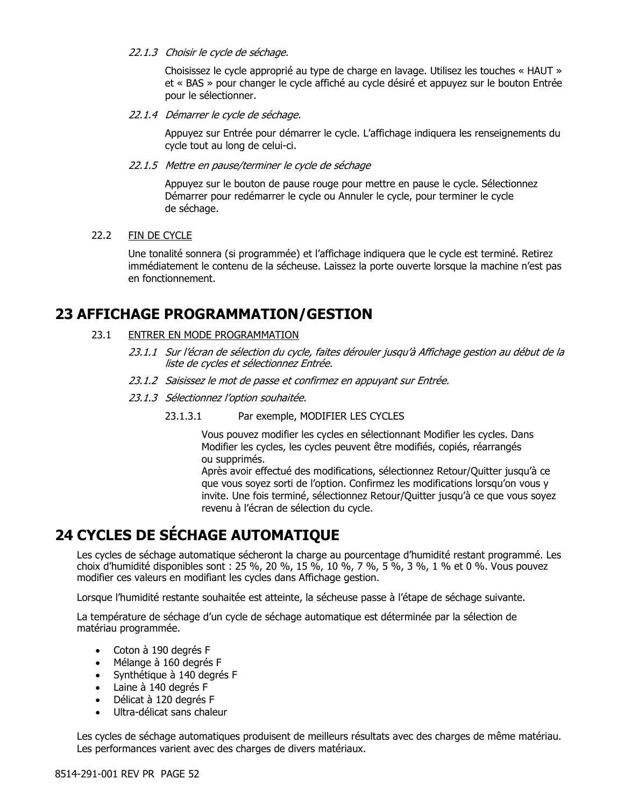#### 22.1.3 Choisir le cycle de séchage.

Choisissez le cycle approprié au type de charge en lavage. Utilisez les touches « HAUT » et « BAS » pour changer le cycle affiché au cycle désiré et appuyez sur le bouton Entrée pour le sélectionner.

#### 22.1.4 Démarrer le cycle de séchage.

Appuyez sur Entrée pour démarrer le cycle. L'affichage indiquera les renseignements du cycle tout au long de celui-ci.

#### 22.1.5 Mettre en pause/terminer le cycle de séchage

Appuyez sur le bouton de pause rouge pour mettre en pause le cycle. Sélectionnez Démarrer pour redémarrer le cycle ou Annuler le cycle, pour terminer le cycle de séchage.

#### 22.2 FIN DE CYCLE

Une tonalité sonnera (si programmée) et l'affichage indiquera que le cycle est terminé. Retirez immédiatement le contenu de la sécheuse. Laissez la porte ouverte lorsque la machine n'est pas en fonctionnement.

### **23 AFFICHAGE PROGRAMMATION/GESTION**

#### 23.1 ENTRER EN MODE PROGRAMMATION

- 23.1.1 Sur l'écran de sélection du cycle, faites dérouler jusqu'à Affichage gestion au début de la liste de cycles et sélectionnez Entrée.
- 23.1.2 Saisissez le mot de passe et confirmez en appuyant sur Entrée.
- 23.1.3 Sélectionnez l'option souhaitée.
	- 23.1.3.1 Par exemple, MODIFIER LES CYCLES

Vous pouvez modifier les cycles en sélectionnant Modifier les cycles. Dans Modifier les cycles, les cycles peuvent être modifiés, copiés, réarrangés ou supprimés.

Après avoir effectué des modifications, sélectionnez Retour/Quitter jusqu'à ce que vous soyez sorti de l'option. Confirmez les modifications lorsqu'on vous y invite. Une fois terminé, sélectionnez Retour/Quitter jusqu'à ce que vous soyez revenu à l'écran de sélection du cycle.

## **24 CYCLES DE SÉCHAGE AUTOMATIQUE**

Les cycles de séchage automatique sécheront la charge au pourcentage d'humidité restant programmé. Les choix d'humidité disponibles sont : 25 %, 20 %, 15 %, 10 %, 7 %, 5 %, 3 %, 1 % et 0 %. Vous pouvez modifier ces valeurs en modifiant les cycles dans Affichage gestion.

Lorsque l'humidité restante souhaitée est atteinte, la sécheuse passe à l'étape de séchage suivante.

La température de séchage d'un cycle de séchage automatique est déterminée par la sélection de matériau programmée.

- Coton à 190 degrés F
- Mélange à 160 degrés F
- Synthétique à 140 degrés F
- Laine à 140 degrés F
- Délicat à 120 degrés F
- Ultra-délicat sans chaleur

Les cycles de séchage automatiques produisent de meilleurs résultats avec des charges de même matériau. Les performances varient avec des charges de divers matériaux.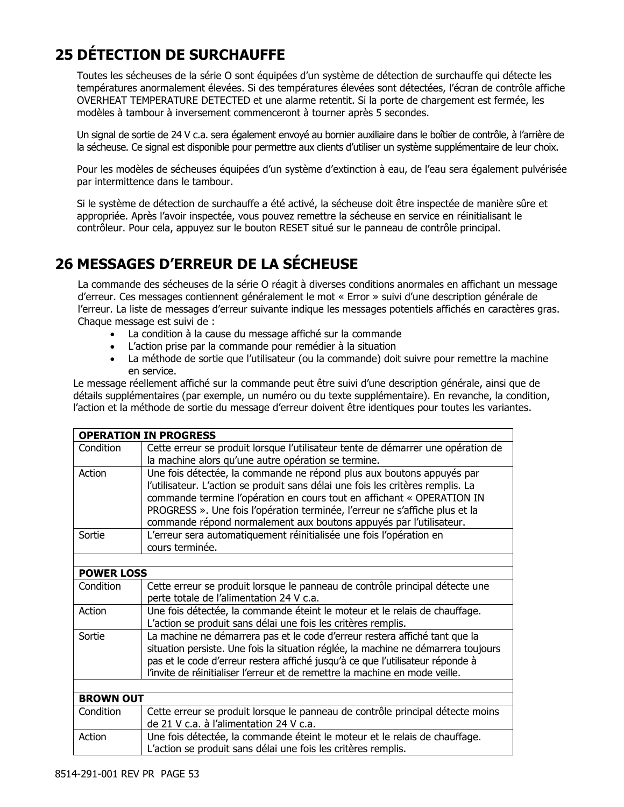## **25 DÉTECTION DE SURCHAUFFE**

Toutes les sécheuses de la série O sont équipées d'un système de détection de surchauffe qui détecte les températures anormalement élevées. Si des températures élevées sont détectées, l'écran de contrôle affiche OVERHEAT TEMPERATURE DETECTED et une alarme retentit. Si la porte de chargement est fermée, les modèles à tambour à inversement commenceront à tourner après 5 secondes.

Un signal de sortie de 24 V c.a. sera également envoyé au bornier auxiliaire dans le boîtier de contrôle, à l'arrière de la sécheuse. Ce signal est disponible pour permettre aux clients d'utiliser un système supplémentaire de leur choix.

Pour les modèles de sécheuses équipées d'un système d'extinction à eau, de l'eau sera également pulvérisée par intermittence dans le tambour.

Si le système de détection de surchauffe a été activé, la sécheuse doit être inspectée de manière sûre et appropriée. Après l'avoir inspectée, vous pouvez remettre la sécheuse en service en réinitialisant le contrôleur. Pour cela, appuyez sur le bouton RESET situé sur le panneau de contrôle principal.

## **26 MESSAGES D'ERREUR DE LA SÉCHEUSE**

La commande des sécheuses de la série O réagit à diverses conditions anormales en affichant un message d'erreur. Ces messages contiennent généralement le mot « Error » suivi d'une description générale de l'erreur. La liste de messages d'erreur suivante indique les messages potentiels affichés en caractères gras. Chaque message est suivi de :

- La condition à la cause du message affiché sur la commande
- L'action prise par la commande pour remédier à la situation
- La méthode de sortie que l'utilisateur (ou la commande) doit suivre pour remettre la machine en service.

Le message réellement affiché sur la commande peut être suivi d'une description générale, ainsi que de détails supplémentaires (par exemple, un numéro ou du texte supplémentaire). En revanche, la condition, l'action et la méthode de sortie du message d'erreur doivent être identiques pour toutes les variantes.

|                   | <b>OPERATION IN PROGRESS</b>                                                                                                                                                                                                                                                                                                                                                            |
|-------------------|-----------------------------------------------------------------------------------------------------------------------------------------------------------------------------------------------------------------------------------------------------------------------------------------------------------------------------------------------------------------------------------------|
| Condition         | Cette erreur se produit lorsque l'utilisateur tente de démarrer une opération de<br>la machine alors qu'une autre opération se termine.                                                                                                                                                                                                                                                 |
| Action            | Une fois détectée, la commande ne répond plus aux boutons appuyés par<br>l'utilisateur. L'action se produit sans délai une fois les critères remplis. La<br>commande termine l'opération en cours tout en affichant « OPERATION IN<br>PROGRESS ». Une fois l'opération terminée, l'erreur ne s'affiche plus et la<br>commande répond normalement aux boutons appuyés par l'utilisateur. |
| Sortie            | L'erreur sera automatiquement réinitialisée une fois l'opération en<br>cours terminée.                                                                                                                                                                                                                                                                                                  |
|                   |                                                                                                                                                                                                                                                                                                                                                                                         |
| <b>POWER LOSS</b> |                                                                                                                                                                                                                                                                                                                                                                                         |
| Condition         | Cette erreur se produit lorsque le panneau de contrôle principal détecte une<br>perte totale de l'alimentation 24 V c.a.                                                                                                                                                                                                                                                                |
| Action            | Une fois détectée, la commande éteint le moteur et le relais de chauffage.<br>L'action se produit sans délai une fois les critères remplis.                                                                                                                                                                                                                                             |
| Sortie            | La machine ne démarrera pas et le code d'erreur restera affiché tant que la<br>situation persiste. Une fois la situation réglée, la machine ne démarrera toujours<br>pas et le code d'erreur restera affiché jusqu'à ce que l'utilisateur réponde à<br>l'invite de réinitialiser l'erreur et de remettre la machine en mode veille.                                                     |
|                   |                                                                                                                                                                                                                                                                                                                                                                                         |
| <b>BROWN OUT</b>  |                                                                                                                                                                                                                                                                                                                                                                                         |
| Condition         | Cette erreur se produit lorsque le panneau de contrôle principal détecte moins<br>de 21 V c.a. à l'alimentation 24 V c.a.                                                                                                                                                                                                                                                               |
| Action            | Une fois détectée, la commande éteint le moteur et le relais de chauffage.<br>L'action se produit sans délai une fois les critères remplis.                                                                                                                                                                                                                                             |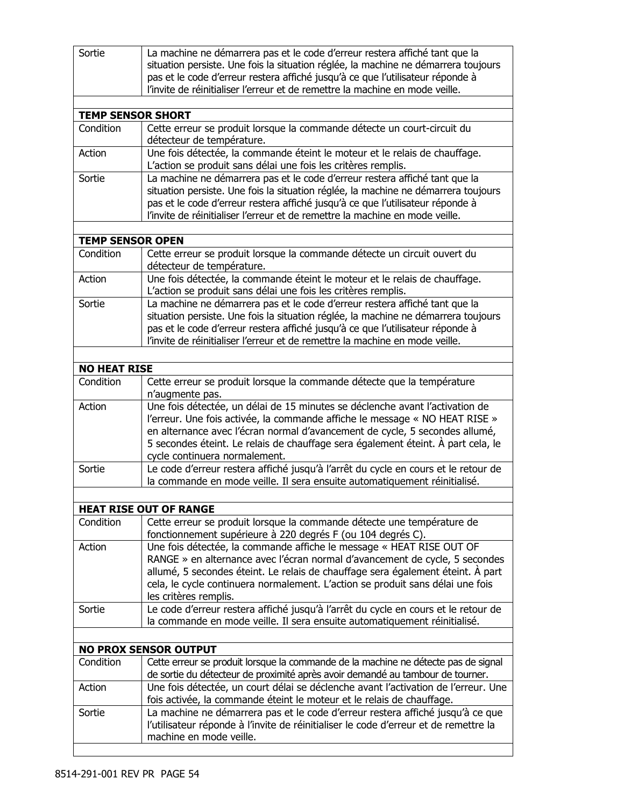| Sortie                   | La machine ne démarrera pas et le code d'erreur restera affiché tant que la<br>situation persiste. Une fois la situation réglée, la machine ne démarrera toujours<br>pas et le code d'erreur restera affiché jusqu'à ce que l'utilisateur réponde à                                                                                                             |
|--------------------------|-----------------------------------------------------------------------------------------------------------------------------------------------------------------------------------------------------------------------------------------------------------------------------------------------------------------------------------------------------------------|
|                          | l'invite de réinitialiser l'erreur et de remettre la machine en mode veille.                                                                                                                                                                                                                                                                                    |
|                          |                                                                                                                                                                                                                                                                                                                                                                 |
| <b>TEMP SENSOR SHORT</b> |                                                                                                                                                                                                                                                                                                                                                                 |
| Condition                | Cette erreur se produit lorsque la commande détecte un court-circuit du<br>détecteur de température.                                                                                                                                                                                                                                                            |
| Action                   | Une fois détectée, la commande éteint le moteur et le relais de chauffage.<br>L'action se produit sans délai une fois les critères remplis.                                                                                                                                                                                                                     |
| Sortie                   | La machine ne démarrera pas et le code d'erreur restera affiché tant que la                                                                                                                                                                                                                                                                                     |
|                          | situation persiste. Une fois la situation réglée, la machine ne démarrera toujours                                                                                                                                                                                                                                                                              |
|                          | pas et le code d'erreur restera affiché jusqu'à ce que l'utilisateur réponde à<br>l'invite de réinitialiser l'erreur et de remettre la machine en mode veille.                                                                                                                                                                                                  |
|                          |                                                                                                                                                                                                                                                                                                                                                                 |
| <b>TEMP SENSOR OPEN</b>  |                                                                                                                                                                                                                                                                                                                                                                 |
| Condition                | Cette erreur se produit lorsque la commande détecte un circuit ouvert du<br>détecteur de température.                                                                                                                                                                                                                                                           |
| Action                   | Une fois détectée, la commande éteint le moteur et le relais de chauffage.                                                                                                                                                                                                                                                                                      |
|                          | L'action se produit sans délai une fois les critères remplis.                                                                                                                                                                                                                                                                                                   |
| Sortie                   | La machine ne démarrera pas et le code d'erreur restera affiché tant que la<br>situation persiste. Une fois la situation réglée, la machine ne démarrera toujours<br>pas et le code d'erreur restera affiché jusqu'à ce que l'utilisateur réponde à<br>l'invite de réinitialiser l'erreur et de remettre la machine en mode veille.                             |
|                          |                                                                                                                                                                                                                                                                                                                                                                 |
| <b>NO HEAT RISE</b>      |                                                                                                                                                                                                                                                                                                                                                                 |
| Condition                | Cette erreur se produit lorsque la commande détecte que la température<br>n'augmente pas.                                                                                                                                                                                                                                                                       |
| Action                   | Une fois détectée, un délai de 15 minutes se déclenche avant l'activation de<br>l'erreur. Une fois activée, la commande affiche le message « NO HEAT RISE »<br>en alternance avec l'écran normal d'avancement de cycle, 5 secondes allumé,<br>5 secondes éteint. Le relais de chauffage sera également éteint. À part cela, le<br>cycle continuera normalement. |
| Sortie                   | Le code d'erreur restera affiché jusqu'à l'arrêt du cycle en cours et le retour de<br>la commande en mode veille. Il sera ensuite automatiquement réinitialisé.                                                                                                                                                                                                 |
|                          |                                                                                                                                                                                                                                                                                                                                                                 |
|                          | <b>HEAT RISE OUT OF RANGE</b>                                                                                                                                                                                                                                                                                                                                   |
| Condition                | Cette erreur se produit lorsque la commande détecte une température de<br>fonctionnement supérieure à 220 degrés F (ou 104 degrés C).                                                                                                                                                                                                                           |
| Action                   | Une fois détectée, la commande affiche le message « HEAT RISE OUT OF<br>RANGE » en alternance avec l'écran normal d'avancement de cycle, 5 secondes<br>allumé, 5 secondes éteint. Le relais de chauffage sera également éteint. À part<br>cela, le cycle continuera normalement. L'action se produit sans délai une fois<br>les critères remplis.               |
| Sortie                   | Le code d'erreur restera affiché jusqu'à l'arrêt du cycle en cours et le retour de<br>la commande en mode veille. Il sera ensuite automatiquement réinitialisé.                                                                                                                                                                                                 |
|                          |                                                                                                                                                                                                                                                                                                                                                                 |
|                          | <b>NO PROX SENSOR OUTPUT</b>                                                                                                                                                                                                                                                                                                                                    |
| Condition                | Cette erreur se produit lorsque la commande de la machine ne détecte pas de signal<br>de sortie du détecteur de proximité après avoir demandé au tambour de tourner.                                                                                                                                                                                            |
| Action                   | Une fois détectée, un court délai se déclenche avant l'activation de l'erreur. Une<br>fois activée, la commande éteint le moteur et le relais de chauffage.                                                                                                                                                                                                     |
| Sortie                   | La machine ne démarrera pas et le code d'erreur restera affiché jusqu'à ce que<br>l'utilisateur réponde à l'invite de réinitialiser le code d'erreur et de remettre la<br>machine en mode veille.                                                                                                                                                               |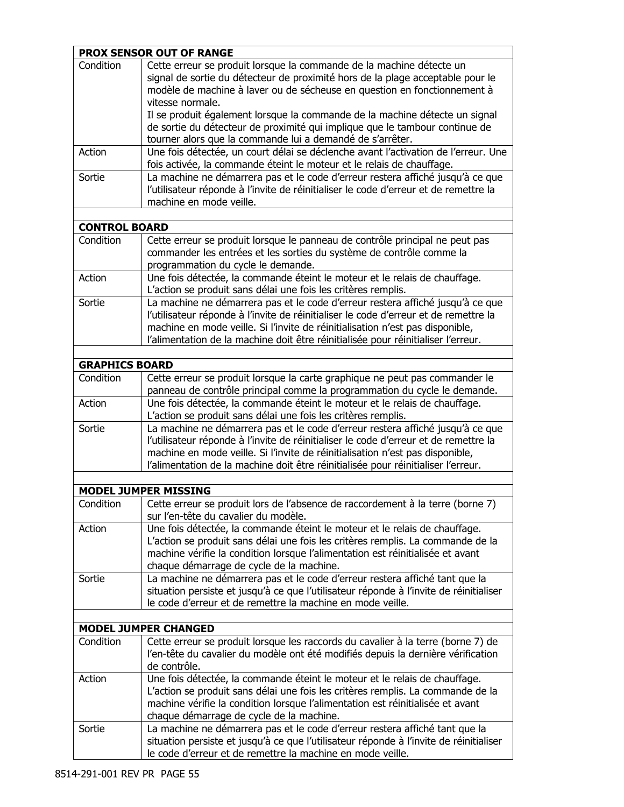|                       | <b>PROX SENSOR OUT OF RANGE</b>                                                                                                                                                                                                                                                                                                                                                                                      |
|-----------------------|----------------------------------------------------------------------------------------------------------------------------------------------------------------------------------------------------------------------------------------------------------------------------------------------------------------------------------------------------------------------------------------------------------------------|
| Condition             | Cette erreur se produit lorsque la commande de la machine détecte un<br>signal de sortie du détecteur de proximité hors de la plage acceptable pour le<br>modèle de machine à laver ou de sécheuse en question en fonctionnement à<br>vitesse normale.<br>Il se produit également lorsque la commande de la machine détecte un signal<br>de sortie du détecteur de proximité qui implique que le tambour continue de |
|                       | tourner alors que la commande lui a demandé de s'arrêter.                                                                                                                                                                                                                                                                                                                                                            |
| Action                | Une fois détectée, un court délai se déclenche avant l'activation de l'erreur. Une<br>fois activée, la commande éteint le moteur et le relais de chauffage.                                                                                                                                                                                                                                                          |
| Sortie                | La machine ne démarrera pas et le code d'erreur restera affiché jusqu'à ce que<br>l'utilisateur réponde à l'invite de réinitialiser le code d'erreur et de remettre la<br>machine en mode veille.                                                                                                                                                                                                                    |
|                       |                                                                                                                                                                                                                                                                                                                                                                                                                      |
| <b>CONTROL BOARD</b>  |                                                                                                                                                                                                                                                                                                                                                                                                                      |
| Condition             | Cette erreur se produit lorsque le panneau de contrôle principal ne peut pas<br>commander les entrées et les sorties du système de contrôle comme la<br>programmation du cycle le demande.                                                                                                                                                                                                                           |
| Action                | Une fois détectée, la commande éteint le moteur et le relais de chauffage.<br>L'action se produit sans délai une fois les critères remplis.                                                                                                                                                                                                                                                                          |
| Sortie                | La machine ne démarrera pas et le code d'erreur restera affiché jusqu'à ce que<br>l'utilisateur réponde à l'invite de réinitialiser le code d'erreur et de remettre la<br>machine en mode veille. Si l'invite de réinitialisation n'est pas disponible,<br>l'alimentation de la machine doit être réinitialisée pour réinitialiser l'erreur.                                                                         |
|                       |                                                                                                                                                                                                                                                                                                                                                                                                                      |
| <b>GRAPHICS BOARD</b> |                                                                                                                                                                                                                                                                                                                                                                                                                      |
| Condition             | Cette erreur se produit lorsque la carte graphique ne peut pas commander le<br>panneau de contrôle principal comme la programmation du cycle le demande.                                                                                                                                                                                                                                                             |
| Action                | Une fois détectée, la commande éteint le moteur et le relais de chauffage.<br>L'action se produit sans délai une fois les critères remplis.                                                                                                                                                                                                                                                                          |
| Sortie                | La machine ne démarrera pas et le code d'erreur restera affiché jusqu'à ce que<br>l'utilisateur réponde à l'invite de réinitialiser le code d'erreur et de remettre la<br>machine en mode veille. Si l'invite de réinitialisation n'est pas disponible,<br>l'alimentation de la machine doit être réinitialisée pour réinitialiser l'erreur.                                                                         |
|                       |                                                                                                                                                                                                                                                                                                                                                                                                                      |
|                       | <b>MODEL JUMPER MISSING</b>                                                                                                                                                                                                                                                                                                                                                                                          |
| Condition             | Cette erreur se produit lors de l'absence de raccordement à la terre (borne 7)<br>sur l'en-tête du cavalier du modèle.                                                                                                                                                                                                                                                                                               |
| Action                | Une fois détectée, la commande éteint le moteur et le relais de chauffage.<br>L'action se produit sans délai une fois les critères remplis. La commande de la<br>machine vérifie la condition lorsque l'alimentation est réinitialisée et avant<br>chaque démarrage de cycle de la machine.                                                                                                                          |
| Sortie                | La machine ne démarrera pas et le code d'erreur restera affiché tant que la<br>situation persiste et jusqu'à ce que l'utilisateur réponde à l'invite de réinitialiser<br>le code d'erreur et de remettre la machine en mode veille.                                                                                                                                                                                  |
|                       | <b>MODEL JUMPER CHANGED</b>                                                                                                                                                                                                                                                                                                                                                                                          |
| Condition             | Cette erreur se produit lorsque les raccords du cavalier à la terre (borne 7) de                                                                                                                                                                                                                                                                                                                                     |
|                       | l'en-tête du cavalier du modèle ont été modifiés depuis la dernière vérification<br>de contrôle.                                                                                                                                                                                                                                                                                                                     |
| Action                | Une fois détectée, la commande éteint le moteur et le relais de chauffage.<br>L'action se produit sans délai une fois les critères remplis. La commande de la<br>machine vérifie la condition lorsque l'alimentation est réinitialisée et avant<br>chaque démarrage de cycle de la machine.                                                                                                                          |
| Sortie                | La machine ne démarrera pas et le code d'erreur restera affiché tant que la<br>situation persiste et jusqu'à ce que l'utilisateur réponde à l'invite de réinitialiser<br>le code d'erreur et de remettre la machine en mode veille.                                                                                                                                                                                  |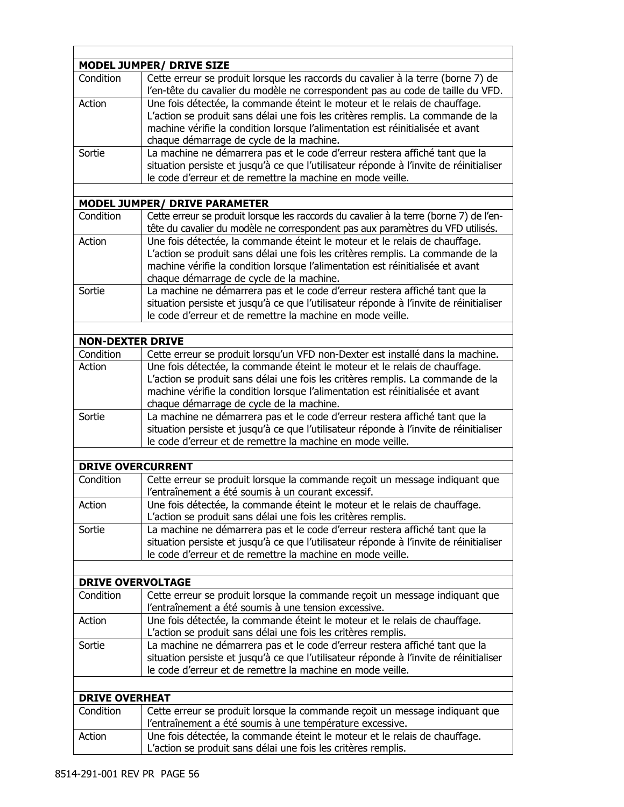|                          | <b>MODEL JUMPER/ DRIVE SIZE</b>                                                                                                                                                                                                                 |
|--------------------------|-------------------------------------------------------------------------------------------------------------------------------------------------------------------------------------------------------------------------------------------------|
| Condition                | Cette erreur se produit lorsque les raccords du cavalier à la terre (borne 7) de<br>l'en-tête du cavalier du modèle ne correspondent pas au code de taille du VFD.                                                                              |
| Action                   | Une fois détectée, la commande éteint le moteur et le relais de chauffage.                                                                                                                                                                      |
|                          | L'action se produit sans délai une fois les critères remplis. La commande de la                                                                                                                                                                 |
|                          | machine vérifie la condition lorsque l'alimentation est réinitialisée et avant<br>chaque démarrage de cycle de la machine.                                                                                                                      |
| Sortie                   | La machine ne démarrera pas et le code d'erreur restera affiché tant que la                                                                                                                                                                     |
|                          | situation persiste et jusqu'à ce que l'utilisateur réponde à l'invite de réinitialiser<br>le code d'erreur et de remettre la machine en mode veille.                                                                                            |
|                          |                                                                                                                                                                                                                                                 |
|                          | <b>MODEL JUMPER/ DRIVE PARAMETER</b>                                                                                                                                                                                                            |
| Condition                | Cette erreur se produit lorsque les raccords du cavalier à la terre (borne 7) de l'en-<br>tête du cavalier du modèle ne correspondent pas aux paramètres du VFD utilisés.                                                                       |
| Action                   | Une fois détectée, la commande éteint le moteur et le relais de chauffage.<br>L'action se produit sans délai une fois les critères remplis. La commande de la<br>machine vérifie la condition lorsque l'alimentation est réinitialisée et avant |
|                          | chaque démarrage de cycle de la machine.                                                                                                                                                                                                        |
| Sortie                   | La machine ne démarrera pas et le code d'erreur restera affiché tant que la<br>situation persiste et jusqu'à ce que l'utilisateur réponde à l'invite de réinitialiser<br>le code d'erreur et de remettre la machine en mode veille.             |
|                          |                                                                                                                                                                                                                                                 |
| <b>NON-DEXTER DRIVE</b>  |                                                                                                                                                                                                                                                 |
| Condition                | Cette erreur se produit lorsqu'un VFD non-Dexter est installé dans la machine.                                                                                                                                                                  |
| Action                   | Une fois détectée, la commande éteint le moteur et le relais de chauffage.                                                                                                                                                                      |
|                          | L'action se produit sans délai une fois les critères remplis. La commande de la<br>machine vérifie la condition lorsque l'alimentation est réinitialisée et avant<br>chaque démarrage de cycle de la machine.                                   |
| Sortie                   | La machine ne démarrera pas et le code d'erreur restera affiché tant que la                                                                                                                                                                     |
|                          | situation persiste et jusqu'à ce que l'utilisateur réponde à l'invite de réinitialiser<br>le code d'erreur et de remettre la machine en mode veille.                                                                                            |
|                          |                                                                                                                                                                                                                                                 |
| <b>DRIVE OVERCURRENT</b> |                                                                                                                                                                                                                                                 |
| Condition                | Cette erreur se produit lorsque la commande reçoit un message indiquant que<br>l'entraînement a été soumis à un courant excessif.                                                                                                               |
| Action                   | Une fois détectée, la commande éteint le moteur et le relais de chauffage.<br>L'action se produit sans délai une fois les critères remplis.                                                                                                     |
| Sortie                   | La machine ne démarrera pas et le code d'erreur restera affiché tant que la<br>situation persiste et jusqu'à ce que l'utilisateur réponde à l'invite de réinitialiser<br>le code d'erreur et de remettre la machine en mode veille.             |
|                          |                                                                                                                                                                                                                                                 |
| <b>DRIVE OVERVOLTAGE</b> |                                                                                                                                                                                                                                                 |
| Condition                | Cette erreur se produit lorsque la commande reçoit un message indiquant que<br>l'entraînement a été soumis à une tension excessive.                                                                                                             |
| Action                   | Une fois détectée, la commande éteint le moteur et le relais de chauffage.                                                                                                                                                                      |
|                          | L'action se produit sans délai une fois les critères remplis.                                                                                                                                                                                   |
| Sortie                   | La machine ne démarrera pas et le code d'erreur restera affiché tant que la<br>situation persiste et jusqu'à ce que l'utilisateur réponde à l'invite de réinitialiser<br>le code d'erreur et de remettre la machine en mode veille.             |
|                          |                                                                                                                                                                                                                                                 |
| <b>DRIVE OVERHEAT</b>    |                                                                                                                                                                                                                                                 |
| Condition                | Cette erreur se produit lorsque la commande reçoit un message indiquant que                                                                                                                                                                     |
|                          | l'entraînement a été soumis à une température excessive.                                                                                                                                                                                        |
| Action                   | Une fois détectée, la commande éteint le moteur et le relais de chauffage.<br>L'action se produit sans délai une fois les critères remplis.                                                                                                     |

 $\Gamma$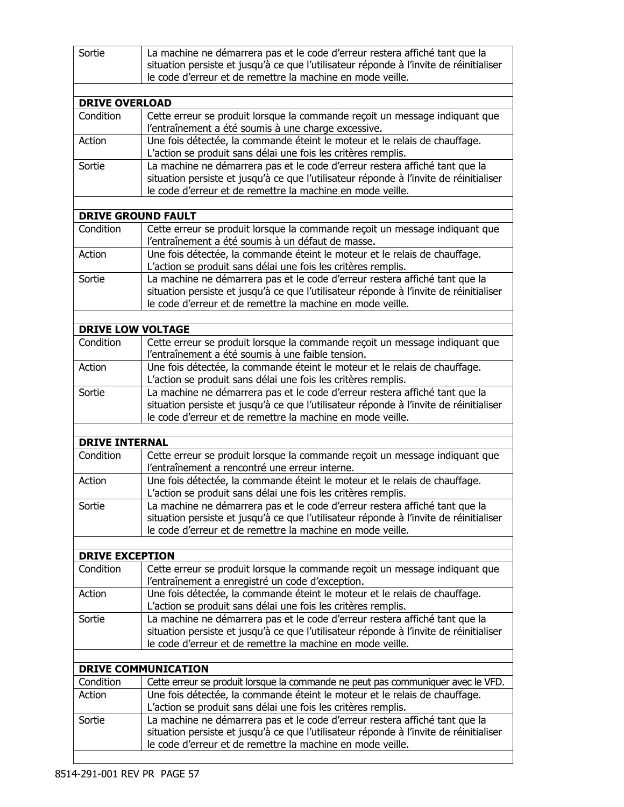| Sortie                              | La machine ne démarrera pas et le code d'erreur restera affiché tant que la<br>situation persiste et jusqu'à ce que l'utilisateur réponde à l'invite de réinitialiser<br>le code d'erreur et de remettre la machine en mode veille. |
|-------------------------------------|-------------------------------------------------------------------------------------------------------------------------------------------------------------------------------------------------------------------------------------|
|                                     |                                                                                                                                                                                                                                     |
| <b>DRIVE OVERLOAD</b>               |                                                                                                                                                                                                                                     |
| Condition                           | Cette erreur se produit lorsque la commande reçoit un message indiquant que<br>l'entraînement a été soumis à une charge excessive.                                                                                                  |
| Action                              | Une fois détectée, la commande éteint le moteur et le relais de chauffage.<br>L'action se produit sans délai une fois les critères remplis.                                                                                         |
| Sortie                              | La machine ne démarrera pas et le code d'erreur restera affiché tant que la<br>situation persiste et jusqu'à ce que l'utilisateur réponde à l'invite de réinitialiser<br>le code d'erreur et de remettre la machine en mode veille. |
|                                     | <b>DRIVE GROUND FAULT</b>                                                                                                                                                                                                           |
| Condition                           | Cette erreur se produit lorsque la commande reçoit un message indiquant que<br>l'entraînement a été soumis à un défaut de masse.                                                                                                    |
| Action                              | Une fois détectée, la commande éteint le moteur et le relais de chauffage.<br>L'action se produit sans délai une fois les critères remplis.                                                                                         |
| Sortie                              | La machine ne démarrera pas et le code d'erreur restera affiché tant que la<br>situation persiste et jusqu'à ce que l'utilisateur réponde à l'invite de réinitialiser<br>le code d'erreur et de remettre la machine en mode veille. |
|                                     |                                                                                                                                                                                                                                     |
| <b>DRIVE LOW VOLTAGE</b>            |                                                                                                                                                                                                                                     |
| Condition                           | Cette erreur se produit lorsque la commande reçoit un message indiquant que<br>l'entraînement a été soumis à une faible tension.                                                                                                    |
| Action                              | Une fois détectée, la commande éteint le moteur et le relais de chauffage.<br>L'action se produit sans délai une fois les critères remplis.                                                                                         |
| Sortie                              | La machine ne démarrera pas et le code d'erreur restera affiché tant que la<br>situation persiste et jusqu'à ce que l'utilisateur réponde à l'invite de réinitialiser<br>le code d'erreur et de remettre la machine en mode veille. |
|                                     |                                                                                                                                                                                                                                     |
| <b>DRIVE INTERNAL</b>               |                                                                                                                                                                                                                                     |
| Condition                           | Cette erreur se produit lorsque la commande reçoit un message indiquant que<br>l'entraînement a rencontré une erreur interne.                                                                                                       |
| Action                              | Une fois détectée, la commande éteint le moteur et le relais de chauffage.<br>L'action se produit sans délai une fois les critères remplis.                                                                                         |
| Sortie                              | La machine ne démarrera pas et le code d'erreur restera affiché tant que la<br>situation persiste et jusqu'à ce que l'utilisateur réponde à l'invite de réinitialiser<br>le code d'erreur et de remettre la machine en mode veille. |
|                                     |                                                                                                                                                                                                                                     |
| <b>DRIVE EXCEPTION</b><br>Condition | Cette erreur se produit lorsque la commande reçoit un message indiquant que                                                                                                                                                         |
|                                     | l'entraînement a enregistré un code d'exception.                                                                                                                                                                                    |
| Action                              | Une fois détectée, la commande éteint le moteur et le relais de chauffage.<br>L'action se produit sans délai une fois les critères remplis.                                                                                         |
| Sortie                              | La machine ne démarrera pas et le code d'erreur restera affiché tant que la<br>situation persiste et jusqu'à ce que l'utilisateur réponde à l'invite de réinitialiser<br>le code d'erreur et de remettre la machine en mode veille. |
|                                     | <b>DRIVE COMMUNICATION</b>                                                                                                                                                                                                          |
| Condition                           | Cette erreur se produit lorsque la commande ne peut pas communiquer avec le VFD.                                                                                                                                                    |
| Action                              | Une fois détectée, la commande éteint le moteur et le relais de chauffage.<br>L'action se produit sans délai une fois les critères remplis.                                                                                         |
| Sortie                              | La machine ne démarrera pas et le code d'erreur restera affiché tant que la<br>situation persiste et jusqu'à ce que l'utilisateur réponde à l'invite de réinitialiser<br>le code d'erreur et de remettre la machine en mode veille. |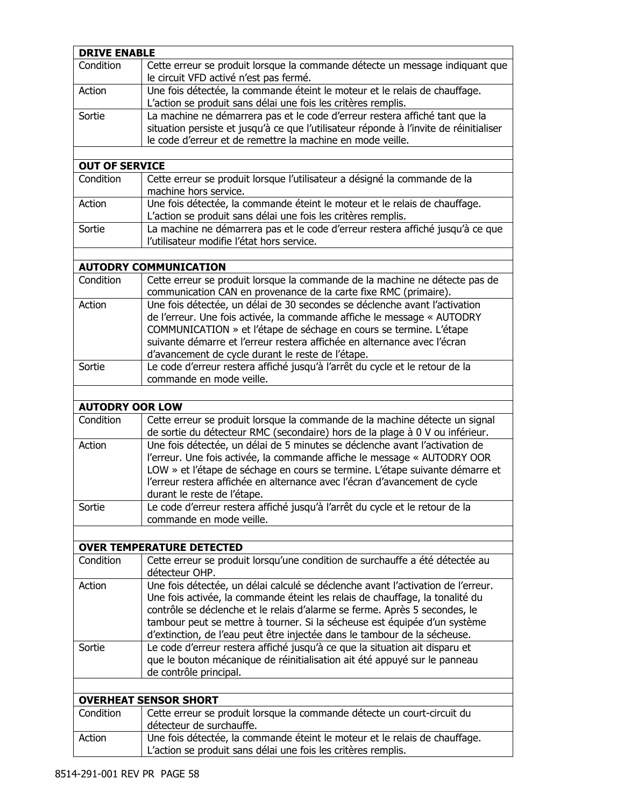| <b>DRIVE ENABLE</b>    |                                                                                                                                                                                                                                                                                                                                                                                                          |
|------------------------|----------------------------------------------------------------------------------------------------------------------------------------------------------------------------------------------------------------------------------------------------------------------------------------------------------------------------------------------------------------------------------------------------------|
| Condition              | Cette erreur se produit lorsque la commande détecte un message indiquant que<br>le circuit VFD activé n'est pas fermé.                                                                                                                                                                                                                                                                                   |
| Action                 | Une fois détectée, la commande éteint le moteur et le relais de chauffage.<br>L'action se produit sans délai une fois les critères remplis.                                                                                                                                                                                                                                                              |
| Sortie                 | La machine ne démarrera pas et le code d'erreur restera affiché tant que la<br>situation persiste et jusqu'à ce que l'utilisateur réponde à l'invite de réinitialiser<br>le code d'erreur et de remettre la machine en mode veille.                                                                                                                                                                      |
|                        |                                                                                                                                                                                                                                                                                                                                                                                                          |
| <b>OUT OF SERVICE</b>  |                                                                                                                                                                                                                                                                                                                                                                                                          |
| Condition              | Cette erreur se produit lorsque l'utilisateur a désigné la commande de la<br>machine hors service.                                                                                                                                                                                                                                                                                                       |
| Action                 | Une fois détectée, la commande éteint le moteur et le relais de chauffage.<br>L'action se produit sans délai une fois les critères remplis.                                                                                                                                                                                                                                                              |
| Sortie                 | La machine ne démarrera pas et le code d'erreur restera affiché jusqu'à ce que<br>l'utilisateur modifie l'état hors service.                                                                                                                                                                                                                                                                             |
|                        |                                                                                                                                                                                                                                                                                                                                                                                                          |
|                        | <b>AUTODRY COMMUNICATION</b>                                                                                                                                                                                                                                                                                                                                                                             |
| Condition              | Cette erreur se produit lorsque la commande de la machine ne détecte pas de<br>communication CAN en provenance de la carte fixe RMC (primaire).                                                                                                                                                                                                                                                          |
| Action                 | Une fois détectée, un délai de 30 secondes se déclenche avant l'activation<br>de l'erreur. Une fois activée, la commande affiche le message « AUTODRY<br>COMMUNICATION » et l'étape de séchage en cours se termine. L'étape<br>suivante démarre et l'erreur restera affichée en alternance avec l'écran<br>d'avancement de cycle durant le reste de l'étape.                                             |
| Sortie                 | Le code d'erreur restera affiché jusqu'à l'arrêt du cycle et le retour de la<br>commande en mode veille.                                                                                                                                                                                                                                                                                                 |
|                        |                                                                                                                                                                                                                                                                                                                                                                                                          |
| <b>AUTODRY OOR LOW</b> |                                                                                                                                                                                                                                                                                                                                                                                                          |
| Condition              | Cette erreur se produit lorsque la commande de la machine détecte un signal<br>de sortie du détecteur RMC (secondaire) hors de la plage à 0 V ou inférieur.                                                                                                                                                                                                                                              |
| Action                 | Une fois détectée, un délai de 5 minutes se déclenche avant l'activation de<br>l'erreur. Une fois activée, la commande affiche le message « AUTODRY OOR<br>LOW » et l'étape de séchage en cours se termine. L'étape suivante démarre et<br>l'erreur restera affichée en alternance avec l'écran d'avancement de cycle<br>durant le reste de l'étape.                                                     |
| Sortie                 | Le code d'erreur restera affiché jusqu'à l'arrêt du cycle et le retour de la<br>commande en mode veille.                                                                                                                                                                                                                                                                                                 |
|                        |                                                                                                                                                                                                                                                                                                                                                                                                          |
|                        | <b>OVER TEMPERATURE DETECTED</b>                                                                                                                                                                                                                                                                                                                                                                         |
| Condition              | Cette erreur se produit lorsqu'une condition de surchauffe a été détectée au<br>détecteur OHP.                                                                                                                                                                                                                                                                                                           |
| Action                 | Une fois détectée, un délai calculé se déclenche avant l'activation de l'erreur.<br>Une fois activée, la commande éteint les relais de chauffage, la tonalité du<br>contrôle se déclenche et le relais d'alarme se ferme. Après 5 secondes, le<br>tambour peut se mettre à tourner. Si la sécheuse est équipée d'un système<br>d'extinction, de l'eau peut être injectée dans le tambour de la sécheuse. |
| Sortie                 | Le code d'erreur restera affiché jusqu'à ce que la situation ait disparu et<br>que le bouton mécanique de réinitialisation ait été appuyé sur le panneau<br>de contrôle principal.                                                                                                                                                                                                                       |
|                        |                                                                                                                                                                                                                                                                                                                                                                                                          |
|                        | <b>OVERHEAT SENSOR SHORT</b>                                                                                                                                                                                                                                                                                                                                                                             |
| Condition              | Cette erreur se produit lorsque la commande détecte un court-circuit du<br>détecteur de surchauffe.                                                                                                                                                                                                                                                                                                      |
| Action                 | Une fois détectée, la commande éteint le moteur et le relais de chauffage.<br>L'action se produit sans délai une fois les critères remplis.                                                                                                                                                                                                                                                              |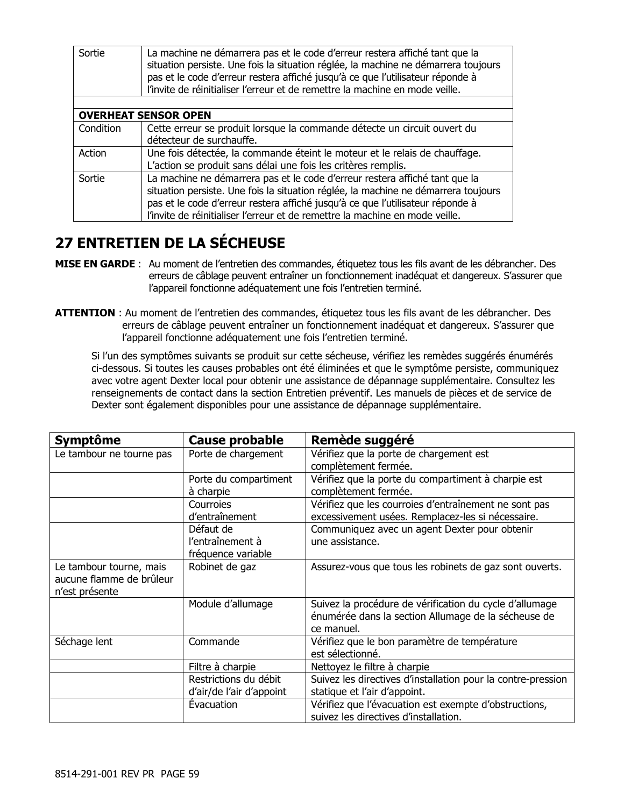| Sortie    | La machine ne démarrera pas et le code d'erreur restera affiché tant que la<br>situation persiste. Une fois la situation réglée, la machine ne démarrera toujours<br>pas et le code d'erreur restera affiché jusqu'à ce que l'utilisateur réponde à<br>l'invite de réinitialiser l'erreur et de remettre la machine en mode veille. |
|-----------|-------------------------------------------------------------------------------------------------------------------------------------------------------------------------------------------------------------------------------------------------------------------------------------------------------------------------------------|
|           |                                                                                                                                                                                                                                                                                                                                     |
|           | <b>OVERHEAT SENSOR OPEN</b>                                                                                                                                                                                                                                                                                                         |
| Condition | Cette erreur se produit lorsque la commande détecte un circuit ouvert du                                                                                                                                                                                                                                                            |
|           | détecteur de surchauffe.                                                                                                                                                                                                                                                                                                            |
| Action    | Une fois détectée, la commande éteint le moteur et le relais de chauffage.                                                                                                                                                                                                                                                          |
|           | L'action se produit sans délai une fois les critères remplis.                                                                                                                                                                                                                                                                       |
| Sortie    | La machine ne démarrera pas et le code d'erreur restera affiché tant que la                                                                                                                                                                                                                                                         |
|           | situation persiste. Une fois la situation réglée, la machine ne démarrera toujours                                                                                                                                                                                                                                                  |
|           | pas et le code d'erreur restera affiché jusqu'à ce que l'utilisateur réponde à                                                                                                                                                                                                                                                      |
|           | l'invite de réinitialiser l'erreur et de remettre la machine en mode veille.                                                                                                                                                                                                                                                        |

## **27 ENTRETIEN DE LA SÉCHEUSE**

- **MISE EN GARDE** : Au moment de l'entretien des commandes, étiquetez tous les fils avant de les débrancher. Des erreurs de câblage peuvent entraîner un fonctionnement inadéquat et dangereux. S'assurer que l'appareil fonctionne adéquatement une fois l'entretien terminé.
- **ATTENTION** : Au moment de l'entretien des commandes, étiquetez tous les fils avant de les débrancher. Des erreurs de câblage peuvent entraîner un fonctionnement inadéquat et dangereux. S'assurer que l'appareil fonctionne adéquatement une fois l'entretien terminé.

Si l'un des symptômes suivants se produit sur cette sécheuse, vérifiez les remèdes suggérés énumérés ci-dessous. Si toutes les causes probables ont été éliminées et que le symptôme persiste, communiquez avec votre agent Dexter local pour obtenir une assistance de dépannage supplémentaire. Consultez les renseignements de contact dans la section Entretien préventif. Les manuels de pièces et de service de Dexter sont également disponibles pour une assistance de dépannage supplémentaire.

| <b>Symptôme</b>          | <b>Cause probable</b>    | Remède suggéré                                               |
|--------------------------|--------------------------|--------------------------------------------------------------|
| Le tambour ne tourne pas | Porte de chargement      | Vérifiez que la porte de chargement est                      |
|                          |                          | complètement fermée.                                         |
|                          | Porte du compartiment    | Vérifiez que la porte du compartiment à charpie est          |
|                          | à charpie                | complètement fermée.                                         |
|                          | Courroies                | Vérifiez que les courroies d'entraînement ne sont pas        |
|                          | d'entraînement           | excessivement usées. Remplacez-les si nécessaire.            |
|                          | Défaut de                | Communiquez avec un agent Dexter pour obtenir                |
|                          | l'entraînement à         | une assistance.                                              |
|                          | fréquence variable       |                                                              |
| Le tambour tourne, mais  | Robinet de gaz           | Assurez-vous que tous les robinets de gaz sont ouverts.      |
| aucune flamme de brûleur |                          |                                                              |
| n'est présente           |                          |                                                              |
|                          | Module d'allumage        | Suivez la procédure de vérification du cycle d'allumage      |
|                          |                          | énumérée dans la section Allumage de la sécheuse de          |
|                          |                          | ce manuel.                                                   |
| Séchage lent             | Commande                 | Vérifiez que le bon paramètre de température                 |
|                          |                          | est sélectionné.                                             |
|                          | Filtre à charpie         | Nettoyez le filtre à charpie                                 |
|                          | Restrictions du débit    | Suivez les directives d'installation pour la contre-pression |
|                          | d'air/de l'air d'appoint | statique et l'air d'appoint.                                 |
|                          | Évacuation               | Vérifiez que l'évacuation est exempte d'obstructions,        |
|                          |                          | suivez les directives d'installation.                        |